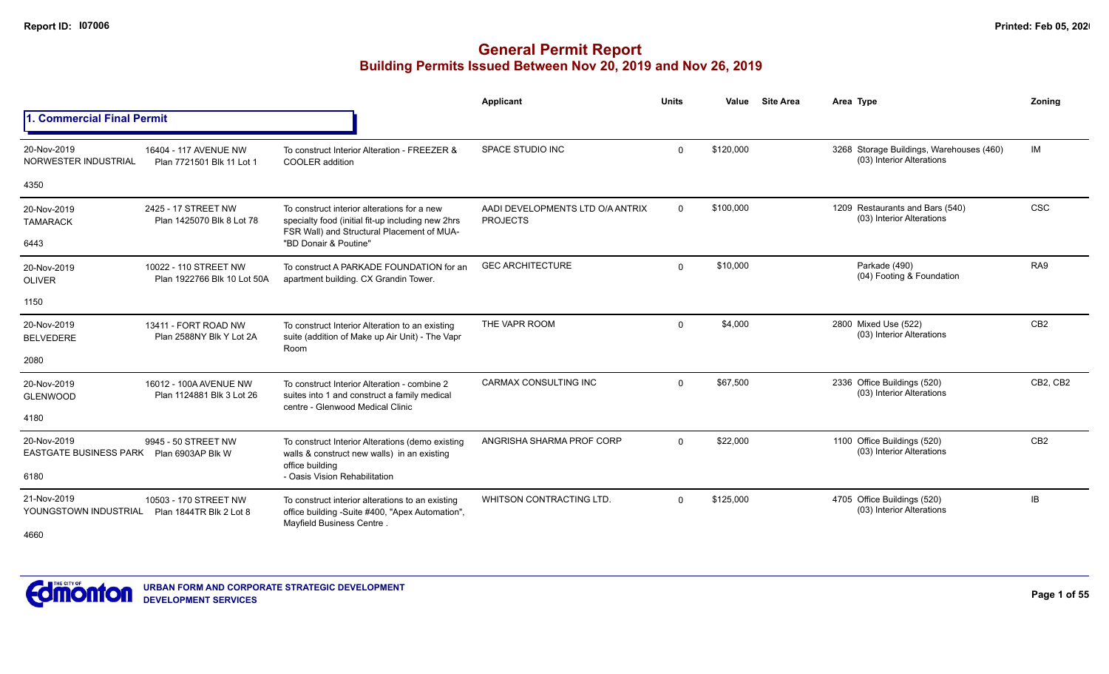|                                                                      |                                                      |                                                                                                                                                | Applicant                                           | <b>Units</b> | Value     | <b>Site Area</b> | Area Type                                                             | Zonina          |
|----------------------------------------------------------------------|------------------------------------------------------|------------------------------------------------------------------------------------------------------------------------------------------------|-----------------------------------------------------|--------------|-----------|------------------|-----------------------------------------------------------------------|-----------------|
| <b>Commercial Final Permit</b>                                       |                                                      |                                                                                                                                                |                                                     |              |           |                  |                                                                       |                 |
| 20-Nov-2019<br>NORWESTER INDUSTRIAL                                  | 16404 - 117 AVENUE NW<br>Plan 7721501 Blk 11 Lot 1   | To construct Interior Alteration - FREEZER &<br><b>COOLER</b> addition                                                                         | SPACE STUDIO INC                                    | $\mathbf 0$  | \$120,000 |                  | 3268 Storage Buildings, Warehouses (460)<br>(03) Interior Alterations | IM              |
| 4350                                                                 |                                                      |                                                                                                                                                |                                                     |              |           |                  |                                                                       |                 |
| 20-Nov-2019<br><b>TAMARACK</b>                                       | 2425 - 17 STREET NW<br>Plan 1425070 Blk 8 Lot 78     | To construct interior alterations for a new<br>specialty food (initial fit-up including new 2hrs<br>FSR Wall) and Structural Placement of MUA- | AADI DEVELOPMENTS LTD O/A ANTRIX<br><b>PROJECTS</b> | $\mathbf{0}$ | \$100,000 |                  | 1209 Restaurants and Bars (540)<br>(03) Interior Alterations          | <b>CSC</b>      |
| 6443                                                                 |                                                      | "BD Donair & Poutine"                                                                                                                          |                                                     |              |           |                  |                                                                       |                 |
| 20-Nov-2019<br><b>OLIVER</b>                                         | 10022 - 110 STREET NW<br>Plan 1922766 Blk 10 Lot 50A | To construct A PARKADE FOUNDATION for an<br>apartment building. CX Grandin Tower.                                                              | <b>GEC ARCHITECTURE</b>                             | $\mathbf 0$  | \$10,000  |                  | Parkade (490)<br>(04) Footing & Foundation                            | RA9             |
| 1150                                                                 |                                                      |                                                                                                                                                |                                                     |              |           |                  |                                                                       |                 |
| 20-Nov-2019<br><b>BELVEDERE</b>                                      | 13411 - FORT ROAD NW<br>Plan 2588NY Blk Y Lot 2A     | To construct Interior Alteration to an existing<br>suite (addition of Make up Air Unit) - The Vapr<br>Room                                     | THE VAPR ROOM                                       | $\mathbf 0$  | \$4,000   |                  | 2800 Mixed Use (522)<br>(03) Interior Alterations                     | CB <sub>2</sub> |
| 2080                                                                 |                                                      |                                                                                                                                                |                                                     |              |           |                  |                                                                       |                 |
| 20-Nov-2019<br><b>GLENWOOD</b>                                       | 16012 - 100A AVENUE NW<br>Plan 1124881 Blk 3 Lot 26  | To construct Interior Alteration - combine 2<br>suites into 1 and construct a family medical<br>centre - Glenwood Medical Clinic               | CARMAX CONSULTING INC                               | $\Omega$     | \$67,500  |                  | 2336 Office Buildings (520)<br>(03) Interior Alterations              | CB2, CB2        |
| 4180                                                                 |                                                      |                                                                                                                                                |                                                     |              |           |                  |                                                                       |                 |
| 20-Nov-2019<br>EASTGATE BUSINESS PARK  Plan 6903AP Blk W             | 9945 - 50 STREET NW                                  | To construct Interior Alterations (demo existing<br>walls & construct new walls) in an existing<br>office building                             | ANGRISHA SHARMA PROF CORP                           | $\mathbf 0$  | \$22,000  |                  | 1100 Office Buildings (520)<br>(03) Interior Alterations              | CB <sub>2</sub> |
| 6180                                                                 |                                                      | - Oasis Vision Rehabilitation                                                                                                                  |                                                     |              |           |                  |                                                                       |                 |
| 21-Nov-2019<br>YOUNGSTOWN INDUSTRIAL Plan 1844TR Blk 2 Lot 8<br>4660 | 10503 - 170 STREET NW                                | To construct interior alterations to an existing<br>office building -Suite #400, "Apex Automation",<br>Mayfield Business Centre.               | <b>WHITSON CONTRACTING LTD.</b>                     | $\Omega$     | \$125,000 |                  | 4705 Office Buildings (520)<br>(03) Interior Alterations              | IB              |

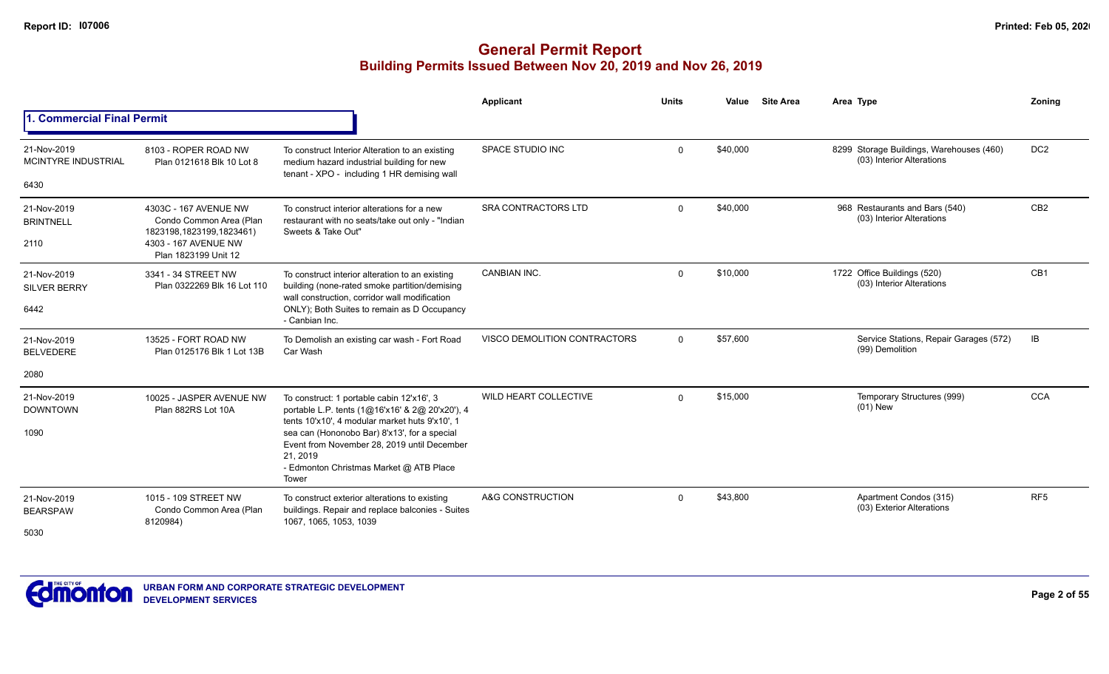|                                           |                                                                                                      |                                                                                                                                                             | Applicant                    | <b>Units</b> | Value    | <b>Site Area</b> | Area Type                                                             | Zonina          |
|-------------------------------------------|------------------------------------------------------------------------------------------------------|-------------------------------------------------------------------------------------------------------------------------------------------------------------|------------------------------|--------------|----------|------------------|-----------------------------------------------------------------------|-----------------|
| <b>Commercial Final Permit</b>            |                                                                                                      |                                                                                                                                                             |                              |              |          |                  |                                                                       |                 |
| 21-Nov-2019<br><b>MCINTYRE INDUSTRIAL</b> | 8103 - ROPER ROAD NW<br>Plan 0121618 Blk 10 Lot 8                                                    | To construct Interior Alteration to an existing<br>medium hazard industrial building for new<br>tenant - XPO - including 1 HR demising wall                 | <b>SPACE STUDIO INC</b>      | $\mathbf 0$  | \$40,000 |                  | 8299 Storage Buildings, Warehouses (460)<br>(03) Interior Alterations | DC <sub>2</sub> |
| 6430                                      |                                                                                                      |                                                                                                                                                             |                              |              |          |                  |                                                                       |                 |
| 21-Nov-2019<br><b>BRINTNELL</b><br>2110   | 4303C - 167 AVENUE NW<br>Condo Common Area (Plan<br>1823198,1823199,1823461)<br>4303 - 167 AVENUE NW | To construct interior alterations for a new<br>restaurant with no seats/take out only - "Indian<br>Sweets & Take Out"                                       | SRA CONTRACTORS LTD          | $\mathbf 0$  | \$40,000 |                  | 968 Restaurants and Bars (540)<br>(03) Interior Alterations           | CB <sub>2</sub> |
|                                           | Plan 1823199 Unit 12                                                                                 |                                                                                                                                                             |                              |              |          |                  |                                                                       |                 |
| 21-Nov-2019<br><b>SILVER BERRY</b>        | 3341 - 34 STREET NW<br>Plan 0322269 Blk 16 Lot 110                                                   | To construct interior alteration to an existing<br>building (none-rated smoke partition/demising<br>wall construction, corridor wall modification           | <b>CANBIAN INC.</b>          | $\mathbf 0$  | \$10,000 |                  | 1722 Office Buildings (520)<br>(03) Interior Alterations              | CB <sub>1</sub> |
| 6442                                      |                                                                                                      | ONLY); Both Suites to remain as D Occupancy<br>- Canbian Inc.                                                                                               |                              |              |          |                  |                                                                       |                 |
| 21-Nov-2019<br><b>BELVEDERE</b>           | 13525 - FORT ROAD NW<br>Plan 0125176 Blk 1 Lot 13B                                                   | To Demolish an existing car wash - Fort Road<br>Car Wash                                                                                                    | VISCO DEMOLITION CONTRACTORS | $\Omega$     | \$57,600 |                  | Service Stations, Repair Garages (572)<br>(99) Demolition             | IB              |
| 2080                                      |                                                                                                      |                                                                                                                                                             |                              |              |          |                  |                                                                       |                 |
| 21-Nov-2019<br><b>DOWNTOWN</b>            | 10025 - JASPER AVENUE NW<br>Plan 882RS Lot 10A                                                       | To construct: 1 portable cabin 12'x16', 3<br>portable L.P. tents (1@16'x16' & 2@ 20'x20'), 4<br>tents 10'x10', 4 modular market huts 9'x10', 1              | WILD HEART COLLECTIVE        | $\mathbf 0$  | \$15,000 |                  | Temporary Structures (999)<br>$(01)$ New                              | <b>CCA</b>      |
| 1090                                      |                                                                                                      | sea can (Hononobo Bar) 8'x13', for a special<br>Event from November 28, 2019 until December<br>21, 2019<br>- Edmonton Christmas Market @ ATB Place<br>Tower |                              |              |          |                  |                                                                       |                 |
| 21-Nov-2019<br><b>BEARSPAW</b><br>5030    | 1015 - 109 STREET NW<br>Condo Common Area (Plan<br>8120984)                                          | To construct exterior alterations to existing<br>buildings. Repair and replace balconies - Suites<br>1067, 1065, 1053, 1039                                 | A&G CONSTRUCTION             | $\mathbf 0$  | \$43,800 |                  | Apartment Condos (315)<br>(03) Exterior Alterations                   | RF <sub>5</sub> |

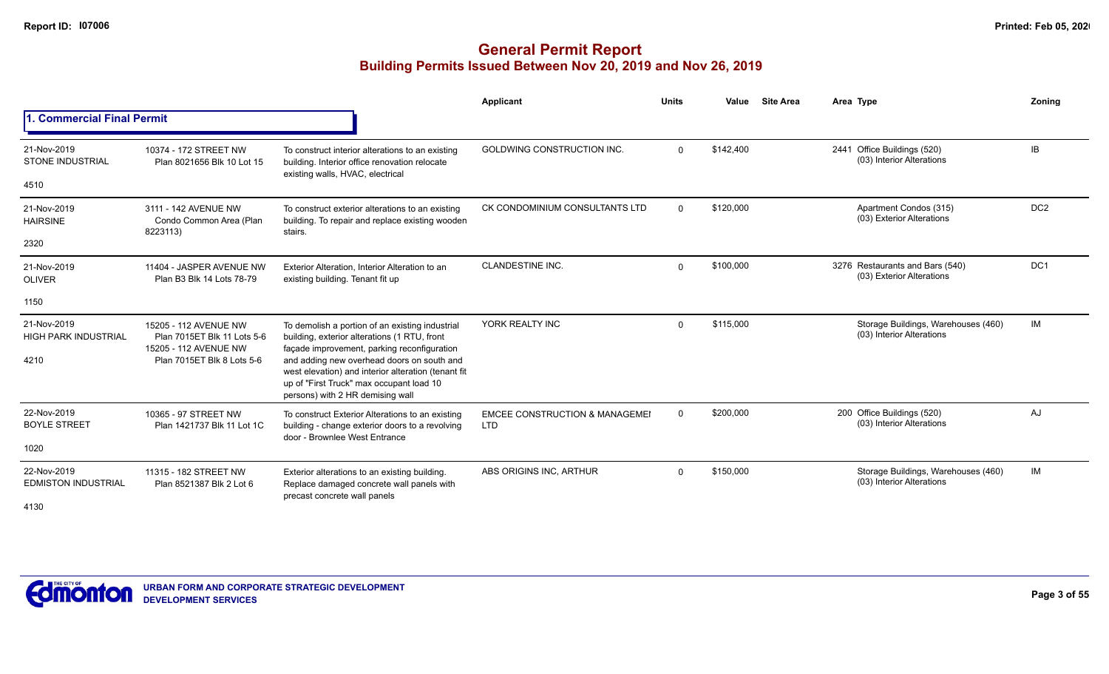|                                                    |                                                                                                             |                                                                                                                                                                                                                                                                                                                                     | Applicant                                               | <b>Units</b> | Value     | <b>Site Area</b> | Area Type |                                                                  | Zoning          |
|----------------------------------------------------|-------------------------------------------------------------------------------------------------------------|-------------------------------------------------------------------------------------------------------------------------------------------------------------------------------------------------------------------------------------------------------------------------------------------------------------------------------------|---------------------------------------------------------|--------------|-----------|------------------|-----------|------------------------------------------------------------------|-----------------|
| . Commercial Final Permit                          |                                                                                                             |                                                                                                                                                                                                                                                                                                                                     |                                                         |              |           |                  |           |                                                                  |                 |
| 21-Nov-2019<br><b>STONE INDUSTRIAL</b>             | 10374 - 172 STREET NW<br>Plan 8021656 Blk 10 Lot 15                                                         | To construct interior alterations to an existing<br>building. Interior office renovation relocate<br>existing walls, HVAC, electrical                                                                                                                                                                                               | GOLDWING CONSTRUCTION INC.                              | $\Omega$     | \$142,400 |                  |           | 2441 Office Buildings (520)<br>(03) Interior Alterations         | IB              |
| 4510                                               |                                                                                                             |                                                                                                                                                                                                                                                                                                                                     |                                                         |              |           |                  |           |                                                                  |                 |
| 21-Nov-2019<br><b>HAIRSINE</b>                     | 3111 - 142 AVENUE NW<br>Condo Common Area (Plan<br>8223113)                                                 | To construct exterior alterations to an existing<br>building. To repair and replace existing wooden<br>stairs.                                                                                                                                                                                                                      | CK CONDOMINIUM CONSULTANTS LTD                          | $\Omega$     | \$120,000 |                  |           | Apartment Condos (315)<br>(03) Exterior Alterations              | DC <sub>2</sub> |
| 2320                                               |                                                                                                             |                                                                                                                                                                                                                                                                                                                                     |                                                         |              |           |                  |           |                                                                  |                 |
| 21-Nov-2019<br><b>OLIVER</b>                       | 11404 - JASPER AVENUE NW<br>Plan B3 Blk 14 Lots 78-79                                                       | Exterior Alteration. Interior Alteration to an<br>existing building. Tenant fit up                                                                                                                                                                                                                                                  | <b>CLANDESTINE INC.</b>                                 | $\Omega$     | \$100,000 |                  |           | 3276 Restaurants and Bars (540)<br>(03) Exterior Alterations     | DC <sub>1</sub> |
| 1150                                               |                                                                                                             |                                                                                                                                                                                                                                                                                                                                     |                                                         |              |           |                  |           |                                                                  |                 |
| 21-Nov-2019<br><b>HIGH PARK INDUSTRIAL</b><br>4210 | 15205 - 112 AVENUE NW<br>Plan 7015ET Blk 11 Lots 5-6<br>15205 - 112 AVENUE NW<br>Plan 7015ET Blk 8 Lots 5-6 | To demolish a portion of an existing industrial<br>building, exterior alterations (1 RTU, front<br>façade improvement, parking reconfiguration<br>and adding new overhead doors on south and<br>west elevation) and interior alteration (tenant fit<br>up of "First Truck" max occupant load 10<br>persons) with 2 HR demising wall | YORK REALTY INC                                         | $\Omega$     | \$115,000 |                  |           | Storage Buildings, Warehouses (460)<br>(03) Interior Alterations | IM              |
| 22-Nov-2019<br><b>BOYLE STREET</b><br>1020         | 10365 - 97 STREET NW<br>Plan 1421737 Blk 11 Lot 1C                                                          | To construct Exterior Alterations to an existing<br>building - change exterior doors to a revolving<br>door - Brownlee West Entrance                                                                                                                                                                                                | <b>EMCEE CONSTRUCTION &amp; MANAGEMEI</b><br><b>LTD</b> | $\Omega$     | \$200,000 |                  |           | 200 Office Buildings (520)<br>(03) Interior Alterations          | AJ              |
| 22-Nov-2019<br><b>EDMISTON INDUSTRIAL</b><br>4130  | 11315 - 182 STREET NW<br>Plan 8521387 Blk 2 Lot 6                                                           | Exterior alterations to an existing building.<br>Replace damaged concrete wall panels with<br>precast concrete wall panels                                                                                                                                                                                                          | ABS ORIGINS INC, ARTHUR                                 | $\Omega$     | \$150,000 |                  |           | Storage Buildings, Warehouses (460)<br>(03) Interior Alterations | IM              |

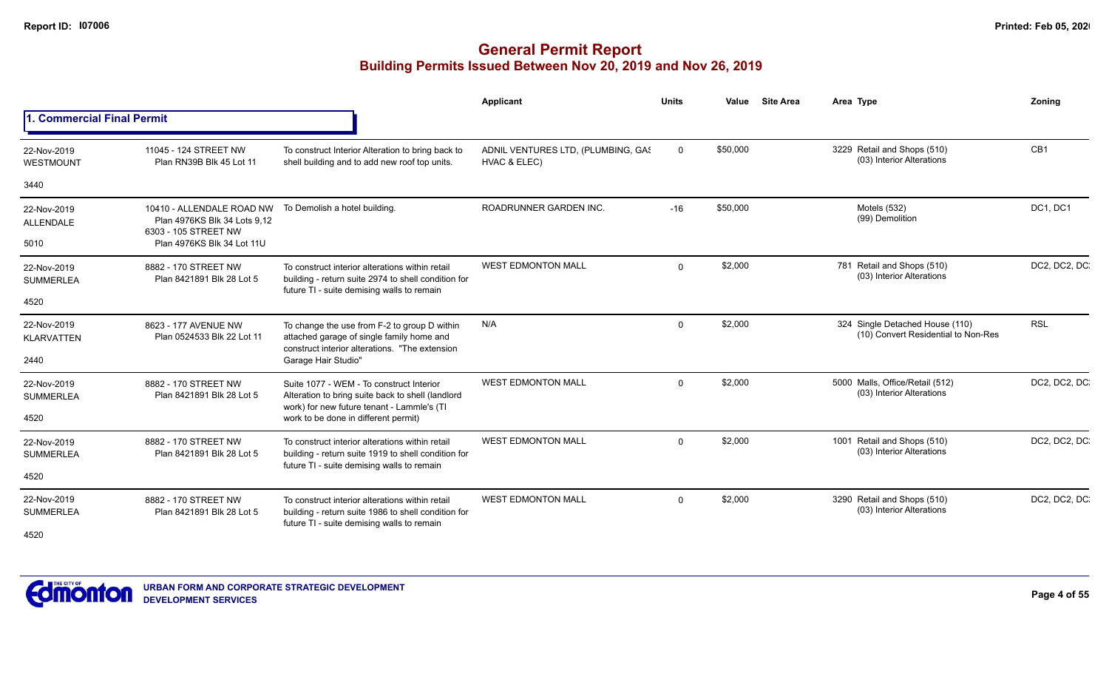|                                         |                                                                                                                 |                                                                                                                                                      | <b>Applicant</b>                                   | <b>Units</b> | Value    | <b>Site Area</b> | Area Type                                                              | <b>Zoning</b>   |
|-----------------------------------------|-----------------------------------------------------------------------------------------------------------------|------------------------------------------------------------------------------------------------------------------------------------------------------|----------------------------------------------------|--------------|----------|------------------|------------------------------------------------------------------------|-----------------|
| 1. Commercial Final Permit              |                                                                                                                 |                                                                                                                                                      |                                                    |              |          |                  |                                                                        |                 |
| 22-Nov-2019<br><b>WESTMOUNT</b>         | 11045 - 124 STREET NW<br>Plan RN39B Blk 45 Lot 11                                                               | To construct Interior Alteration to bring back to<br>shell building and to add new roof top units.                                                   | ADNIL VENTURES LTD, (PLUMBING, GAS<br>HVAC & ELEC) | $\mathbf 0$  | \$50,000 |                  | 3229 Retail and Shops (510)<br>(03) Interior Alterations               | CB <sub>1</sub> |
| 3440                                    |                                                                                                                 |                                                                                                                                                      |                                                    |              |          |                  |                                                                        |                 |
| 22-Nov-2019<br><b>ALLENDALE</b><br>5010 | 10410 - ALLENDALE ROAD NW<br>Plan 4976KS Blk 34 Lots 9,12<br>6303 - 105 STREET NW<br>Plan 4976KS Blk 34 Lot 11U | To Demolish a hotel building.                                                                                                                        | ROADRUNNER GARDEN INC.                             | $-16$        | \$50,000 |                  | Motels (532)<br>(99) Demolition                                        | DC1, DC1        |
| 22-Nov-2019<br><b>SUMMERLEA</b>         | 8882 - 170 STREET NW<br>Plan 8421891 Blk 28 Lot 5                                                               | To construct interior alterations within retail<br>building - return suite 2974 to shell condition for<br>future TI - suite demising walls to remain | <b>WEST EDMONTON MALL</b>                          | $\Omega$     | \$2,000  |                  | 781 Retail and Shops (510)<br>(03) Interior Alterations                | DC2, DC2, DC.   |
| 4520                                    |                                                                                                                 |                                                                                                                                                      |                                                    |              |          |                  |                                                                        |                 |
| 22-Nov-2019<br><b>KLARVATTEN</b>        | 8623 - 177 AVENUE NW<br>Plan 0524533 Blk 22 Lot 11                                                              | To change the use from F-2 to group D within<br>attached garage of single family home and<br>construct interior alterations. "The extension          | N/A                                                | $\mathbf 0$  | \$2,000  |                  | 324 Single Detached House (110)<br>(10) Convert Residential to Non-Res | <b>RSL</b>      |
| 2440                                    |                                                                                                                 | Garage Hair Studio"                                                                                                                                  |                                                    |              |          |                  |                                                                        |                 |
| 22-Nov-2019<br><b>SUMMERLEA</b>         | 8882 - 170 STREET NW<br>Plan 8421891 Blk 28 Lot 5                                                               | Suite 1077 - WEM - To construct Interior<br>Alteration to bring suite back to shell (landlord<br>work) for new future tenant - Lammle's (TI          | <b>WEST EDMONTON MALL</b>                          | $\Omega$     | \$2,000  |                  | 5000 Malls, Office/Retail (512)<br>(03) Interior Alterations           | DC2, DC2, DC.   |
| 4520                                    |                                                                                                                 | work to be done in different permit)                                                                                                                 |                                                    |              |          |                  |                                                                        |                 |
| 22-Nov-2019<br><b>SUMMERLEA</b>         | 8882 - 170 STREET NW<br>Plan 8421891 Blk 28 Lot 5                                                               | To construct interior alterations within retail<br>building - return suite 1919 to shell condition for<br>future TI - suite demising walls to remain | <b>WEST EDMONTON MALL</b>                          | $\Omega$     | \$2,000  |                  | 1001 Retail and Shops (510)<br>(03) Interior Alterations               | DC2, DC2, DC    |
| 4520                                    |                                                                                                                 |                                                                                                                                                      |                                                    |              |          |                  |                                                                        |                 |
| 22-Nov-2019<br><b>SUMMERLEA</b>         | 8882 - 170 STREET NW<br>Plan 8421891 Blk 28 Lot 5                                                               | To construct interior alterations within retail<br>building - return suite 1986 to shell condition for<br>future TI - suite demising walls to remain | <b>WEST EDMONTON MALL</b>                          | $\Omega$     | \$2,000  |                  | 3290 Retail and Shops (510)<br>(03) Interior Alterations               | DC2, DC2, DC.   |
| 4520                                    |                                                                                                                 |                                                                                                                                                      |                                                    |              |          |                  |                                                                        |                 |

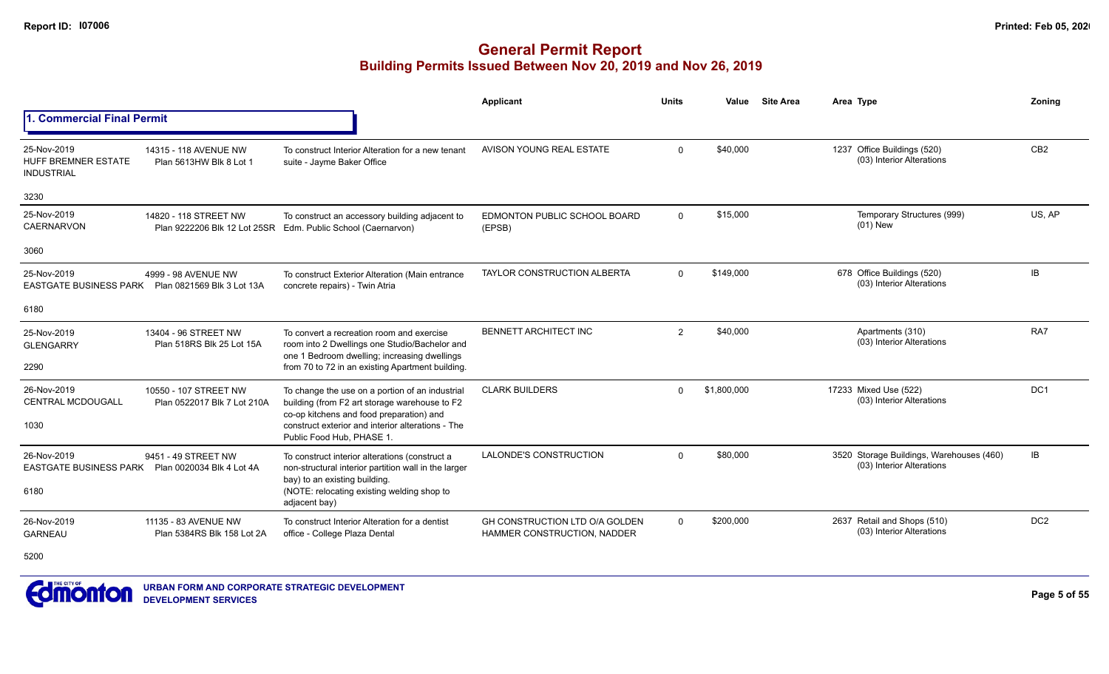|                                                                |                                                      |                                                                                                                                                                                                        | Applicant                                                            | <b>Units</b> | Value       | <b>Site Area</b> | Area Type                                                | <b>Zoning</b>   |
|----------------------------------------------------------------|------------------------------------------------------|--------------------------------------------------------------------------------------------------------------------------------------------------------------------------------------------------------|----------------------------------------------------------------------|--------------|-------------|------------------|----------------------------------------------------------|-----------------|
| 1. Commercial Final Permit                                     |                                                      |                                                                                                                                                                                                        |                                                                      |              |             |                  |                                                          |                 |
| 25-Nov-2019<br><b>HUFF BREMNER ESTATE</b><br><b>INDUSTRIAL</b> | 14315 - 118 AVENUE NW<br>Plan 5613HW Blk 8 Lot 1     | To construct Interior Alteration for a new tenant<br>suite - Jayme Baker Office                                                                                                                        | AVISON YOUNG REAL ESTATE                                             | $\Omega$     | \$40,000    |                  | 1237 Office Buildings (520)<br>(03) Interior Alterations | CB <sub>2</sub> |
| 3230                                                           |                                                      |                                                                                                                                                                                                        |                                                                      |              |             |                  |                                                          |                 |
| 25-Nov-2019<br><b>CAERNARVON</b>                               | 14820 - 118 STREET NW                                | To construct an accessory building adjacent to<br>Plan 9222206 Blk 12 Lot 25SR Edm. Public School (Caernarvon)                                                                                         | EDMONTON PUBLIC SCHOOL BOARD<br>(EPSB)                               | $\Omega$     | \$15,000    |                  | Temporary Structures (999)<br>$(01)$ New                 | US, AP          |
| 3060                                                           |                                                      |                                                                                                                                                                                                        |                                                                      |              |             |                  |                                                          |                 |
| 25-Nov-2019<br><b>EASTGATE BUSINESS PARK</b>                   | 4999 - 98 AVENUE NW<br>Plan 0821569 Blk 3 Lot 13A    | To construct Exterior Alteration (Main entrance<br>concrete repairs) - Twin Atria                                                                                                                      | <b>TAYLOR CONSTRUCTION ALBERTA</b>                                   | $\Omega$     | \$149.000   |                  | 678 Office Buildings (520)<br>(03) Interior Alterations  | IB              |
| 6180                                                           |                                                      |                                                                                                                                                                                                        |                                                                      |              |             |                  |                                                          |                 |
| 25-Nov-2019<br><b>GLENGARRY</b>                                | 13404 - 96 STREET NW<br>Plan 518RS Blk 25 Lot 15A    | To convert a recreation room and exercise<br>room into 2 Dwellings one Studio/Bachelor and<br>one 1 Bedroom dwelling; increasing dwellings                                                             | BENNETT ARCHITECT INC                                                | 2            | \$40,000    |                  | Apartments (310)<br>(03) Interior Alterations            | RA7             |
| 2290                                                           |                                                      | from 70 to 72 in an existing Apartment building.                                                                                                                                                       |                                                                      |              |             |                  |                                                          |                 |
| 26-Nov-2019<br><b>CENTRAL MCDOUGALL</b><br>1030                | 10550 - 107 STREET NW<br>Plan 0522017 Blk 7 Lot 210A | To change the use on a portion of an industrial<br>building (from F2 art storage warehouse to F2<br>co-op kitchens and food preparation) and<br>construct exterior and interior alterations - The      | <b>CLARK BUILDERS</b>                                                | $\Omega$     | \$1,800,000 |                  | 17233 Mixed Use (522)<br>(03) Interior Alterations       | DC1             |
| 26-Nov-2019                                                    | 9451 - 49 STREET NW                                  | Public Food Hub, PHASE 1.                                                                                                                                                                              | LALONDE'S CONSTRUCTION                                               | $\Omega$     | \$80,000    |                  | 3520 Storage Buildings, Warehouses (460)                 | IB              |
| <b>EASTGATE BUSINESS PARK</b><br>6180                          | Plan 0020034 Blk 4 Lot 4A                            | To construct interior alterations (construct a<br>non-structural interior partition wall in the larger<br>bay) to an existing building.<br>(NOTE: relocating existing welding shop to<br>adjacent bay) |                                                                      |              |             |                  | (03) Interior Alterations                                |                 |
| 26-Nov-2019<br><b>GARNEAU</b>                                  | 11135 - 83 AVENUE NW<br>Plan 5384RS Blk 158 Lot 2A   | To construct Interior Alteration for a dentist<br>office - College Plaza Dental                                                                                                                        | GH CONSTRUCTION LTD O/A GOLDEN<br><b>HAMMER CONSTRUCTION, NADDER</b> | $\Omega$     | \$200,000   |                  | 2637 Retail and Shops (510)<br>(03) Interior Alterations | DC <sub>2</sub> |

5200

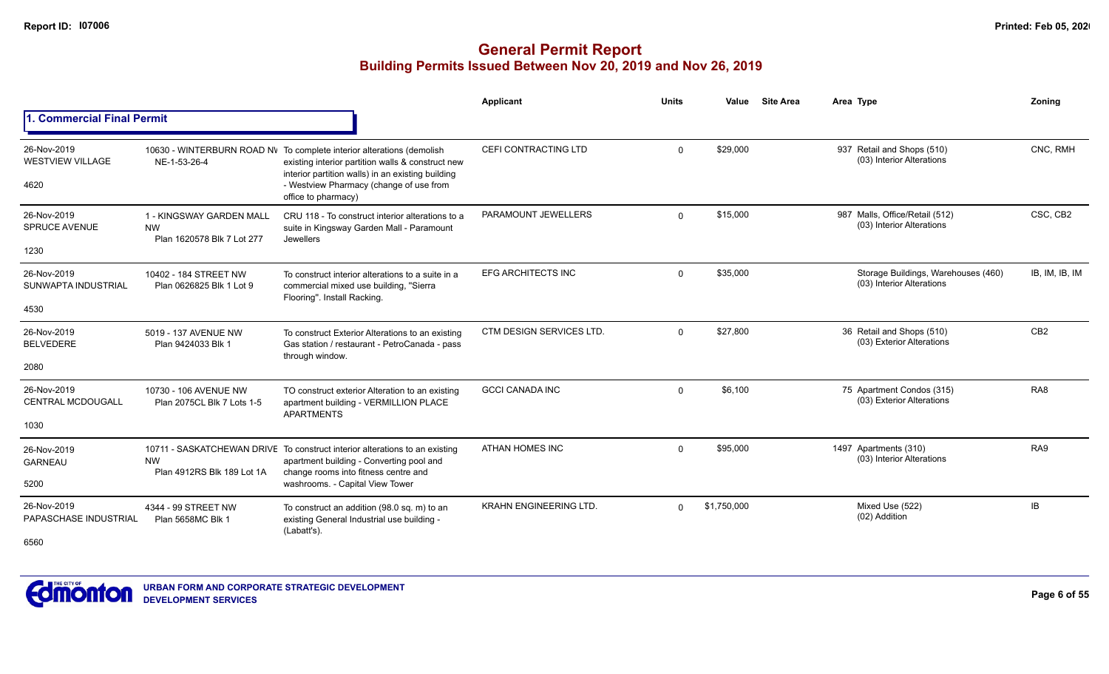|                                                 |                                                                     |                                                                                                                                                                                                                                                   | Applicant                     | <b>Units</b> | Value       | <b>Site Area</b> | Area Type                                                        | Zonina          |
|-------------------------------------------------|---------------------------------------------------------------------|---------------------------------------------------------------------------------------------------------------------------------------------------------------------------------------------------------------------------------------------------|-------------------------------|--------------|-------------|------------------|------------------------------------------------------------------|-----------------|
| 1. Commercial Final Permit                      |                                                                     |                                                                                                                                                                                                                                                   |                               |              |             |                  |                                                                  |                 |
| 26-Nov-2019<br><b>WESTVIEW VILLAGE</b><br>4620  | NE-1-53-26-4                                                        | 10630 - WINTERBURN ROAD NV To complete interior alterations (demolish<br>existing interior partition walls & construct new<br>interior partition walls) in an existing building<br>- Westview Pharmacy (change of use from<br>office to pharmacy) | CEFI CONTRACTING LTD          | $\mathbf 0$  | \$29,000    |                  | 937 Retail and Shops (510)<br>(03) Interior Alterations          | CNC, RMH        |
| 26-Nov-2019<br><b>SPRUCE AVENUE</b><br>1230     | 1 - KINGSWAY GARDEN MALL<br><b>NW</b><br>Plan 1620578 Blk 7 Lot 277 | CRU 118 - To construct interior alterations to a<br>suite in Kingsway Garden Mall - Paramount<br>Jewellers                                                                                                                                        | PARAMOUNT JEWELLERS           | $\Omega$     | \$15,000    |                  | 987 Malls, Office/Retail (512)<br>(03) Interior Alterations      | CSC, CB2        |
| 26-Nov-2019<br>SUNWAPTA INDUSTRIAL<br>4530      | 10402 - 184 STREET NW<br>Plan 0626825 Blk 1 Lot 9                   | To construct interior alterations to a suite in a<br>commercial mixed use building, "Sierra<br>Flooring". Install Racking.                                                                                                                        | <b>EFG ARCHITECTS INC</b>     | $\Omega$     | \$35,000    |                  | Storage Buildings, Warehouses (460)<br>(03) Interior Alterations | IB, IM, IB, IM  |
| 26-Nov-2019<br><b>BELVEDERE</b><br>2080         | 5019 - 137 AVENUE NW<br>Plan 9424033 Blk 1                          | To construct Exterior Alterations to an existing<br>Gas station / restaurant - PetroCanada - pass<br>through window.                                                                                                                              | CTM DESIGN SERVICES LTD.      | $\mathbf 0$  | \$27,800    |                  | 36 Retail and Shops (510)<br>(03) Exterior Alterations           | CB <sub>2</sub> |
| 26-Nov-2019<br><b>CENTRAL MCDOUGALL</b><br>1030 | 10730 - 106 AVENUE NW<br>Plan 2075CL Blk 7 Lots 1-5                 | TO construct exterior Alteration to an existing<br>apartment building - VERMILLION PLACE<br><b>APARTMENTS</b>                                                                                                                                     | <b>GCCI CANADA INC</b>        | $\mathbf 0$  | \$6,100     |                  | 75 Apartment Condos (315)<br>(03) Exterior Alterations           | RA <sub>8</sub> |
| 26-Nov-2019<br><b>GARNEAU</b><br>5200           | <b>NW</b><br>Plan 4912RS Blk 189 Lot 1A                             | 10711 - SASKATCHEWAN DRIVE To construct interior alterations to an existing<br>apartment building - Converting pool and<br>change rooms into fitness centre and<br>washrooms. - Capital View Tower                                                | ATHAN HOMES INC               | $\mathbf 0$  | \$95,000    |                  | 1497 Apartments (310)<br>(03) Interior Alterations               | RA9             |
| 26-Nov-2019<br>PAPASCHASE INDUSTRIAL<br>6560    | 4344 - 99 STREET NW<br>Plan 5658MC Blk 1                            | To construct an addition (98.0 sq. m) to an<br>existing General Industrial use building -<br>(Labatt's).                                                                                                                                          | <b>KRAHN ENGINEERING LTD.</b> | $\Omega$     | \$1,750,000 |                  | Mixed Use (522)<br>(02) Addition                                 | IB              |

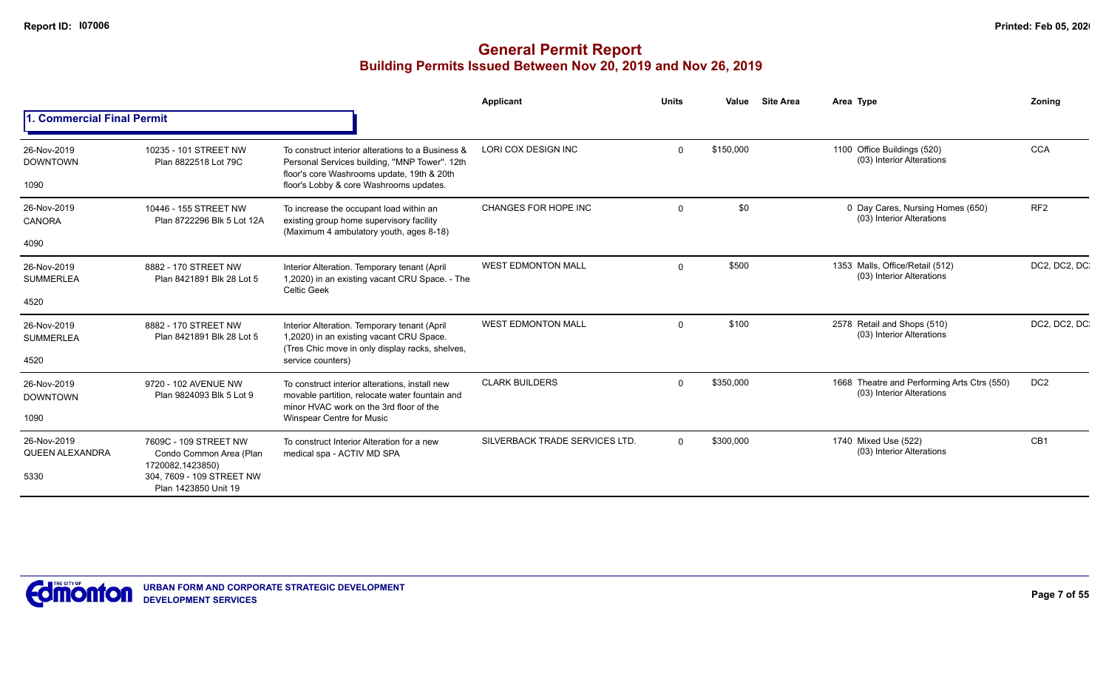|                                        |                                                                                                                           |                                                                                                                                                  | Applicant                      | <b>Units</b>    | Value                                                         | <b>Site Area</b> | Area Type                                                                | <b>Zoning</b>   |
|----------------------------------------|---------------------------------------------------------------------------------------------------------------------------|--------------------------------------------------------------------------------------------------------------------------------------------------|--------------------------------|-----------------|---------------------------------------------------------------|------------------|--------------------------------------------------------------------------|-----------------|
| <b>Commercial Final Permit</b>         |                                                                                                                           |                                                                                                                                                  |                                |                 |                                                               |                  |                                                                          |                 |
| 26-Nov-2019<br><b>DOWNTOWN</b>         | 10235 - 101 STREET NW<br>Plan 8822518 Lot 79C                                                                             | To construct interior alterations to a Business &<br>Personal Services building, "MNP Tower". 12th<br>floor's core Washrooms update, 19th & 20th | LORI COX DESIGN INC            | $\Omega$        | \$150,000                                                     |                  | 1100 Office Buildings (520)<br>(03) Interior Alterations                 | <b>CCA</b>      |
| 1090                                   |                                                                                                                           | floor's Lobby & core Washrooms updates.                                                                                                          |                                |                 |                                                               |                  |                                                                          |                 |
| 26-Nov-2019<br><b>CANORA</b>           | 10446 - 155 STREET NW<br>Plan 8722296 Blk 5 Lot 12A                                                                       | To increase the occupant load within an<br>existing group home supervisory facility<br>(Maximum 4 ambulatory youth, ages 8-18)                   | CHANGES FOR HOPE INC           | \$0<br>$\Omega$ | 0 Day Cares, Nursing Homes (650)<br>(03) Interior Alterations | RF <sub>2</sub>  |                                                                          |                 |
| 4090                                   |                                                                                                                           |                                                                                                                                                  |                                |                 |                                                               |                  |                                                                          |                 |
| 26-Nov-2019<br><b>SUMMERLEA</b>        | 8882 - 170 STREET NW<br>Plan 8421891 Blk 28 Lot 5                                                                         | Interior Alteration. Temporary tenant (April<br>1,2020) in an existing vacant CRU Space. - The<br><b>Celtic Geek</b>                             | <b>WEST EDMONTON MALL</b>      | $\Omega$        | \$500                                                         |                  | 1353 Malls, Office/Retail (512)<br>(03) Interior Alterations             | DC2, DC2, DC    |
| 4520                                   |                                                                                                                           |                                                                                                                                                  |                                |                 |                                                               |                  |                                                                          |                 |
| 26-Nov-2019<br><b>SUMMERLEA</b>        | 8882 - 170 STREET NW<br>Plan 8421891 Blk 28 Lot 5                                                                         | Interior Alteration. Temporary tenant (April<br>1,2020) in an existing vacant CRU Space.<br>(Tres Chic move in only display racks, shelves,      | <b>WEST EDMONTON MALL</b>      | $\Omega$        | \$100                                                         |                  | 2578 Retail and Shops (510)<br>(03) Interior Alterations                 | DC2, DC2, DC    |
| 4520                                   |                                                                                                                           | service counters)                                                                                                                                |                                |                 |                                                               |                  |                                                                          |                 |
| 26-Nov-2019<br><b>DOWNTOWN</b>         | 9720 - 102 AVENUE NW<br>Plan 9824093 Blk 5 Lot 9                                                                          | To construct interior alterations, install new<br>movable partition, relocate water fountain and                                                 | <b>CLARK BUILDERS</b>          | $\Omega$        | \$350,000                                                     |                  | 1668 Theatre and Performing Arts Ctrs (550)<br>(03) Interior Alterations | DC <sub>2</sub> |
| 1090                                   |                                                                                                                           | minor HVAC work on the 3rd floor of the<br>Winspear Centre for Music                                                                             |                                |                 |                                                               |                  |                                                                          |                 |
| 26-Nov-2019<br>QUEEN ALEXANDRA<br>5330 | 7609C - 109 STREET NW<br>Condo Common Area (Plan<br>1720082,1423850)<br>304, 7609 - 109 STREET NW<br>Plan 1423850 Unit 19 | To construct Interior Alteration for a new<br>medical spa - ACTIV MD SPA                                                                         | SILVERBACK TRADE SERVICES LTD. | 0               | \$300,000                                                     |                  | 1740 Mixed Use (522)<br>(03) Interior Alterations                        | CB <sub>1</sub> |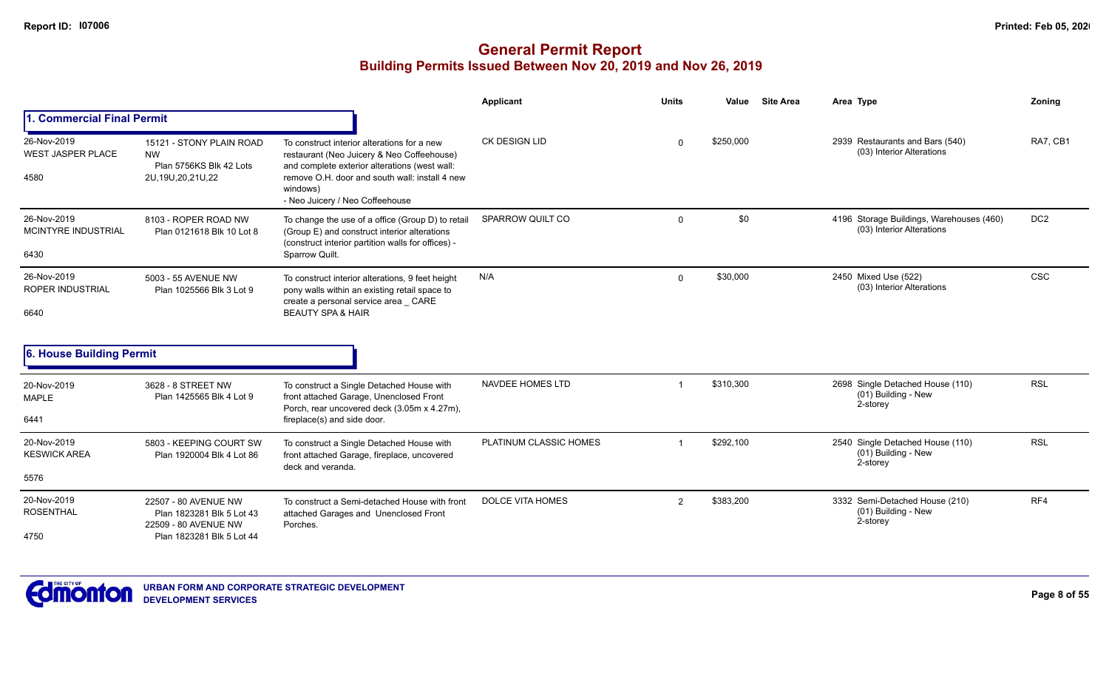|                                                   |                                                                                                        |                                                                                                                                                                                                                                             | Applicant               | <b>Units</b> | <b>Site Area</b><br>Value | Area Type                                                             | <b>Zoning</b>   |
|---------------------------------------------------|--------------------------------------------------------------------------------------------------------|---------------------------------------------------------------------------------------------------------------------------------------------------------------------------------------------------------------------------------------------|-------------------------|--------------|---------------------------|-----------------------------------------------------------------------|-----------------|
| 1. Commercial Final Permit                        |                                                                                                        |                                                                                                                                                                                                                                             |                         |              |                           |                                                                       |                 |
| 26-Nov-2019<br><b>WEST JASPER PLACE</b><br>4580   | 15121 - STONY PLAIN ROAD<br><b>NW</b><br>Plan 5756KS Blk 42 Lots<br>2U, 19U, 20, 21U, 22               | To construct interior alterations for a new<br>restaurant (Neo Juicery & Neo Coffeehouse)<br>and complete exterior alterations (west wall:<br>remove O.H. door and south wall: install 4 new<br>windows)<br>- Neo Juicery / Neo Coffeehouse | CK DESIGN LID           | <sup>n</sup> | \$250.000                 | 2939 Restaurants and Bars (540)<br>(03) Interior Alterations          | RA7, CB1        |
| 26-Nov-2019<br><b>MCINTYRE INDUSTRIAL</b><br>6430 | 8103 - ROPER ROAD NW<br>Plan 0121618 Blk 10 Lot 8                                                      | To change the use of a office (Group D) to retail<br>(Group E) and construct interior alterations<br>(construct interior partition walls for offices) -<br>Sparrow Quilt.                                                                   | SPARROW QUILT CO        | $\Omega$     | \$0                       | 4196 Storage Buildings, Warehouses (460)<br>(03) Interior Alterations | DC <sub>2</sub> |
| 26-Nov-2019<br><b>ROPER INDUSTRIAL</b><br>6640    | 5003 - 55 AVENUE NW<br>Plan 1025566 Blk 3 Lot 9                                                        | To construct interior alterations, 9 feet height<br>pony walls within an existing retail space to<br>create a personal service area CARE<br><b>BEAUTY SPA &amp; HAIR</b>                                                                    | N/A                     | $\Omega$     | \$30,000                  | 2450 Mixed Use (522)<br>(03) Interior Alterations                     | <b>CSC</b>      |
| 6. House Building Permit                          |                                                                                                        |                                                                                                                                                                                                                                             |                         |              |                           |                                                                       |                 |
| 20-Nov-2019<br><b>MAPLE</b><br>6441               | 3628 - 8 STREET NW<br>Plan 1425565 Blk 4 Lot 9                                                         | To construct a Single Detached House with<br>front attached Garage, Unenclosed Front<br>Porch, rear uncovered deck (3.05m x 4.27m),<br>fireplace(s) and side door.                                                                          | NAVDEE HOMES LTD        |              | \$310,300                 | 2698 Single Detached House (110)<br>(01) Building - New<br>2-storey   | <b>RSL</b>      |
| 20-Nov-2019<br><b>KESWICK AREA</b><br>5576        | 5803 - KEEPING COURT SW<br>Plan 1920004 Blk 4 Lot 86                                                   | To construct a Single Detached House with<br>front attached Garage, fireplace, uncovered<br>deck and veranda.                                                                                                                               | PLATINUM CLASSIC HOMES  |              | \$292,100                 | 2540 Single Detached House (110)<br>(01) Building - New<br>2-storey   | <b>RSL</b>      |
| 20-Nov-2019<br><b>ROSENTHAL</b><br>4750           | 22507 - 80 AVENUE NW<br>Plan 1823281 Blk 5 Lot 43<br>22509 - 80 AVENUE NW<br>Plan 1823281 Blk 5 Lot 44 | To construct a Semi-detached House with front<br>attached Garages and Unenclosed Front<br>Porches.                                                                                                                                          | <b>DOLCE VITA HOMES</b> | 2            | \$383,200                 | 3332 Semi-Detached House (210)<br>(01) Building - New<br>2-storey     | RF4             |

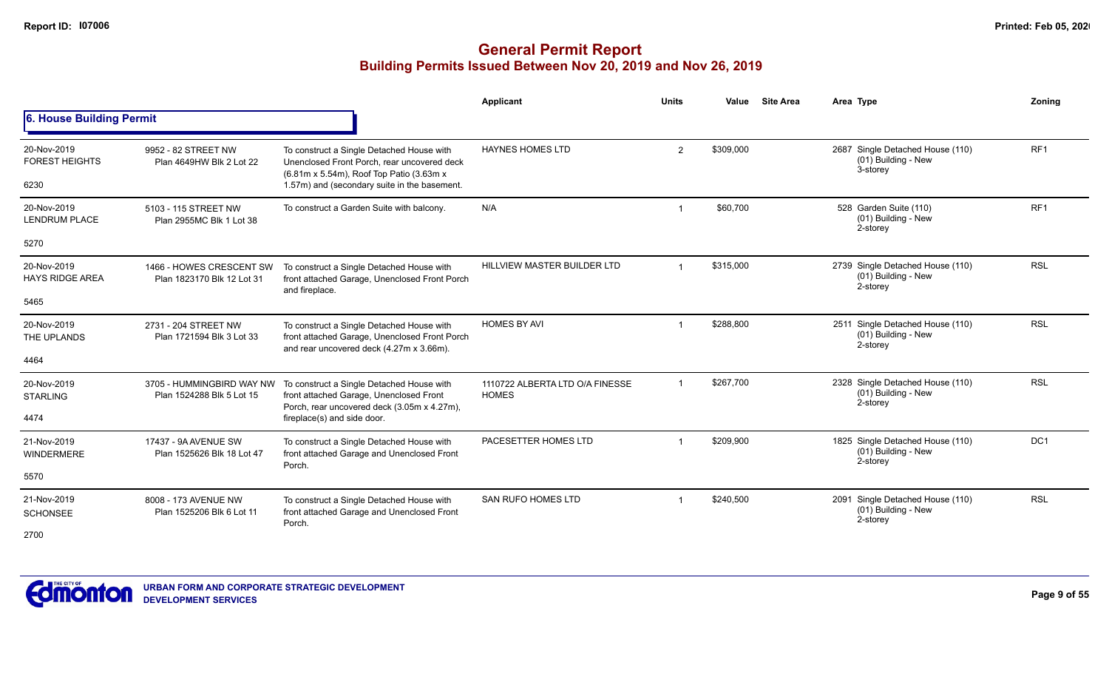|                                       |                                                        |                                                                                                                                        | <b>Applicant</b>                                | <b>Units</b>   | Value     | <b>Site Area</b> | Area Type                                                             | Zonina          |
|---------------------------------------|--------------------------------------------------------|----------------------------------------------------------------------------------------------------------------------------------------|-------------------------------------------------|----------------|-----------|------------------|-----------------------------------------------------------------------|-----------------|
| 6. House Building Permit              |                                                        |                                                                                                                                        |                                                 |                |           |                  |                                                                       |                 |
| 20-Nov-2019<br><b>FOREST HEIGHTS</b>  | 9952 - 82 STREET NW<br>Plan 4649HW Blk 2 Lot 22        | To construct a Single Detached House with<br>Unenclosed Front Porch, rear uncovered deck<br>(6.81m x 5.54m), Roof Top Patio (3.63m x   | <b>HAYNES HOMES LTD</b>                         | $\mathbf{2}$   | \$309,000 |                  | 2687 Single Detached House (110)<br>$(01)$ Building - New<br>3-storey | RF <sub>1</sub> |
| 6230                                  |                                                        | 1.57m) and (secondary suite in the basement.                                                                                           |                                                 |                |           |                  |                                                                       |                 |
| 20-Nov-2019<br><b>LENDRUM PLACE</b>   | 5103 - 115 STREET NW<br>Plan 2955MC Blk 1 Lot 38       | To construct a Garden Suite with balcony.                                                                                              | N/A                                             |                | \$60,700  |                  | 528 Garden Suite (110)<br>(01) Building - New<br>2-storey             | RF <sub>1</sub> |
| 5270                                  |                                                        |                                                                                                                                        |                                                 |                |           |                  |                                                                       |                 |
| 20-Nov-2019<br><b>HAYS RIDGE AREA</b> | 1466 - HOWES CRESCENT SW<br>Plan 1823170 Blk 12 Lot 31 | To construct a Single Detached House with<br>front attached Garage, Unenclosed Front Porch<br>and fireplace.                           | HILLVIEW MASTER BUILDER LTD                     | -1             | \$315,000 |                  | 2739 Single Detached House (110)<br>(01) Building - New<br>2-storey   | <b>RSL</b>      |
| 5465                                  |                                                        |                                                                                                                                        |                                                 |                |           |                  |                                                                       |                 |
| 20-Nov-2019<br>THE UPLANDS            | 2731 - 204 STREET NW<br>Plan 1721594 Blk 3 Lot 33      | To construct a Single Detached House with<br>front attached Garage, Unenclosed Front Porch<br>and rear uncovered deck (4.27m x 3.66m). | <b>HOMES BY AVI</b>                             | 1              | \$288,800 |                  | 2511 Single Detached House (110)<br>(01) Building - New<br>2-storey   | <b>RSL</b>      |
| 4464                                  |                                                        |                                                                                                                                        |                                                 |                |           |                  |                                                                       |                 |
| 20-Nov-2019<br><b>STARLING</b>        | 3705 - HUMMINGBIRD WAY NW<br>Plan 1524288 Blk 5 Lot 15 | To construct a Single Detached House with<br>front attached Garage, Unenclosed Front<br>Porch, rear uncovered deck (3.05m x 4.27m),    | 1110722 ALBERTA LTD O/A FINESSE<br><b>HOMES</b> | $\overline{1}$ | \$267,700 |                  | 2328 Single Detached House (110)<br>(01) Building - New<br>2-storey   | <b>RSL</b>      |
| 4474                                  |                                                        | fireplace(s) and side door.                                                                                                            |                                                 |                |           |                  |                                                                       |                 |
| 21-Nov-2019<br><b>WINDERMERE</b>      | 17437 - 9A AVENUE SW<br>Plan 1525626 Blk 18 Lot 47     | To construct a Single Detached House with<br>front attached Garage and Unenclosed Front<br>Porch.                                      | PACESETTER HOMES LTD                            |                | \$209,900 |                  | 1825 Single Detached House (110)<br>(01) Building - New<br>2-storey   | DC <sub>1</sub> |
| 5570                                  |                                                        |                                                                                                                                        |                                                 |                |           |                  |                                                                       |                 |
| 21-Nov-2019<br><b>SCHONSEE</b>        | 8008 - 173 AVENUE NW<br>Plan 1525206 Blk 6 Lot 11      | To construct a Single Detached House with<br>front attached Garage and Unenclosed Front<br>Porch.                                      | <b>SAN RUFO HOMES LTD</b>                       |                | \$240,500 |                  | 2091 Single Detached House (110)<br>(01) Building - New<br>2-storey   | <b>RSL</b>      |
| 2700                                  |                                                        |                                                                                                                                        |                                                 |                |           |                  |                                                                       |                 |

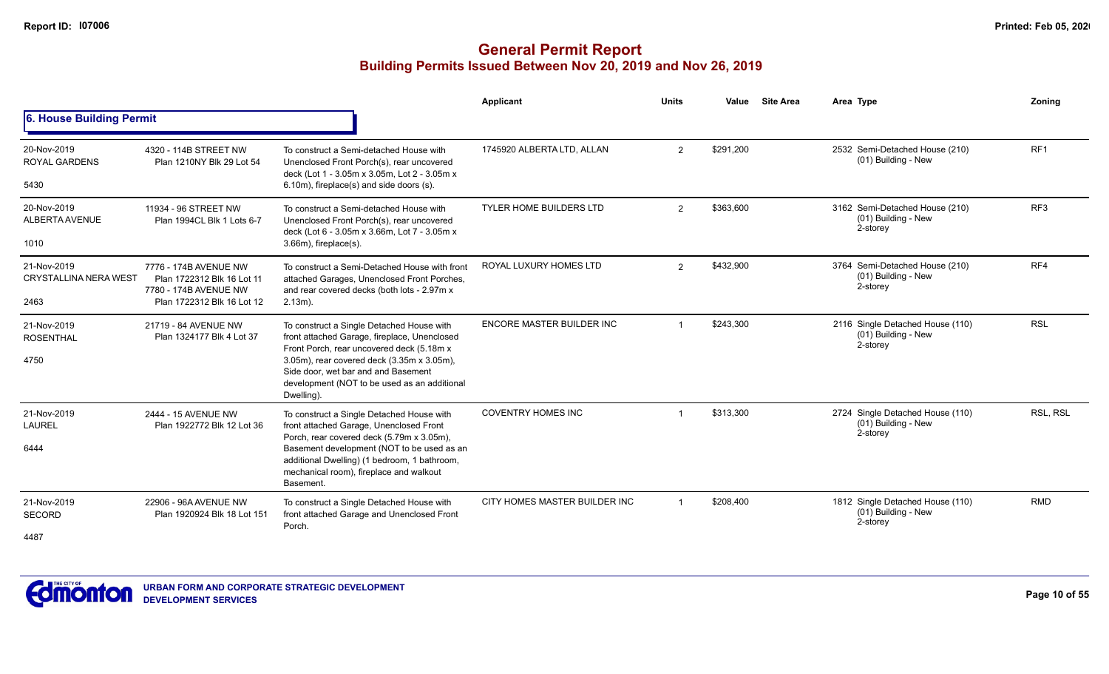|                                             |                                                                              |                                                                                                                                                                                                 | Applicant                      | <b>Units</b> | Value     | <b>Site Area</b> | Area Type                                                           | Zoning          |
|---------------------------------------------|------------------------------------------------------------------------------|-------------------------------------------------------------------------------------------------------------------------------------------------------------------------------------------------|--------------------------------|--------------|-----------|------------------|---------------------------------------------------------------------|-----------------|
| 6. House Building Permit                    |                                                                              |                                                                                                                                                                                                 |                                |              |           |                  |                                                                     |                 |
| 20-Nov-2019<br><b>ROYAL GARDENS</b>         | 4320 - 114B STREET NW<br>Plan 1210NY Blk 29 Lot 54                           | To construct a Semi-detached House with<br>Unenclosed Front Porch(s), rear uncovered<br>deck (Lot 1 - 3.05m x 3.05m, Lot 2 - 3.05m x                                                            | 1745920 ALBERTA LTD, ALLAN     | 2            | \$291,200 |                  | 2532 Semi-Detached House (210)<br>(01) Building - New               | RF <sub>1</sub> |
| 5430                                        |                                                                              | 6.10m), fireplace(s) and side doors (s).                                                                                                                                                        |                                |              |           |                  |                                                                     |                 |
| 20-Nov-2019<br>ALBERTA AVENUE               | 11934 - 96 STREET NW<br>Plan 1994CL Blk 1 Lots 6-7                           | To construct a Semi-detached House with<br>Unenclosed Front Porch(s), rear uncovered<br>deck (Lot 6 - 3.05m x 3.66m, Lot 7 - 3.05m x                                                            | <b>TYLER HOME BUILDERS LTD</b> | 2            | \$363,600 |                  | 3162 Semi-Detached House (210)<br>(01) Building - New<br>2-storey   | RF3             |
| 1010                                        |                                                                              | $3.66m$ , fireplace $(s)$ .                                                                                                                                                                     |                                |              |           |                  |                                                                     |                 |
| 21-Nov-2019<br><b>CRYSTALLINA NERA WEST</b> | 7776 - 174B AVENUE NW<br>Plan 1722312 Blk 16 Lot 11<br>7780 - 174B AVENUE NW | To construct a Semi-Detached House with front<br>attached Garages, Unenclosed Front Porches,<br>and rear covered decks (both lots - 2.97m x                                                     | ROYAL LUXURY HOMES LTD         | 2            | \$432,900 |                  | 3764 Semi-Detached House (210)<br>(01) Building - New<br>2-storey   | RF4             |
| 2463                                        | Plan 1722312 Blk 16 Lot 12                                                   | $2.13m$ ).                                                                                                                                                                                      |                                |              |           |                  |                                                                     |                 |
| 21-Nov-2019<br><b>ROSENTHAL</b>             | 21719 - 84 AVENUE NW<br>Plan 1324177 Blk 4 Lot 37                            | To construct a Single Detached House with<br>front attached Garage, fireplace, Unenclosed<br>Front Porch, rear uncovered deck (5.18m x                                                          | ENCORE MASTER BUILDER INC      | $\mathbf 1$  | \$243,300 |                  | 2116 Single Detached House (110)<br>(01) Building - New<br>2-storey | <b>RSL</b>      |
| 4750                                        |                                                                              | 3.05m), rear covered deck (3.35m x 3.05m),<br>Side door, wet bar and and Basement<br>development (NOT to be used as an additional<br>Dwelling).                                                 |                                |              |           |                  |                                                                     |                 |
| 21-Nov-2019<br><b>LAUREL</b>                | 2444 - 15 AVENUE NW<br>Plan 1922772 Blk 12 Lot 36                            | To construct a Single Detached House with<br>front attached Garage, Unenclosed Front                                                                                                            | <b>COVENTRY HOMES INC</b>      |              | \$313,300 |                  | 2724 Single Detached House (110)<br>(01) Building - New<br>2-storey | RSL, RSL        |
| 6444                                        |                                                                              | Porch, rear covered deck (5.79m x 3.05m),<br>Basement development (NOT to be used as an<br>additional Dwelling) (1 bedroom, 1 bathroom,<br>mechanical room), fireplace and walkout<br>Basement. |                                |              |           |                  |                                                                     |                 |
| 21-Nov-2019<br><b>SECORD</b>                | 22906 - 96A AVENUE NW<br>Plan 1920924 Blk 18 Lot 151                         | To construct a Single Detached House with<br>front attached Garage and Unenclosed Front                                                                                                         | CITY HOMES MASTER BUILDER INC  |              | \$208,400 |                  | 1812 Single Detached House (110)<br>(01) Building - New<br>2-storey | <b>RMD</b>      |
| 4487                                        | Porch.                                                                       |                                                                                                                                                                                                 |                                |              |           |                  |                                                                     |                 |

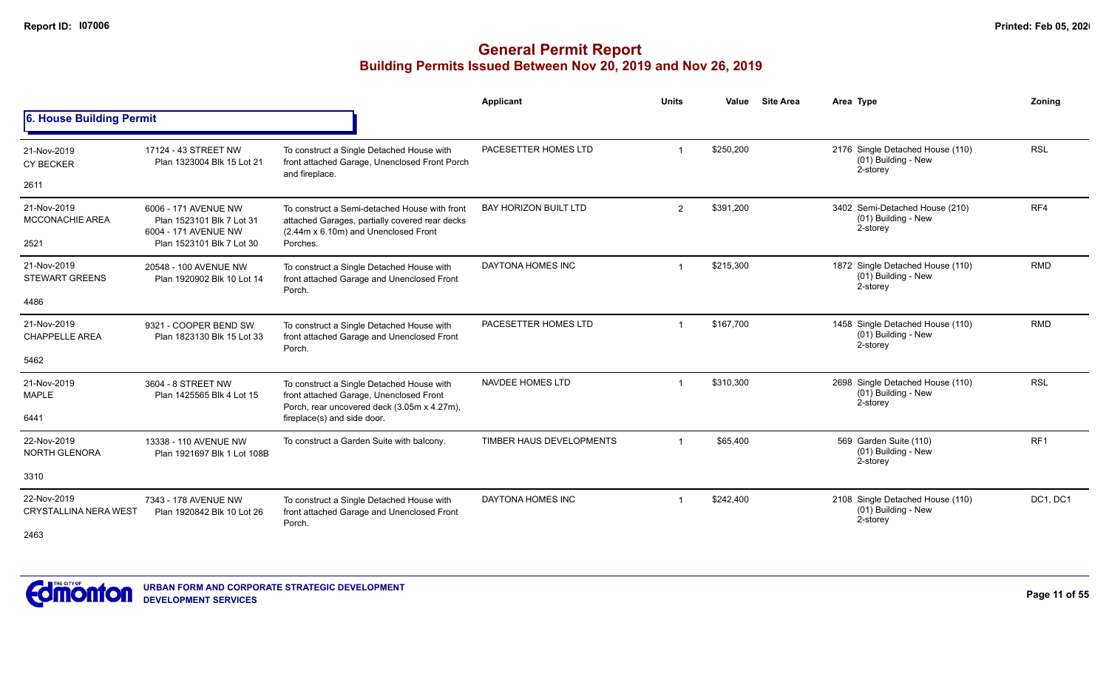|                                             |                                                                           |                                                                                                                                         | <b>Applicant</b>                                                                                                                                                                                                                                                                                                                                                                                                                                                                                                                                                                                                                                                                                                                                                                                                                                                                            | <b>Units</b> | Value | <b>Site Area</b> | Area Type | Zonina |
|---------------------------------------------|---------------------------------------------------------------------------|-----------------------------------------------------------------------------------------------------------------------------------------|---------------------------------------------------------------------------------------------------------------------------------------------------------------------------------------------------------------------------------------------------------------------------------------------------------------------------------------------------------------------------------------------------------------------------------------------------------------------------------------------------------------------------------------------------------------------------------------------------------------------------------------------------------------------------------------------------------------------------------------------------------------------------------------------------------------------------------------------------------------------------------------------|--------------|-------|------------------|-----------|--------|
| 6. House Building Permit                    |                                                                           |                                                                                                                                         | <b>RSL</b><br>PACESETTER HOMES LTD<br>\$250,200<br>2176 Single Detached House (110)<br>(01) Building - New<br>2-storey<br>RF4<br><b>BAY HORIZON BUILT LTD</b><br>\$391,200<br>3402 Semi-Detached House (210)<br>$\overline{2}$<br>(01) Building - New<br>2-storey<br>DAYTONA HOMES INC<br>\$215,300<br><b>RMD</b><br>1872 Single Detached House (110)<br>(01) Building - New<br>2-storey<br>PACESETTER HOMES LTD<br>\$167,700<br>1458 Single Detached House (110)<br><b>RMD</b><br>(01) Building - New<br>2-storey<br><b>RSL</b><br>\$310,300<br>2698 Single Detached House (110)<br>NAVDEE HOMES LTD<br>-1<br>(01) Building - New<br>2-storey<br>RF <sub>1</sub><br>TIMBER HAUS DEVELOPMENTS<br>569 Garden Suite (110)<br>\$65,400<br>(01) Building - New<br>2-storey<br>DAYTONA HOMES INC<br>2108 Single Detached House (110)<br>DC1, DC1<br>\$242,400<br>(01) Building - New<br>2-storey |              |       |                  |           |        |
| 21-Nov-2019<br><b>CY BECKER</b>             | 17124 - 43 STREET NW<br>Plan 1323004 Blk 15 Lot 21                        | To construct a Single Detached House with<br>front attached Garage, Unenclosed Front Porch<br>and fireplace.                            |                                                                                                                                                                                                                                                                                                                                                                                                                                                                                                                                                                                                                                                                                                                                                                                                                                                                                             |              |       |                  |           |        |
| 2611                                        |                                                                           |                                                                                                                                         |                                                                                                                                                                                                                                                                                                                                                                                                                                                                                                                                                                                                                                                                                                                                                                                                                                                                                             |              |       |                  |           |        |
| 21-Nov-2019<br><b>MCCONACHIE AREA</b>       | 6006 - 171 AVENUE NW<br>Plan 1523101 Blk 7 Lot 31<br>6004 - 171 AVENUE NW | To construct a Semi-detached House with front<br>attached Garages, partially covered rear decks<br>(2.44m x 6.10m) and Unenclosed Front |                                                                                                                                                                                                                                                                                                                                                                                                                                                                                                                                                                                                                                                                                                                                                                                                                                                                                             |              |       |                  |           |        |
| 2521                                        | Plan 1523101 Blk 7 Lot 30                                                 | Porches.                                                                                                                                |                                                                                                                                                                                                                                                                                                                                                                                                                                                                                                                                                                                                                                                                                                                                                                                                                                                                                             |              |       |                  |           |        |
| 21-Nov-2019<br><b>STEWART GREENS</b>        | 20548 - 100 AVENUE NW<br>Plan 1920902 Blk 10 Lot 14                       | To construct a Single Detached House with<br>front attached Garage and Unenclosed Front<br>Porch.                                       |                                                                                                                                                                                                                                                                                                                                                                                                                                                                                                                                                                                                                                                                                                                                                                                                                                                                                             |              |       |                  |           |        |
| 4486                                        |                                                                           |                                                                                                                                         |                                                                                                                                                                                                                                                                                                                                                                                                                                                                                                                                                                                                                                                                                                                                                                                                                                                                                             |              |       |                  |           |        |
| 21-Nov-2019<br><b>CHAPPELLE AREA</b>        | 9321 - COOPER BEND SW<br>Plan 1823130 Blk 15 Lot 33                       | To construct a Single Detached House with<br>front attached Garage and Unenclosed Front<br>Porch.                                       |                                                                                                                                                                                                                                                                                                                                                                                                                                                                                                                                                                                                                                                                                                                                                                                                                                                                                             |              |       |                  |           |        |
| 5462                                        |                                                                           |                                                                                                                                         |                                                                                                                                                                                                                                                                                                                                                                                                                                                                                                                                                                                                                                                                                                                                                                                                                                                                                             |              |       |                  |           |        |
| 21-Nov-2019<br><b>MAPLE</b>                 | 3604 - 8 STREET NW<br>Plan 1425565 Blk 4 Lot 15                           | To construct a Single Detached House with<br>front attached Garage, Unenclosed Front<br>Porch, rear uncovered deck (3.05m x 4.27m),     |                                                                                                                                                                                                                                                                                                                                                                                                                                                                                                                                                                                                                                                                                                                                                                                                                                                                                             |              |       |                  |           |        |
| 6441                                        |                                                                           | fireplace(s) and side door.                                                                                                             |                                                                                                                                                                                                                                                                                                                                                                                                                                                                                                                                                                                                                                                                                                                                                                                                                                                                                             |              |       |                  |           |        |
| 22-Nov-2019<br>NORTH GLENORA                | 13338 - 110 AVENUE NW<br>Plan 1921697 Blk 1 Lot 108B                      | To construct a Garden Suite with balcony.                                                                                               |                                                                                                                                                                                                                                                                                                                                                                                                                                                                                                                                                                                                                                                                                                                                                                                                                                                                                             |              |       |                  |           |        |
| 3310                                        |                                                                           |                                                                                                                                         |                                                                                                                                                                                                                                                                                                                                                                                                                                                                                                                                                                                                                                                                                                                                                                                                                                                                                             |              |       |                  |           |        |
| 22-Nov-2019<br><b>CRYSTALLINA NERA WEST</b> | 7343 - 178 AVENUE NW<br>Plan 1920842 Blk 10 Lot 26                        | To construct a Single Detached House with<br>front attached Garage and Unenclosed Front<br>Porch.                                       |                                                                                                                                                                                                                                                                                                                                                                                                                                                                                                                                                                                                                                                                                                                                                                                                                                                                                             |              |       |                  |           |        |
| 2463                                        |                                                                           |                                                                                                                                         |                                                                                                                                                                                                                                                                                                                                                                                                                                                                                                                                                                                                                                                                                                                                                                                                                                                                                             |              |       |                  |           |        |

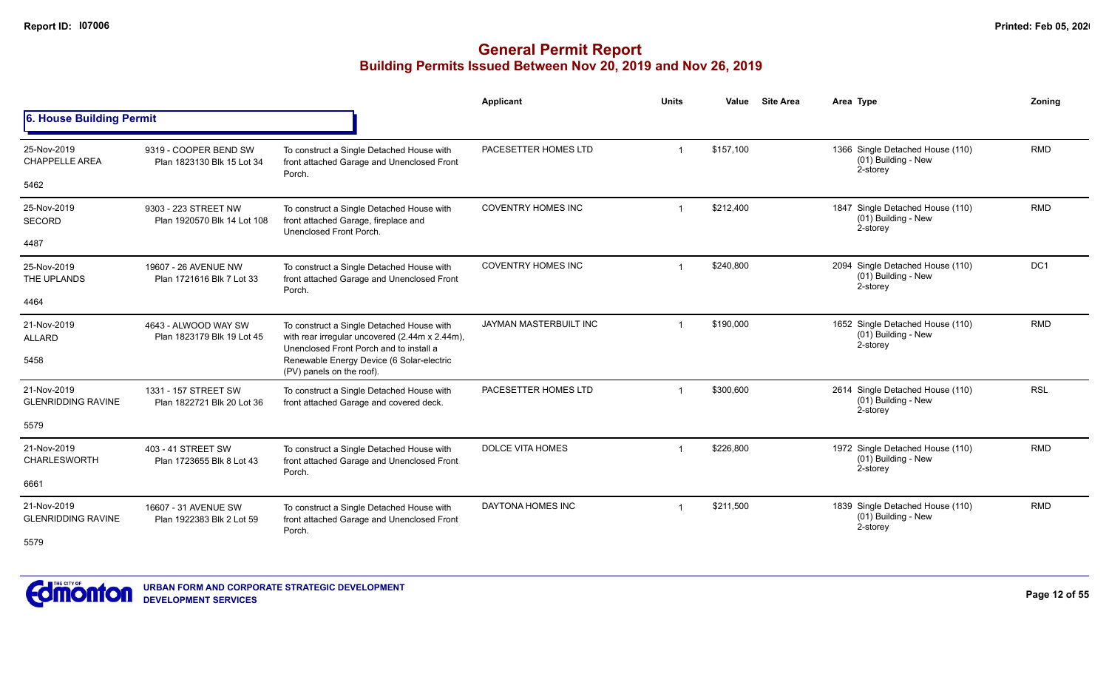|                                          |                                                     |                                                                                                                                        | <b>Applicant</b>          | <b>Units</b>            | <b>Site Area</b><br>Value | Area Type                                                             | Zoning          |
|------------------------------------------|-----------------------------------------------------|----------------------------------------------------------------------------------------------------------------------------------------|---------------------------|-------------------------|---------------------------|-----------------------------------------------------------------------|-----------------|
| 6. House Building Permit                 |                                                     |                                                                                                                                        |                           |                         |                           |                                                                       |                 |
| 25-Nov-2019<br><b>CHAPPELLE AREA</b>     | 9319 - COOPER BEND SW<br>Plan 1823130 Blk 15 Lot 34 | To construct a Single Detached House with<br>front attached Garage and Unenclosed Front<br>Porch.                                      | PACESETTER HOMES LTD      |                         | \$157,100                 | 1366 Single Detached House (110)<br>$(01)$ Building - New<br>2-storey | <b>RMD</b>      |
| 5462                                     |                                                     |                                                                                                                                        |                           |                         |                           |                                                                       |                 |
| 25-Nov-2019<br><b>SECORD</b>             | 9303 - 223 STREET NW<br>Plan 1920570 Blk 14 Lot 108 | To construct a Single Detached House with<br>front attached Garage, fireplace and<br>Unenclosed Front Porch.                           | <b>COVENTRY HOMES INC</b> |                         | \$212,400                 | 1847 Single Detached House (110)<br>(01) Building - New<br>2-storey   | <b>RMD</b>      |
| 4487                                     |                                                     |                                                                                                                                        |                           |                         |                           |                                                                       |                 |
| 25-Nov-2019<br>THE UPLANDS               | 19607 - 26 AVENUE NW<br>Plan 1721616 Blk 7 Lot 33   | To construct a Single Detached House with<br>front attached Garage and Unenclosed Front<br>Porch.                                      | <b>COVENTRY HOMES INC</b> | $\overline{\mathbf{1}}$ | \$240,800                 | 2094 Single Detached House (110)<br>(01) Building - New<br>2-storey   | DC <sub>1</sub> |
| 4464                                     |                                                     |                                                                                                                                        |                           |                         |                           |                                                                       |                 |
| 21-Nov-2019<br><b>ALLARD</b>             | 4643 - ALWOOD WAY SW<br>Plan 1823179 Blk 19 Lot 45  | To construct a Single Detached House with<br>with rear irregular uncovered (2.44m x 2.44m),<br>Unenclosed Front Porch and to install a | JAYMAN MASTERBUILT INC    | -1                      | \$190,000                 | 1652 Single Detached House (110)<br>(01) Building - New<br>2-storey   | <b>RMD</b>      |
| 5458                                     |                                                     | Renewable Energy Device (6 Solar-electric<br>(PV) panels on the roof).                                                                 |                           |                         |                           |                                                                       |                 |
| 21-Nov-2019<br><b>GLENRIDDING RAVINE</b> | 1331 - 157 STREET SW<br>Plan 1822721 Blk 20 Lot 36  | To construct a Single Detached House with<br>front attached Garage and covered deck.                                                   | PACESETTER HOMES LTD      |                         | \$300,600                 | 2614 Single Detached House (110)<br>(01) Building - New<br>2-storey   | <b>RSL</b>      |
| 5579                                     |                                                     |                                                                                                                                        |                           |                         |                           |                                                                       |                 |
| 21-Nov-2019<br><b>CHARLESWORTH</b>       | 403 - 41 STREET SW<br>Plan 1723655 Blk 8 Lot 43     | To construct a Single Detached House with<br>front attached Garage and Unenclosed Front<br>Porch.                                      | <b>DOLCE VITA HOMES</b>   | $\overline{1}$          | \$226,800                 | 1972 Single Detached House (110)<br>(01) Building - New<br>2-storey   | <b>RMD</b>      |
| 6661                                     |                                                     |                                                                                                                                        |                           |                         |                           |                                                                       |                 |
| 21-Nov-2019<br><b>GLENRIDDING RAVINE</b> | 16607 - 31 AVENUE SW<br>Plan 1922383 Blk 2 Lot 59   | To construct a Single Detached House with<br>front attached Garage and Unenclosed Front<br>Porch.                                      | DAYTONA HOMES INC         | -1                      | \$211,500                 | 1839 Single Detached House (110)<br>(01) Building - New<br>2-storey   | <b>RMD</b>      |
| 5579                                     |                                                     |                                                                                                                                        |                           |                         |                           |                                                                       |                 |

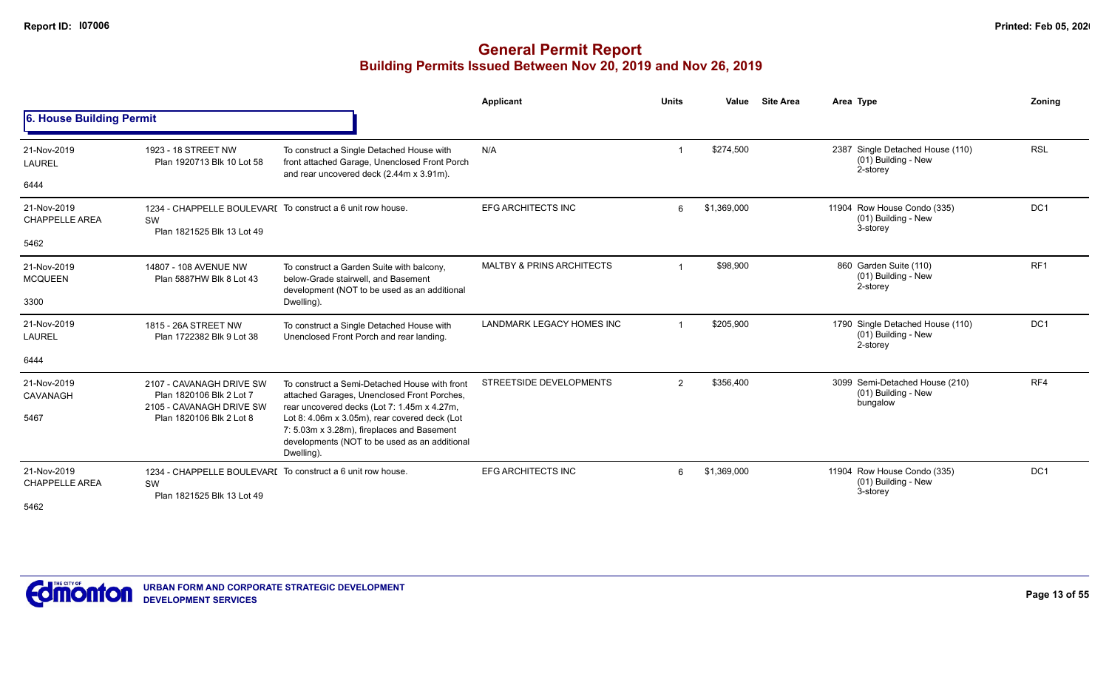|                                              |                                                                                                 |                                                                                                                                                            | Applicant                            | <b>Units</b>   | Value       | <b>Site Area</b> | Area Type                                                           | Zoning          |
|----------------------------------------------|-------------------------------------------------------------------------------------------------|------------------------------------------------------------------------------------------------------------------------------------------------------------|--------------------------------------|----------------|-------------|------------------|---------------------------------------------------------------------|-----------------|
| 6. House Building Permit                     |                                                                                                 |                                                                                                                                                            |                                      |                |             |                  |                                                                     |                 |
| 21-Nov-2019<br><b>LAUREL</b>                 | 1923 - 18 STREET NW<br>Plan 1920713 Blk 10 Lot 58                                               | To construct a Single Detached House with<br>front attached Garage, Unenclosed Front Porch<br>and rear uncovered deck (2.44m x 3.91m).                     | N/A                                  |                | \$274,500   |                  | 2387 Single Detached House (110)<br>(01) Building - New<br>2-storey | <b>RSL</b>      |
| 6444                                         |                                                                                                 |                                                                                                                                                            |                                      |                |             |                  |                                                                     |                 |
| 21-Nov-2019<br><b>CHAPPELLE AREA</b>         | 1234 - CHAPPELLE BOULEVARI To construct a 6 unit row house.<br>SW<br>Plan 1821525 Blk 13 Lot 49 |                                                                                                                                                            | <b>EFG ARCHITECTS INC</b>            | 6              | \$1,369,000 |                  | 11904 Row House Condo (335)<br>(01) Building - New<br>3-storey      | DC <sub>1</sub> |
| 5462                                         | 14807 - 108 AVENUE NW                                                                           |                                                                                                                                                            |                                      |                |             |                  |                                                                     |                 |
| 21-Nov-2019<br><b>MCQUEEN</b>                | Plan 5887HW Blk 8 Lot 43                                                                        | To construct a Garden Suite with balcony,<br>below-Grade stairwell, and Basement<br>development (NOT to be used as an additional                           | <b>MALTBY &amp; PRINS ARCHITECTS</b> |                | \$98,900    |                  | 860 Garden Suite (110)<br>(01) Building - New<br>2-storey           | RF <sub>1</sub> |
| 3300                                         |                                                                                                 | Dwelling).                                                                                                                                                 |                                      |                |             |                  |                                                                     |                 |
| 21-Nov-2019<br><b>LAUREL</b>                 | 1815 - 26A STREET NW<br>Plan 1722382 Blk 9 Lot 38                                               | To construct a Single Detached House with<br>Unenclosed Front Porch and rear landing.                                                                      | <b>LANDMARK LEGACY HOMES INC</b>     |                | \$205,900   |                  | 1790 Single Detached House (110)<br>(01) Building - New<br>2-storey | DC <sub>1</sub> |
| 6444                                         |                                                                                                 |                                                                                                                                                            |                                      |                |             |                  |                                                                     |                 |
| 21-Nov-2019<br>CAVANAGH                      | 2107 - CAVANAGH DRIVE SW<br>Plan 1820106 Blk 2 Lot 7<br>2105 - CAVANAGH DRIVE SW                | To construct a Semi-Detached House with front<br>attached Garages, Unenclosed Front Porches,<br>rear uncovered decks (Lot 7: 1.45m x 4.27m,                | STREETSIDE DEVELOPMENTS              | $\overline{2}$ | \$356,400   |                  | 3099 Semi-Detached House (210)<br>(01) Building - New<br>bungalow   | RF4             |
| 5467                                         | Plan 1820106 Blk 2 Lot 8                                                                        | Lot 8: 4.06m x 3.05m), rear covered deck (Lot<br>7: 5.03m x 3.28m), fireplaces and Basement<br>developments (NOT to be used as an additional<br>Dwelling). |                                      |                |             |                  |                                                                     |                 |
| 21-Nov-2019<br><b>CHAPPELLE AREA</b><br>5462 | 1234 - CHAPPELLE BOULEVARI To construct a 6 unit row house.<br>SW<br>Plan 1821525 Blk 13 Lot 49 |                                                                                                                                                            | <b>EFG ARCHITECTS INC</b>            | 6              | \$1,369,000 |                  | 11904 Row House Condo (335)<br>(01) Building - New<br>3-storey      | DC <sub>1</sub> |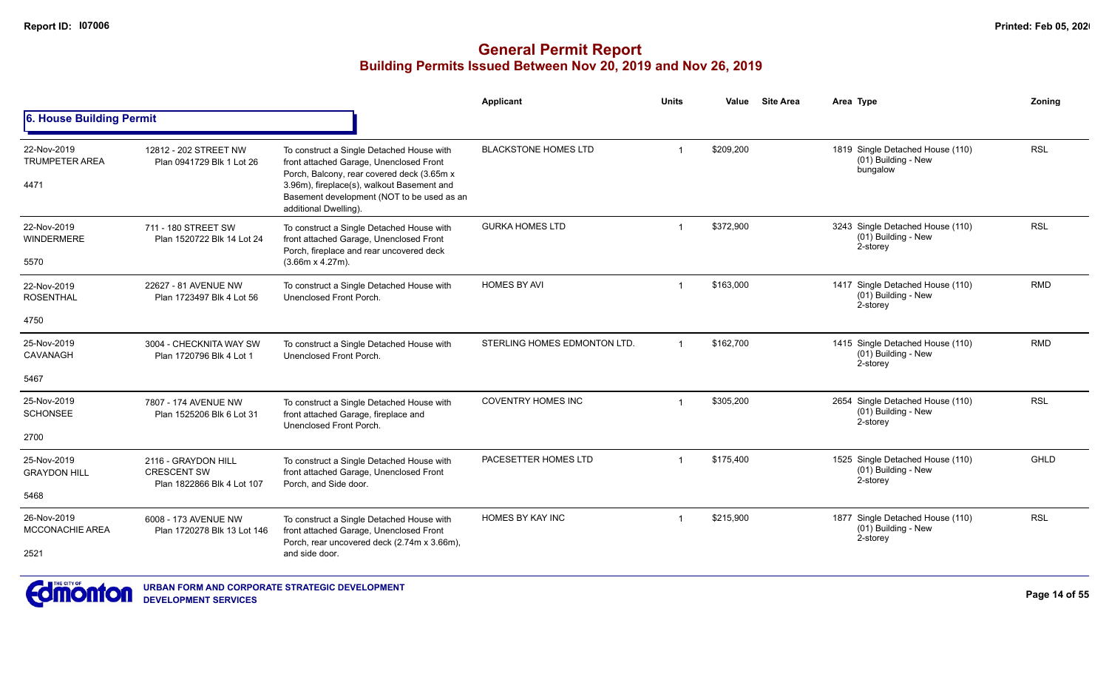|                                               |                                                                         |                                                                                                                                                                                                                                                         | <b>Applicant</b>             | <b>Units</b>            | Value     | <b>Site Area</b> | Area Type                                                           | Zonina      |
|-----------------------------------------------|-------------------------------------------------------------------------|---------------------------------------------------------------------------------------------------------------------------------------------------------------------------------------------------------------------------------------------------------|------------------------------|-------------------------|-----------|------------------|---------------------------------------------------------------------|-------------|
| 6. House Building Permit                      |                                                                         |                                                                                                                                                                                                                                                         |                              |                         |           |                  |                                                                     |             |
| 22-Nov-2019<br><b>TRUMPETER AREA</b><br>4471  | 12812 - 202 STREET NW<br>Plan 0941729 Blk 1 Lot 26                      | To construct a Single Detached House with<br>front attached Garage, Unenclosed Front<br>Porch, Balcony, rear covered deck (3.65m x<br>3.96m), fireplace(s), walkout Basement and<br>Basement development (NOT to be used as an<br>additional Dwelling). | <b>BLACKSTONE HOMES LTD</b>  | $\overline{1}$          | \$209,200 |                  | 1819 Single Detached House (110)<br>(01) Building - New<br>bungalow | <b>RSL</b>  |
| 22-Nov-2019<br><b>WINDERMERE</b><br>5570      | 711 - 180 STREET SW<br>Plan 1520722 Blk 14 Lot 24                       | To construct a Single Detached House with<br>front attached Garage, Unenclosed Front<br>Porch, fireplace and rear uncovered deck<br>$(3.66m \times 4.27m)$ .                                                                                            | <b>GURKA HOMES LTD</b>       | $\overline{1}$          | \$372,900 |                  | 3243 Single Detached House (110)<br>(01) Building - New<br>2-storey | <b>RSL</b>  |
| 22-Nov-2019<br><b>ROSENTHAL</b><br>4750       | 22627 - 81 AVENUE NW<br>Plan 1723497 Blk 4 Lot 56                       | To construct a Single Detached House with<br>Unenclosed Front Porch.                                                                                                                                                                                    | <b>HOMES BY AVI</b>          | $\overline{1}$          | \$163,000 |                  | 1417 Single Detached House (110)<br>(01) Building - New<br>2-storey | <b>RMD</b>  |
| 25-Nov-2019<br>CAVANAGH<br>5467               | 3004 - CHECKNITA WAY SW<br>Plan 1720796 Blk 4 Lot 1                     | To construct a Single Detached House with<br>Unenclosed Front Porch.                                                                                                                                                                                    | STERLING HOMES EDMONTON LTD. | $\overline{1}$          | \$162,700 |                  | 1415 Single Detached House (110)<br>(01) Building - New<br>2-storey | <b>RMD</b>  |
| 25-Nov-2019<br><b>SCHONSEE</b><br>2700        | 7807 - 174 AVENUE NW<br>Plan 1525206 Blk 6 Lot 31                       | To construct a Single Detached House with<br>front attached Garage, fireplace and<br>Unenclosed Front Porch.                                                                                                                                            | <b>COVENTRY HOMES INC</b>    | $\overline{\mathbf{1}}$ | \$305,200 |                  | 2654 Single Detached House (110)<br>(01) Building - New<br>2-storey | <b>RSL</b>  |
| 25-Nov-2019<br><b>GRAYDON HILL</b><br>5468    | 2116 - GRAYDON HILL<br><b>CRESCENT SW</b><br>Plan 1822866 Blk 4 Lot 107 | To construct a Single Detached House with<br>front attached Garage, Unenclosed Front<br>Porch, and Side door.                                                                                                                                           | PACESETTER HOMES LTD         | $\overline{1}$          | \$175,400 |                  | 1525 Single Detached House (110)<br>(01) Building - New<br>2-storey | <b>GHLD</b> |
| 26-Nov-2019<br><b>MCCONACHIE AREA</b><br>2521 | 6008 - 173 AVENUE NW<br>Plan 1720278 Blk 13 Lot 146                     | To construct a Single Detached House with<br>front attached Garage, Unenclosed Front<br>Porch, rear uncovered deck (2.74m x 3.66m),<br>and side door.                                                                                                   | <b>HOMES BY KAY INC</b>      | -1                      | \$215,900 |                  | 1877 Single Detached House (110)<br>(01) Building - New<br>2-storey | <b>RSL</b>  |

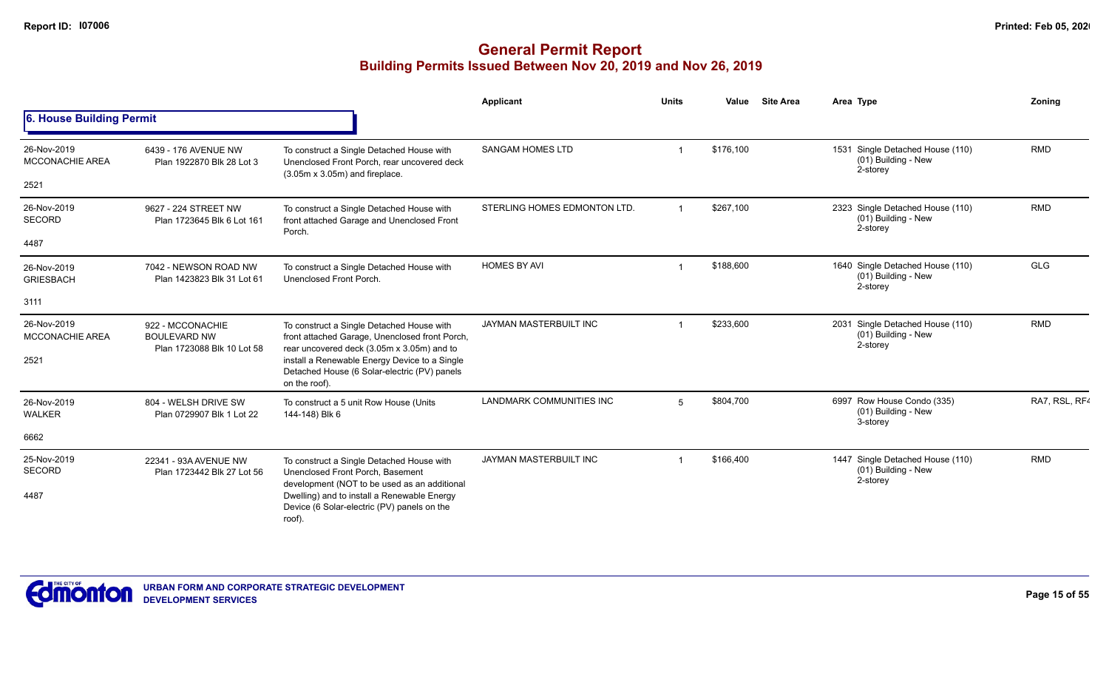|                                       |                                                                                                                                                                                                                                                                                              |                                                                                                                                           | Applicant                    | <b>Units</b> | Value     | <b>Site Area</b> | Area Type                                                             | Zoning        |
|---------------------------------------|----------------------------------------------------------------------------------------------------------------------------------------------------------------------------------------------------------------------------------------------------------------------------------------------|-------------------------------------------------------------------------------------------------------------------------------------------|------------------------------|--------------|-----------|------------------|-----------------------------------------------------------------------|---------------|
| 6. House Building Permit              |                                                                                                                                                                                                                                                                                              |                                                                                                                                           |                              |              |           |                  |                                                                       |               |
| 26-Nov-2019<br><b>MCCONACHIE AREA</b> | 6439 - 176 AVENUE NW<br>Plan 1922870 Blk 28 Lot 3                                                                                                                                                                                                                                            | To construct a Single Detached House with<br>Unenclosed Front Porch, rear uncovered deck<br>$(3.05m \times 3.05m)$ and fireplace.         | <b>SANGAM HOMES LTD</b>      |              | \$176,100 |                  | 1531 Single Detached House (110)<br>(01) Building - New<br>2-storey   | <b>RMD</b>    |
| 2521                                  |                                                                                                                                                                                                                                                                                              |                                                                                                                                           |                              |              |           |                  |                                                                       |               |
| 26-Nov-2019<br>SECORD                 | 9627 - 224 STREET NW<br>Plan 1723645 Blk 6 Lot 161                                                                                                                                                                                                                                           | To construct a Single Detached House with<br>front attached Garage and Unenclosed Front<br>Porch.                                         | STERLING HOMES EDMONTON LTD. |              | \$267,100 |                  | 2323 Single Detached House (110)<br>$(01)$ Building - New<br>2-storey | <b>RMD</b>    |
| 4487                                  |                                                                                                                                                                                                                                                                                              |                                                                                                                                           |                              |              |           |                  |                                                                       |               |
| 26-Nov-2019<br><b>GRIESBACH</b>       | 7042 - NEWSON ROAD NW<br>Plan 1423823 Blk 31 Lot 61                                                                                                                                                                                                                                          | To construct a Single Detached House with<br>Unenclosed Front Porch.                                                                      | <b>HOMES BY AVI</b>          |              | \$188,600 |                  | 1640 Single Detached House (110)<br>(01) Building - New<br>2-storey   | <b>GLG</b>    |
| 3111                                  |                                                                                                                                                                                                                                                                                              |                                                                                                                                           |                              |              |           |                  |                                                                       |               |
| 26-Nov-2019<br>MCCONACHIE AREA        | 922 - MCCONACHIE<br><b>BOULEVARD NW</b><br>Plan 1723088 Blk 10 Lot 58                                                                                                                                                                                                                        | To construct a Single Detached House with<br>front attached Garage, Unenclosed front Porch,<br>rear uncovered deck (3.05m x 3.05m) and to | JAYMAN MASTERBUILT INC       |              | \$233,600 |                  | 2031 Single Detached House (110)<br>(01) Building - New<br>2-storey   | <b>RMD</b>    |
| 2521                                  |                                                                                                                                                                                                                                                                                              | install a Renewable Energy Device to a Single<br>Detached House (6 Solar-electric (PV) panels<br>on the roof).                            |                              |              |           |                  |                                                                       |               |
| 26-Nov-2019<br><b>WALKER</b>          | 804 - WELSH DRIVE SW<br>Plan 0729907 Blk 1 Lot 22                                                                                                                                                                                                                                            | To construct a 5 unit Row House (Units<br>144-148) Blk 6                                                                                  | LANDMARK COMMUNITIES INC     | 5            | \$804,700 |                  | 6997 Row House Condo (335)<br>(01) Building - New<br>3-storey         | RA7, RSL, RF4 |
| 6662                                  |                                                                                                                                                                                                                                                                                              |                                                                                                                                           |                              |              |           |                  |                                                                       |               |
| 25-Nov-2019<br>SECORD                 | 22341 - 93A AVENUE NW<br>To construct a Single Detached House with<br>Unenclosed Front Porch, Basement<br>Plan 1723442 Blk 27 Lot 56<br>development (NOT to be used as an additional<br>Dwelling) and to install a Renewable Energy<br>Device (6 Solar-electric (PV) panels on the<br>roof). |                                                                                                                                           | JAYMAN MASTERBUILT INC       |              | \$166,400 |                  | 1447 Single Detached House (110)<br>$(01)$ Building - New<br>2-storey | <b>RMD</b>    |
| 4487                                  |                                                                                                                                                                                                                                                                                              |                                                                                                                                           |                              |              |           |                  |                                                                       |               |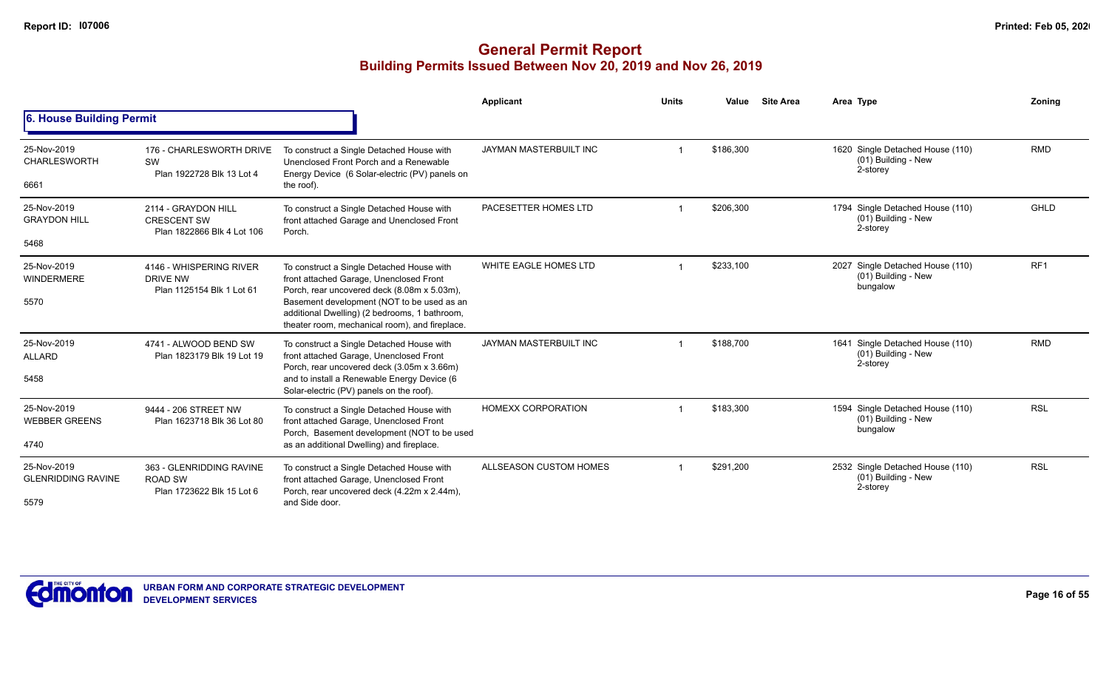|                                                  |                                                                         |                                                                                                                                                                                                                                                                                      | Applicant                 | <b>Units</b> | Value     | <b>Site Area</b> | Area Type                                                           | Zoning          |
|--------------------------------------------------|-------------------------------------------------------------------------|--------------------------------------------------------------------------------------------------------------------------------------------------------------------------------------------------------------------------------------------------------------------------------------|---------------------------|--------------|-----------|------------------|---------------------------------------------------------------------|-----------------|
| 6. House Building Permit                         |                                                                         |                                                                                                                                                                                                                                                                                      |                           |              |           |                  |                                                                     |                 |
| 25-Nov-2019<br><b>CHARLESWORTH</b><br>6661       | 176 - CHARLESWORTH DRIVE<br>SW<br>Plan 1922728 Blk 13 Lot 4             | To construct a Single Detached House with<br>Unenclosed Front Porch and a Renewable<br>Energy Device (6 Solar-electric (PV) panels on<br>the roof).                                                                                                                                  | JAYMAN MASTERBUILT INC    |              | \$186,300 |                  | 1620 Single Detached House (110)<br>(01) Building - New<br>2-storey | <b>RMD</b>      |
| 25-Nov-2019<br><b>GRAYDON HILL</b><br>5468       | 2114 - GRAYDON HILL<br><b>CRESCENT SW</b><br>Plan 1822866 Blk 4 Lot 106 | To construct a Single Detached House with<br>front attached Garage and Unenclosed Front<br>Porch.                                                                                                                                                                                    | PACESETTER HOMES LTD      |              | \$206,300 |                  | 1794 Single Detached House (110)<br>(01) Building - New<br>2-storey | <b>GHLD</b>     |
| 25-Nov-2019<br><b>WINDERMERE</b><br>5570         | 4146 - WHISPERING RIVER<br>DRIVE NW<br>Plan 1125154 Blk 1 Lot 61        | To construct a Single Detached House with<br>front attached Garage, Unenclosed Front<br>Porch, rear uncovered deck (8.08m x 5.03m),<br>Basement development (NOT to be used as an<br>additional Dwelling) (2 bedrooms, 1 bathroom,<br>theater room, mechanical room), and fireplace. | WHITE EAGLE HOMES LTD     |              | \$233,100 |                  | 2027 Single Detached House (110)<br>(01) Building - New<br>bungalow | RF <sub>1</sub> |
| 25-Nov-2019<br><b>ALLARD</b><br>5458             | 4741 - ALWOOD BEND SW<br>Plan 1823179 Blk 19 Lot 19                     | To construct a Single Detached House with<br>front attached Garage, Unenclosed Front<br>Porch, rear uncovered deck (3.05m x 3.66m)<br>and to install a Renewable Energy Device (6<br>Solar-electric (PV) panels on the roof).                                                        | JAYMAN MASTERBUILT INC    |              | \$188.700 |                  | 1641 Single Detached House (110)<br>(01) Building - New<br>2-storey | <b>RMD</b>      |
| 25-Nov-2019<br><b>WEBBER GREENS</b><br>4740      | 9444 - 206 STREET NW<br>Plan 1623718 Blk 36 Lot 80                      | To construct a Single Detached House with<br>front attached Garage, Unenclosed Front<br>Porch, Basement development (NOT to be used<br>as an additional Dwelling) and fireplace.                                                                                                     | <b>HOMEXX CORPORATION</b> |              | \$183,300 |                  | 1594 Single Detached House (110)<br>(01) Building - New<br>bungalow | <b>RSL</b>      |
| 25-Nov-2019<br><b>GLENRIDDING RAVINE</b><br>5579 | 363 - GLENRIDDING RAVINE<br><b>ROAD SW</b><br>Plan 1723622 Blk 15 Lot 6 | To construct a Single Detached House with<br>front attached Garage, Unenclosed Front<br>Porch, rear uncovered deck (4.22m x 2.44m),<br>and Side door.                                                                                                                                | ALLSEASON CUSTOM HOMES    |              | \$291,200 |                  | 2532 Single Detached House (110)<br>(01) Building - New<br>2-storey | <b>RSL</b>      |

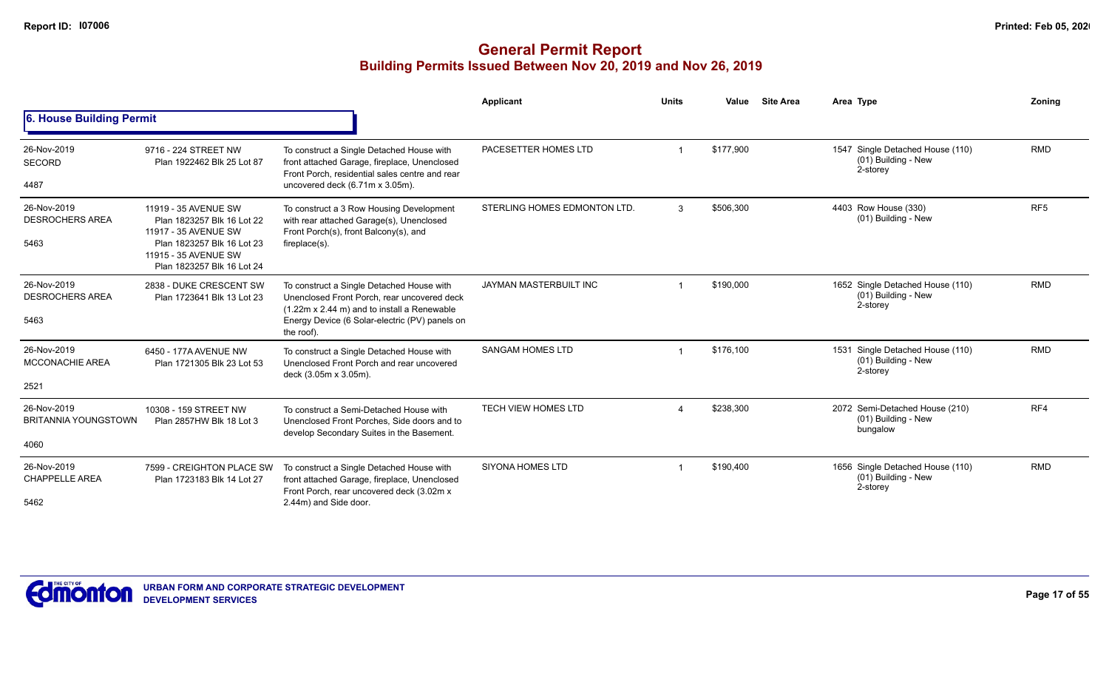|                                                    |                                                                                                                                                                |                                                                                                                                                                                                         | <b>Applicant</b>              | <b>Units</b>           | Value     | <b>Site Area</b> | Area Type                                                           | Zonina          |
|----------------------------------------------------|----------------------------------------------------------------------------------------------------------------------------------------------------------------|---------------------------------------------------------------------------------------------------------------------------------------------------------------------------------------------------------|-------------------------------|------------------------|-----------|------------------|---------------------------------------------------------------------|-----------------|
| 6. House Building Permit                           |                                                                                                                                                                |                                                                                                                                                                                                         |                               |                        |           |                  |                                                                     |                 |
| 26-Nov-2019<br><b>SECORD</b><br>4487               | 9716 - 224 STREET NW<br>Plan 1922462 Blk 25 Lot 87                                                                                                             | To construct a Single Detached House with<br>front attached Garage, fireplace, Unenclosed<br>Front Porch, residential sales centre and rear<br>uncovered deck (6.71m x 3.05m).                          | PACESETTER HOMES LTD          |                        | \$177,900 |                  | 1547 Single Detached House (110)<br>(01) Building - New<br>2-storey | <b>RMD</b>      |
| 26-Nov-2019<br><b>DESROCHERS AREA</b><br>5463      | 11919 - 35 AVENUE SW<br>Plan 1823257 Blk 16 Lot 22<br>11917 - 35 AVENUE SW<br>Plan 1823257 Blk 16 Lot 23<br>11915 - 35 AVENUE SW<br>Plan 1823257 Blk 16 Lot 24 | To construct a 3 Row Housing Development<br>with rear attached Garage(s), Unenclosed<br>Front Porch(s), front Balcony(s), and<br>fireplace(s).                                                          | STERLING HOMES EDMONTON LTD.  | 3                      | \$506,300 |                  | 4403 Row House (330)<br>(01) Building - New                         | RF <sub>5</sub> |
| 26-Nov-2019<br><b>DESROCHERS AREA</b><br>5463      | 2838 - DUKE CRESCENT SW<br>Plan 1723641 Blk 13 Lot 23                                                                                                          | To construct a Single Detached House with<br>Unenclosed Front Porch, rear uncovered deck<br>(1.22m x 2.44 m) and to install a Renewable<br>Energy Device (6 Solar-electric (PV) panels on<br>the roof). | <b>JAYMAN MASTERBUILT INC</b> |                        | \$190,000 |                  | 1652 Single Detached House (110)<br>(01) Building - New<br>2-storey | <b>RMD</b>      |
| 26-Nov-2019<br><b>MCCONACHIE AREA</b><br>2521      | 6450 - 177A AVENUE NW<br>Plan 1721305 Blk 23 Lot 53                                                                                                            | To construct a Single Detached House with<br>Unenclosed Front Porch and rear uncovered<br>deck (3.05m x 3.05m).                                                                                         | <b>SANGAM HOMES LTD</b>       |                        | \$176.100 |                  | 1531 Single Detached House (110)<br>(01) Building - New<br>2-storey | <b>RMD</b>      |
| 26-Nov-2019<br><b>BRITANNIA YOUNGSTOWN</b><br>4060 | 10308 - 159 STREET NW<br>Plan 2857HW Blk 18 Lot 3                                                                                                              | To construct a Semi-Detached House with<br>Unenclosed Front Porches, Side doors and to<br>develop Secondary Suites in the Basement.                                                                     | <b>TECH VIEW HOMES LTD</b>    | $\boldsymbol{\Lambda}$ | \$238,300 |                  | 2072 Semi-Detached House (210)<br>(01) Building - New<br>bungalow   | RF4             |
| 26-Nov-2019<br><b>CHAPPELLE AREA</b><br>5462       | 7599 - CREIGHTON PLACE SW<br>Plan 1723183 Blk 14 Lot 27                                                                                                        | To construct a Single Detached House with<br>front attached Garage, fireplace, Unenclosed<br>Front Porch, rear uncovered deck (3.02m x<br>2.44m) and Side door.                                         | <b>SIYONA HOMES LTD</b>       |                        | \$190,400 |                  | 1656 Single Detached House (110)<br>(01) Building - New<br>2-storey | <b>RMD</b>      |

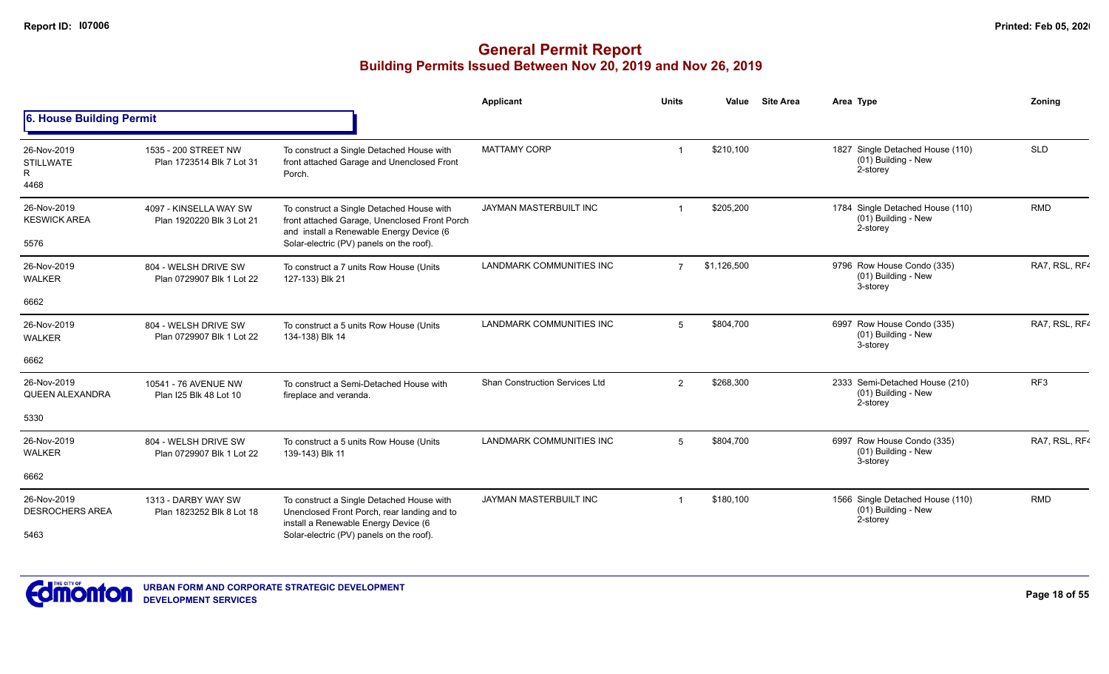|                                              |                                                     |                                                                                                                                                                                    | Applicant                             | <b>Units</b>   | Value       | <b>Site Area</b> | Area Type                                                           | Zoning          |
|----------------------------------------------|-----------------------------------------------------|------------------------------------------------------------------------------------------------------------------------------------------------------------------------------------|---------------------------------------|----------------|-------------|------------------|---------------------------------------------------------------------|-----------------|
| 6. House Building Permit                     |                                                     |                                                                                                                                                                                    |                                       |                |             |                  |                                                                     |                 |
| 26-Nov-2019<br><b>STILLWATE</b><br>R<br>4468 | 1535 - 200 STREET NW<br>Plan 1723514 Blk 7 Lot 31   | To construct a Single Detached House with<br>front attached Garage and Unenclosed Front<br>Porch.                                                                                  | <b>MATTAMY CORP</b>                   |                | \$210,100   |                  | 1827 Single Detached House (110)<br>(01) Building - New<br>2-storey | <b>SLD</b>      |
| 26-Nov-2019<br><b>KESWICK AREA</b><br>5576   | 4097 - KINSELLA WAY SW<br>Plan 1920220 Blk 3 Lot 21 | To construct a Single Detached House with<br>front attached Garage, Unenclosed Front Porch<br>and install a Renewable Energy Device (6<br>Solar-electric (PV) panels on the roof). | JAYMAN MASTERBUILT INC                |                | \$205,200   |                  | 1784 Single Detached House (110)<br>(01) Building - New<br>2-storey | <b>RMD</b>      |
| 26-Nov-2019<br><b>WALKER</b>                 | 804 - WELSH DRIVE SW<br>Plan 0729907 Blk 1 Lot 22   | To construct a 7 units Row House (Units<br>127-133) Blk 21                                                                                                                         | <b>LANDMARK COMMUNITIES INC</b>       | $\overline{7}$ | \$1,126,500 |                  | 9796 Row House Condo (335)<br>(01) Building - New<br>3-storey       | RA7, RSL, RF4   |
| 6662                                         |                                                     |                                                                                                                                                                                    |                                       |                |             |                  |                                                                     |                 |
| 26-Nov-2019<br><b>WALKER</b>                 | 804 - WELSH DRIVE SW<br>Plan 0729907 Blk 1 Lot 22   | To construct a 5 units Row House (Units<br>134-138) Blk 14                                                                                                                         | <b>LANDMARK COMMUNITIES INC</b>       | 5              | \$804,700   |                  | 6997 Row House Condo (335)<br>(01) Building - New<br>3-storey       | RA7, RSL, RF4   |
| 6662                                         |                                                     |                                                                                                                                                                                    |                                       |                |             |                  |                                                                     |                 |
| 26-Nov-2019<br>QUEEN ALEXANDRA               | 10541 - 76 AVENUE NW<br>Plan I25 Blk 48 Lot 10      | To construct a Semi-Detached House with<br>fireplace and veranda.                                                                                                                  | <b>Shan Construction Services Ltd</b> | 2              | \$268,300   |                  | 2333 Semi-Detached House (210)<br>(01) Building - New<br>2-storey   | RF <sub>3</sub> |
| 5330                                         |                                                     |                                                                                                                                                                                    |                                       |                |             |                  |                                                                     |                 |
| 26-Nov-2019<br><b>WALKER</b>                 | 804 - WELSH DRIVE SW<br>Plan 0729907 Blk 1 Lot 22   | To construct a 5 units Row House (Units<br>139-143) Blk 11                                                                                                                         | <b>LANDMARK COMMUNITIES INC</b>       | 5              | \$804,700   |                  | 6997 Row House Condo (335)<br>(01) Building - New<br>3-storey       | RA7, RSL, RF4   |
| 6662                                         |                                                     |                                                                                                                                                                                    |                                       |                |             |                  |                                                                     |                 |
| 26-Nov-2019<br><b>DESROCHERS AREA</b>        | 1313 - DARBY WAY SW<br>Plan 1823252 Blk 8 Lot 18    | To construct a Single Detached House with<br>Unenclosed Front Porch, rear landing and to<br>install a Renewable Energy Device (6                                                   | JAYMAN MASTERBUILT INC                |                | \$180,100   |                  | 1566 Single Detached House (110)<br>(01) Building - New<br>2-storey | <b>RMD</b>      |
| 5463                                         |                                                     | Solar-electric (PV) panels on the roof).                                                                                                                                           |                                       |                |             |                  |                                                                     |                 |

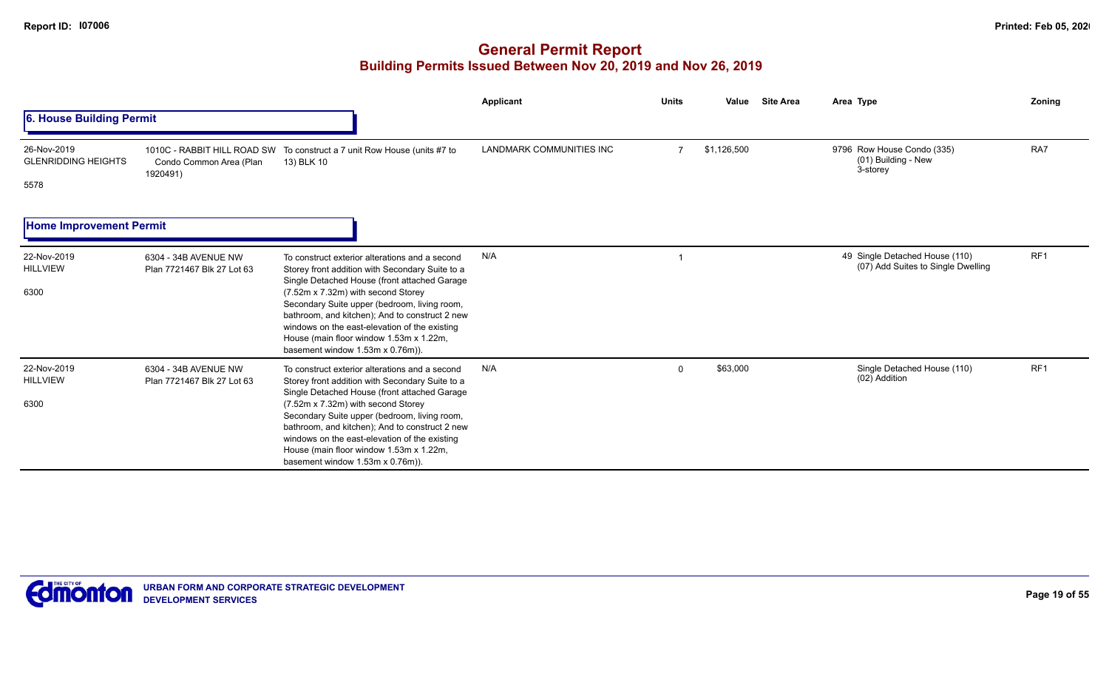|                                                   |                                                                    |                                                                                                                                                                                                                                                                                                                                                                                                                           | Applicant                | <b>Units</b>   | <b>Site Area</b><br>Value | Area Type                                                            | Zoning          |
|---------------------------------------------------|--------------------------------------------------------------------|---------------------------------------------------------------------------------------------------------------------------------------------------------------------------------------------------------------------------------------------------------------------------------------------------------------------------------------------------------------------------------------------------------------------------|--------------------------|----------------|---------------------------|----------------------------------------------------------------------|-----------------|
| 6. House Building Permit                          |                                                                    |                                                                                                                                                                                                                                                                                                                                                                                                                           |                          |                |                           |                                                                      |                 |
| 26-Nov-2019<br><b>GLENRIDDING HEIGHTS</b><br>5578 | 1010C - RABBIT HILL ROAD SW<br>Condo Common Area (Plan<br>1920491) | To construct a 7 unit Row House (units #7 to<br>13) BLK 10                                                                                                                                                                                                                                                                                                                                                                | LANDMARK COMMUNITIES INC | $\overline{7}$ | \$1,126,500               | 9796 Row House Condo (335)<br>(01) Building - New<br>3-storey        | RA7             |
| <b>Home Improvement Permit</b>                    |                                                                    |                                                                                                                                                                                                                                                                                                                                                                                                                           |                          |                |                           |                                                                      |                 |
| 22-Nov-2019<br><b>HILLVIEW</b><br>6300            | 6304 - 34B AVENUE NW<br>Plan 7721467 Blk 27 Lot 63                 | To construct exterior alterations and a second<br>Storey front addition with Secondary Suite to a<br>Single Detached House (front attached Garage<br>(7.52m x 7.32m) with second Storey<br>Secondary Suite upper (bedroom, living room,<br>bathroom, and kitchen); And to construct 2 new<br>windows on the east-elevation of the existing<br>House (main floor window 1.53m x 1.22m,<br>basement window 1.53m x 0.76m)). | N/A                      |                |                           | 49 Single Detached House (110)<br>(07) Add Suites to Single Dwelling | RF <sub>1</sub> |
| 22-Nov-2019<br><b>HILLVIEW</b><br>6300            | 6304 - 34B AVENUE NW<br>Plan 7721467 Blk 27 Lot 63                 | To construct exterior alterations and a second<br>Storey front addition with Secondary Suite to a<br>Single Detached House (front attached Garage<br>(7.52m x 7.32m) with second Storey<br>Secondary Suite upper (bedroom, living room,<br>bathroom, and kitchen); And to construct 2 new<br>windows on the east-elevation of the existing<br>House (main floor window 1.53m x 1.22m,<br>basement window 1.53m x 0.76m)). | N/A                      | $\Omega$       | \$63,000                  | Single Detached House (110)<br>(02) Addition                         | RF <sub>1</sub> |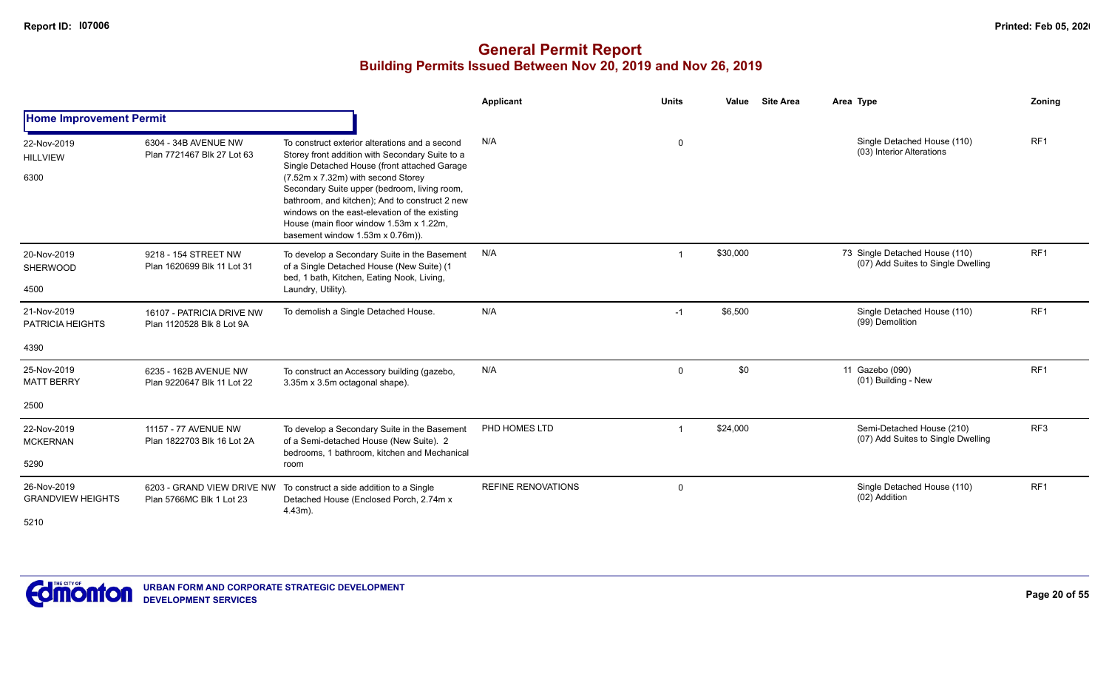|                                         |                                                        |                                                                                                                                                                                                                                                                                                                                                                                                                           | Applicant                 | <b>Units</b>   | Value    | <b>Site Area</b> | Area Type                                                            | Zoning          |
|-----------------------------------------|--------------------------------------------------------|---------------------------------------------------------------------------------------------------------------------------------------------------------------------------------------------------------------------------------------------------------------------------------------------------------------------------------------------------------------------------------------------------------------------------|---------------------------|----------------|----------|------------------|----------------------------------------------------------------------|-----------------|
| <b>Home Improvement Permit</b>          |                                                        |                                                                                                                                                                                                                                                                                                                                                                                                                           |                           |                |          |                  |                                                                      |                 |
| 22-Nov-2019<br><b>HILLVIEW</b><br>6300  | 6304 - 34B AVENUE NW<br>Plan 7721467 Blk 27 Lot 63     | To construct exterior alterations and a second<br>Storey front addition with Secondary Suite to a<br>Single Detached House (front attached Garage<br>(7.52m x 7.32m) with second Storey<br>Secondary Suite upper (bedroom, living room,<br>bathroom, and kitchen); And to construct 2 new<br>windows on the east-elevation of the existing<br>House (main floor window 1.53m x 1.22m,<br>basement window 1.53m x 0.76m)). | N/A                       | 0              |          |                  | Single Detached House (110)<br>(03) Interior Alterations             | RF <sub>1</sub> |
| 20-Nov-2019<br><b>SHERWOOD</b><br>4500  | 9218 - 154 STREET NW<br>Plan 1620699 Blk 11 Lot 31     | To develop a Secondary Suite in the Basement<br>of a Single Detached House (New Suite) (1<br>bed, 1 bath, Kitchen, Eating Nook, Living,<br>Laundry, Utility).                                                                                                                                                                                                                                                             | N/A                       | $\overline{1}$ | \$30,000 |                  | 73 Single Detached House (110)<br>(07) Add Suites to Single Dwelling | RF <sub>1</sub> |
| 21-Nov-2019<br><b>PATRICIA HEIGHTS</b>  | 16107 - PATRICIA DRIVE NW<br>Plan 1120528 Blk 8 Lot 9A | To demolish a Single Detached House.                                                                                                                                                                                                                                                                                                                                                                                      | N/A                       | $-1$           | \$6,500  |                  | Single Detached House (110)<br>(99) Demolition                       | RF1             |
| 4390                                    |                                                        |                                                                                                                                                                                                                                                                                                                                                                                                                           |                           |                |          |                  |                                                                      |                 |
| 25-Nov-2019<br><b>MATT BERRY</b>        | 6235 - 162B AVENUE NW<br>Plan 9220647 Blk 11 Lot 22    | To construct an Accessory building (gazebo,<br>3.35m x 3.5m octagonal shape).                                                                                                                                                                                                                                                                                                                                             | N/A                       | $\mathbf 0$    | \$0      |                  | 11 Gazebo (090)<br>(01) Building - New                               | RF <sub>1</sub> |
| 2500                                    |                                                        |                                                                                                                                                                                                                                                                                                                                                                                                                           |                           |                |          |                  |                                                                      |                 |
| 22-Nov-2019<br><b>MCKERNAN</b>          | 11157 - 77 AVENUE NW<br>Plan 1822703 Blk 16 Lot 2A     | To develop a Secondary Suite in the Basement<br>of a Semi-detached House (New Suite). 2<br>bedrooms, 1 bathroom, kitchen and Mechanical                                                                                                                                                                                                                                                                                   | PHD HOMES LTD             | $\overline{1}$ | \$24,000 |                  | Semi-Detached House (210)<br>(07) Add Suites to Single Dwelling      | RF <sub>3</sub> |
| 5290                                    |                                                        | room                                                                                                                                                                                                                                                                                                                                                                                                                      |                           |                |          |                  |                                                                      |                 |
| 26-Nov-2019<br><b>GRANDVIEW HEIGHTS</b> | 6203 - GRAND VIEW DRIVE NW<br>Plan 5766MC Blk 1 Lot 23 | To construct a side addition to a Single<br>Detached House (Enclosed Porch, 2.74m x<br>$4.43m$ ).                                                                                                                                                                                                                                                                                                                         | <b>REFINE RENOVATIONS</b> | $\mathbf 0$    |          |                  | Single Detached House (110)<br>(02) Addition                         | RF <sub>1</sub> |
| 5210                                    |                                                        |                                                                                                                                                                                                                                                                                                                                                                                                                           |                           |                |          |                  |                                                                      |                 |

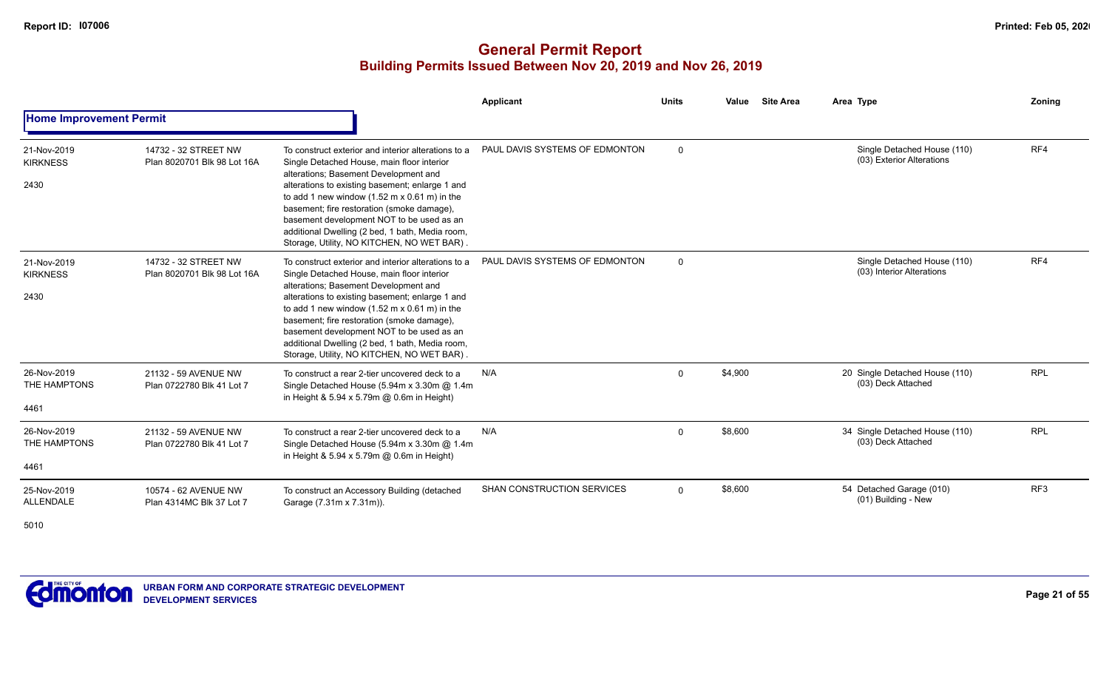|                                        |                                                     |                                                                                                                                                                                                                                                                                                                                                                                                                                                                  | <b>Applicant</b>                  | <b>Units</b> | Value<br><b>Site Area</b> | Area Type                                                | Zoning          |
|----------------------------------------|-----------------------------------------------------|------------------------------------------------------------------------------------------------------------------------------------------------------------------------------------------------------------------------------------------------------------------------------------------------------------------------------------------------------------------------------------------------------------------------------------------------------------------|-----------------------------------|--------------|---------------------------|----------------------------------------------------------|-----------------|
| <b>Home Improvement Permit</b>         |                                                     |                                                                                                                                                                                                                                                                                                                                                                                                                                                                  |                                   |              |                           |                                                          |                 |
| 21-Nov-2019<br><b>KIRKNESS</b><br>2430 | 14732 - 32 STREET NW<br>Plan 8020701 Blk 98 Lot 16A | To construct exterior and interior alterations to a<br>Single Detached House, main floor interior<br>alterations; Basement Development and<br>alterations to existing basement; enlarge 1 and<br>to add 1 new window $(1.52 \text{ m} \times 0.61 \text{ m})$ in the<br>basement; fire restoration (smoke damage),<br>basement development NOT to be used as an<br>additional Dwelling (2 bed, 1 bath, Media room,<br>Storage, Utility, NO KITCHEN, NO WET BAR). | PAUL DAVIS SYSTEMS OF EDMONTON    | $\mathbf 0$  |                           | Single Detached House (110)<br>(03) Exterior Alterations | RF4             |
| 21-Nov-2019<br><b>KIRKNESS</b><br>2430 | 14732 - 32 STREET NW<br>Plan 8020701 Blk 98 Lot 16A | To construct exterior and interior alterations to a<br>Single Detached House, main floor interior<br>alterations; Basement Development and<br>alterations to existing basement; enlarge 1 and<br>to add 1 new window $(1.52 \text{ m} \times 0.61 \text{ m})$ in the<br>basement; fire restoration (smoke damage),<br>basement development NOT to be used as an<br>additional Dwelling (2 bed, 1 bath, Media room,<br>Storage, Utility, NO KITCHEN, NO WET BAR)  | PAUL DAVIS SYSTEMS OF EDMONTON    | $\Omega$     |                           | Single Detached House (110)<br>(03) Interior Alterations | RF4             |
| 26-Nov-2019<br>THE HAMPTONS<br>4461    | 21132 - 59 AVENUE NW<br>Plan 0722780 Blk 41 Lot 7   | To construct a rear 2-tier uncovered deck to a<br>Single Detached House (5.94m x 3.30m @ 1.4m<br>in Height & 5.94 x 5.79m @ 0.6m in Height)                                                                                                                                                                                                                                                                                                                      | N/A                               | $\mathbf{0}$ | \$4,900                   | 20 Single Detached House (110)<br>(03) Deck Attached     | <b>RPL</b>      |
| 26-Nov-2019<br>THE HAMPTONS<br>4461    | 21132 - 59 AVENUE NW<br>Plan 0722780 Blk 41 Lot 7   | To construct a rear 2-tier uncovered deck to a<br>Single Detached House (5.94m x 3.30m @ 1.4m<br>in Height & $5.94 \times 5.79$ m @ 0.6m in Height)                                                                                                                                                                                                                                                                                                              | N/A                               | $\mathbf 0$  | \$8,600                   | 34 Single Detached House (110)<br>(03) Deck Attached     | <b>RPL</b>      |
| 25-Nov-2019<br><b>ALLENDALE</b>        | 10574 - 62 AVENUE NW<br>Plan 4314MC Blk 37 Lot 7    | To construct an Accessory Building (detached<br>Garage (7.31m x 7.31m)).                                                                                                                                                                                                                                                                                                                                                                                         | <b>SHAN CONSTRUCTION SERVICES</b> | $\Omega$     | \$8,600                   | 54 Detached Garage (010)<br>(01) Building - New          | RF <sub>3</sub> |

5010

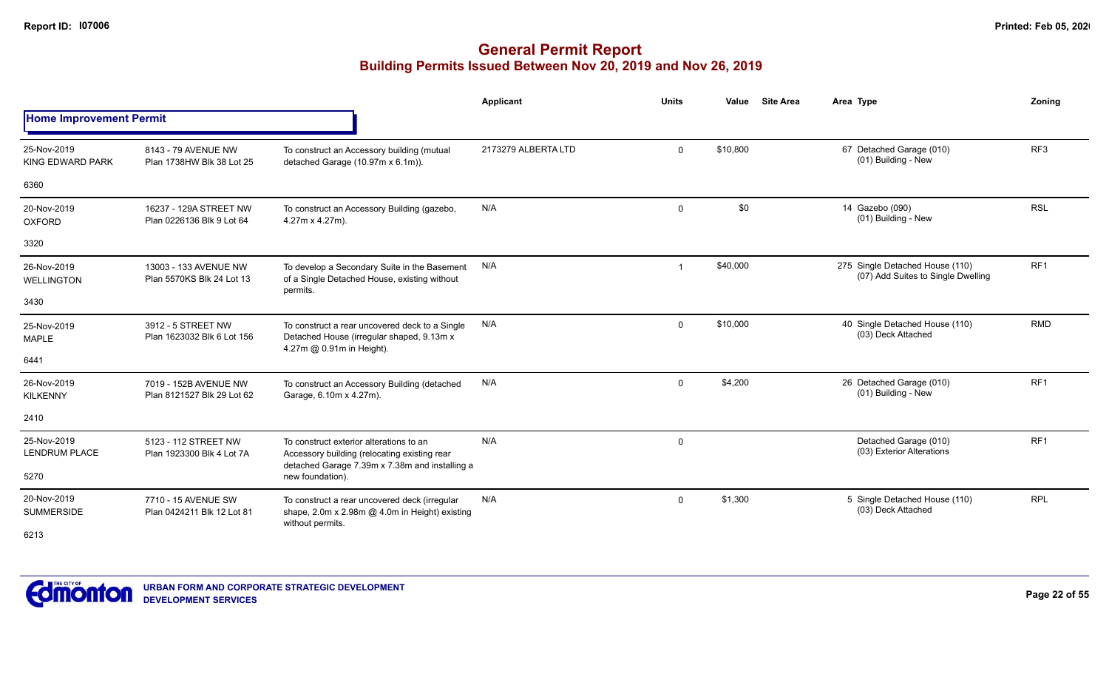|                                        |                                                     |                                                                                                                          | Applicant           | <b>Units</b> | <b>Site Area</b><br>Value | Area Type                                                             | Zoning          |
|----------------------------------------|-----------------------------------------------------|--------------------------------------------------------------------------------------------------------------------------|---------------------|--------------|---------------------------|-----------------------------------------------------------------------|-----------------|
| <b>Home Improvement Permit</b>         |                                                     |                                                                                                                          |                     |              |                           |                                                                       |                 |
| 25-Nov-2019<br><b>KING EDWARD PARK</b> | 8143 - 79 AVENUE NW<br>Plan 1738HW Blk 38 Lot 25    | To construct an Accessory building (mutual<br>detached Garage (10.97m x 6.1m)).                                          | 2173279 ALBERTA LTD | $\mathbf 0$  | \$10,800                  | 67 Detached Garage (010)<br>(01) Building - New                       | RF <sub>3</sub> |
| 6360                                   |                                                     |                                                                                                                          |                     |              |                           |                                                                       |                 |
| 20-Nov-2019<br><b>OXFORD</b>           | 16237 - 129A STREET NW<br>Plan 0226136 Blk 9 Lot 64 | To construct an Accessory Building (gazebo,<br>4.27m x 4.27m).                                                           | N/A                 | $\mathbf 0$  | \$0                       | 14 Gazebo (090)<br>(01) Building - New                                | <b>RSL</b>      |
| 3320                                   |                                                     |                                                                                                                          |                     |              |                           |                                                                       |                 |
| 26-Nov-2019<br><b>WELLINGTON</b>       | 13003 - 133 AVENUE NW<br>Plan 5570KS Blk 24 Lot 13  | To develop a Secondary Suite in the Basement<br>of a Single Detached House, existing without<br>permits.                 | N/A                 |              | \$40,000                  | 275 Single Detached House (110)<br>(07) Add Suites to Single Dwelling | RF <sub>1</sub> |
| 3430                                   |                                                     |                                                                                                                          |                     |              |                           |                                                                       |                 |
| 25-Nov-2019<br><b>MAPLE</b>            | 3912 - 5 STREET NW<br>Plan 1623032 Blk 6 Lot 156    | To construct a rear uncovered deck to a Single<br>Detached House (irregular shaped, 9.13m x<br>4.27m @ 0.91m in Height). | N/A                 | $\mathbf 0$  | \$10,000                  | 40 Single Detached House (110)<br>(03) Deck Attached                  | <b>RMD</b>      |
| 6441                                   |                                                     |                                                                                                                          |                     |              |                           |                                                                       |                 |
| 26-Nov-2019<br><b>KILKENNY</b>         | 7019 - 152B AVENUE NW<br>Plan 8121527 Blk 29 Lot 62 | To construct an Accessory Building (detached<br>Garage, 6.10m x 4.27m).                                                  | N/A                 | $\mathbf 0$  | \$4,200                   | 26 Detached Garage (010)<br>(01) Building - New                       | RF <sub>1</sub> |
| 2410                                   |                                                     |                                                                                                                          |                     |              |                           |                                                                       |                 |
| 25-Nov-2019<br><b>LENDRUM PLACE</b>    | 5123 - 112 STREET NW<br>Plan 1923300 Blk 4 Lot 7A   | To construct exterior alterations to an<br>Accessory building (relocating existing rear                                  | N/A                 | $\mathbf 0$  |                           | Detached Garage (010)<br>(03) Exterior Alterations                    | RF <sub>1</sub> |
| 5270                                   |                                                     | detached Garage 7.39m x 7.38m and installing a<br>new foundation).                                                       |                     |              |                           |                                                                       |                 |
| 20-Nov-2019<br><b>SUMMERSIDE</b>       | 7710 - 15 AVENUE SW<br>Plan 0424211 Blk 12 Lot 81   | To construct a rear uncovered deck (irregular<br>shape, 2.0m x 2.98m @ 4.0m in Height) existing<br>without permits.      | N/A                 | $\mathbf 0$  | \$1,300                   | 5 Single Detached House (110)<br>(03) Deck Attached                   | <b>RPL</b>      |
| 6213                                   |                                                     |                                                                                                                          |                     |              |                           |                                                                       |                 |

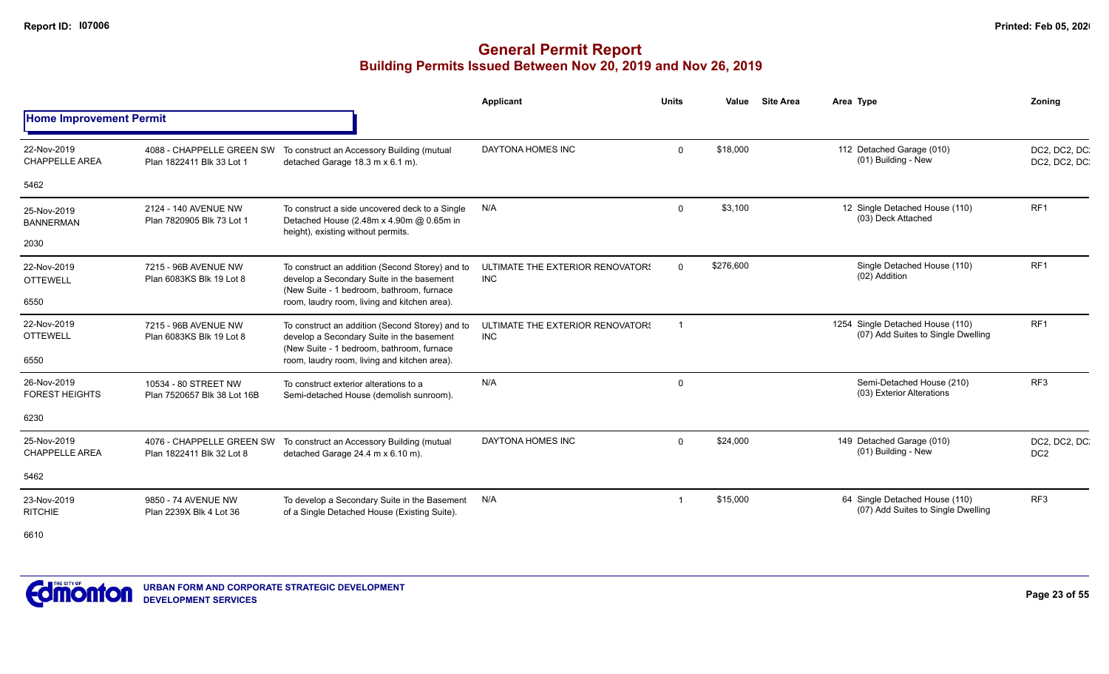|                                      |                                                        |                                                                                                                                           | Applicant                                      | <b>Units</b> | Value     | <b>Site Area</b> | Area Type                                                              | Zonina                           |
|--------------------------------------|--------------------------------------------------------|-------------------------------------------------------------------------------------------------------------------------------------------|------------------------------------------------|--------------|-----------|------------------|------------------------------------------------------------------------|----------------------------------|
| <b>Home Improvement Permit</b>       |                                                        |                                                                                                                                           |                                                |              |           |                  |                                                                        |                                  |
| 22-Nov-2019<br><b>CHAPPELLE AREA</b> | 4088 - CHAPPELLE GREEN SW<br>Plan 1822411 Blk 33 Lot 1 | To construct an Accessory Building (mutual<br>detached Garage 18.3 m x 6.1 m).                                                            | DAYTONA HOMES INC                              | $\mathbf 0$  | \$18,000  |                  | 112 Detached Garage (010)<br>(01) Building - New                       | DC2, DC2, DC.<br>DC2, DC2, DC    |
| 5462                                 |                                                        |                                                                                                                                           |                                                |              |           |                  |                                                                        |                                  |
| 25-Nov-2019<br><b>BANNERMAN</b>      | 2124 - 140 AVENUE NW<br>Plan 7820905 Blk 73 Lot 1      | To construct a side uncovered deck to a Single<br>Detached House (2.48m x 4.90m @ 0.65m in<br>height), existing without permits.          | N/A                                            | $\mathbf 0$  | \$3,100   |                  | 12 Single Detached House (110)<br>(03) Deck Attached                   | RF <sub>1</sub>                  |
| 2030                                 |                                                        |                                                                                                                                           |                                                |              |           |                  |                                                                        |                                  |
| 22-Nov-2019<br><b>OTTEWELL</b>       | 7215 - 96B AVENUE NW<br>Plan 6083KS Blk 19 Lot 8       | To construct an addition (Second Storey) and to<br>develop a Secondary Suite in the basement<br>(New Suite - 1 bedroom, bathroom, furnace | ULTIMATE THE EXTERIOR RENOVATOR!<br><b>INC</b> | $\Omega$     | \$276,600 |                  | Single Detached House (110)<br>(02) Addition                           | RF <sub>1</sub>                  |
| 6550                                 |                                                        | room, laudry room, living and kitchen area).                                                                                              |                                                |              |           |                  |                                                                        |                                  |
| 22-Nov-2019<br><b>OTTEWELL</b>       | 7215 - 96B AVENUE NW<br>Plan 6083KS Blk 19 Lot 8       | To construct an addition (Second Storey) and to<br>develop a Secondary Suite in the basement<br>(New Suite - 1 bedroom, bathroom, furnace | ULTIMATE THE EXTERIOR RENOVATOR!<br><b>INC</b> | - 1          |           |                  | 1254 Single Detached House (110)<br>(07) Add Suites to Single Dwelling | RF <sub>1</sub>                  |
| 6550                                 |                                                        | room, laudry room, living and kitchen area).                                                                                              |                                                |              |           |                  |                                                                        |                                  |
| 26-Nov-2019<br><b>FOREST HEIGHTS</b> | 10534 - 80 STREET NW<br>Plan 7520657 Blk 38 Lot 16B    | To construct exterior alterations to a<br>Semi-detached House (demolish sunroom).                                                         | N/A                                            | $\Omega$     |           |                  | Semi-Detached House (210)<br>(03) Exterior Alterations                 | RF <sub>3</sub>                  |
| 6230                                 |                                                        |                                                                                                                                           |                                                |              |           |                  |                                                                        |                                  |
| 25-Nov-2019<br><b>CHAPPELLE AREA</b> | 4076 - CHAPPELLE GREEN SW<br>Plan 1822411 Blk 32 Lot 8 | To construct an Accessory Building (mutual<br>detached Garage 24.4 m x 6.10 m).                                                           | DAYTONA HOMES INC                              | $\Omega$     | \$24,000  |                  | 149 Detached Garage (010)<br>(01) Building - New                       | DC2, DC2, DC.<br>DC <sub>2</sub> |
| 5462                                 |                                                        |                                                                                                                                           |                                                |              |           |                  |                                                                        |                                  |
| 23-Nov-2019<br><b>RITCHIE</b>        | 9850 - 74 AVENUE NW<br>Plan 2239X Blk 4 Lot 36         | To develop a Secondary Suite in the Basement<br>of a Single Detached House (Existing Suite).                                              | N/A                                            |              | \$15,000  |                  | 64 Single Detached House (110)<br>(07) Add Suites to Single Dwelling   | RF <sub>3</sub>                  |

6610

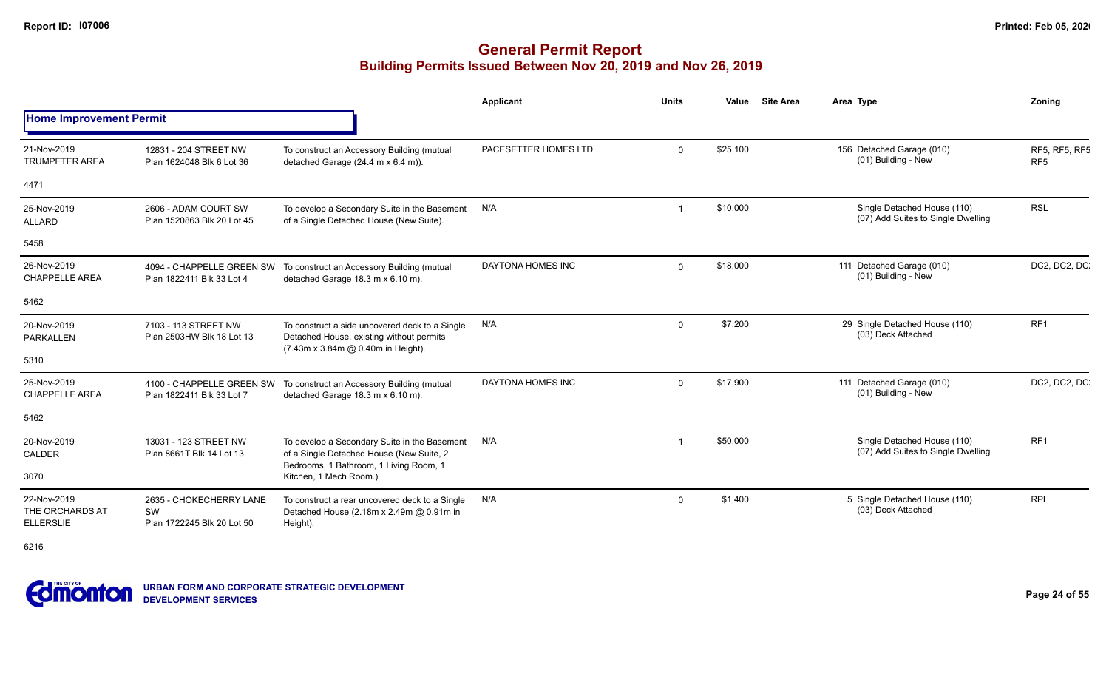|                                                    |                                                             |                                                                                                                                    | <b>Applicant</b>     | <b>Units</b> | Value    | <b>Site Area</b> | Area Type                                                         | Zoning                           |
|----------------------------------------------------|-------------------------------------------------------------|------------------------------------------------------------------------------------------------------------------------------------|----------------------|--------------|----------|------------------|-------------------------------------------------------------------|----------------------------------|
| <b>Home Improvement Permit</b>                     |                                                             |                                                                                                                                    |                      |              |          |                  |                                                                   |                                  |
| 21-Nov-2019<br><b>TRUMPETER AREA</b>               | 12831 - 204 STREET NW<br>Plan 1624048 Blk 6 Lot 36          | To construct an Accessory Building (mutual<br>detached Garage (24.4 m x 6.4 m)).                                                   | PACESETTER HOMES LTD | $\Omega$     | \$25,100 |                  | 156 Detached Garage (010)<br>(01) Building - New                  | RF5, RF5, RF5<br>RF <sub>5</sub> |
| 4471                                               |                                                             |                                                                                                                                    |                      |              |          |                  |                                                                   |                                  |
| 25-Nov-2019<br><b>ALLARD</b>                       | 2606 - ADAM COURT SW<br>Plan 1520863 Blk 20 Lot 45          | To develop a Secondary Suite in the Basement<br>of a Single Detached House (New Suite).                                            | N/A                  |              | \$10,000 |                  | Single Detached House (110)<br>(07) Add Suites to Single Dwelling | <b>RSL</b>                       |
| 5458                                               |                                                             |                                                                                                                                    |                      |              |          |                  |                                                                   |                                  |
| 26-Nov-2019<br><b>CHAPPELLE AREA</b>               | 4094 - CHAPPELLE GREEN SW<br>Plan 1822411 Blk 33 Lot 4      | To construct an Accessory Building (mutual<br>detached Garage 18.3 m x 6.10 m).                                                    | DAYTONA HOMES INC    | $\Omega$     | \$18,000 |                  | 111 Detached Garage (010)<br>(01) Building - New                  | DC2, DC2, DC                     |
| 5462                                               |                                                             |                                                                                                                                    |                      |              |          |                  |                                                                   |                                  |
| 20-Nov-2019<br><b>PARKALLEN</b>                    | 7103 - 113 STREET NW<br>Plan 2503HW Blk 18 Lot 13           | To construct a side uncovered deck to a Single<br>Detached House, existing without permits<br>(7.43m x 3.84m @ 0.40m in Height).   | N/A                  | $\Omega$     | \$7,200  |                  | 29 Single Detached House (110)<br>(03) Deck Attached              | RF <sub>1</sub>                  |
| 5310                                               |                                                             |                                                                                                                                    |                      |              |          |                  |                                                                   |                                  |
| 25-Nov-2019<br><b>CHAPPELLE AREA</b>               | 4100 - CHAPPELLE GREEN SW<br>Plan 1822411 Blk 33 Lot 7      | To construct an Accessory Building (mutual<br>detached Garage 18.3 m x 6.10 m).                                                    | DAYTONA HOMES INC    | $\Omega$     | \$17,900 |                  | 111 Detached Garage (010)<br>(01) Building - New                  | DC2, DC2, DC                     |
| 5462                                               |                                                             |                                                                                                                                    |                      |              |          |                  |                                                                   |                                  |
| 20-Nov-2019<br>CALDER                              | 13031 - 123 STREET NW<br>Plan 8661T Blk 14 Lot 13           | To develop a Secondary Suite in the Basement<br>of a Single Detached House (New Suite, 2<br>Bedrooms, 1 Bathroom, 1 Living Room, 1 | N/A                  |              | \$50,000 |                  | Single Detached House (110)<br>(07) Add Suites to Single Dwelling | RF <sub>1</sub>                  |
| 3070                                               |                                                             | Kitchen, 1 Mech Room.).                                                                                                            |                      |              |          |                  |                                                                   |                                  |
| 22-Nov-2019<br>THE ORCHARDS AT<br><b>ELLERSLIE</b> | 2635 - CHOKECHERRY LANE<br>SW<br>Plan 1722245 Blk 20 Lot 50 | To construct a rear uncovered deck to a Single<br>Detached House (2.18m x 2.49m @ 0.91m in<br>Height).                             | N/A                  | $\Omega$     | \$1,400  |                  | 5 Single Detached House (110)<br>(03) Deck Attached               | <b>RPL</b>                       |
| 6216                                               |                                                             |                                                                                                                                    |                      |              |          |                  |                                                                   |                                  |

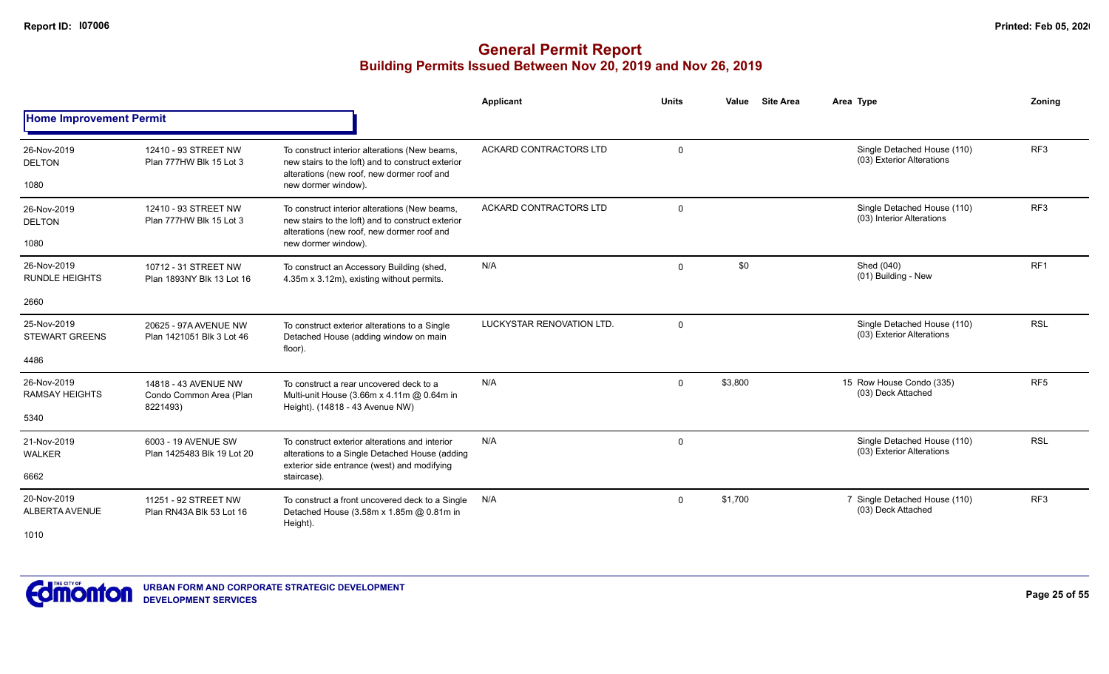|                                       |                                                             |                                                                                                                                                                         | <b>Applicant</b>          | <b>Units</b>   | <b>Site Area</b><br>Value | Area Type                                                | Zonina          |
|---------------------------------------|-------------------------------------------------------------|-------------------------------------------------------------------------------------------------------------------------------------------------------------------------|---------------------------|----------------|---------------------------|----------------------------------------------------------|-----------------|
| <b>Home Improvement Permit</b>        |                                                             |                                                                                                                                                                         |                           |                |                           |                                                          |                 |
| 26-Nov-2019<br><b>DELTON</b><br>1080  | 12410 - 93 STREET NW<br>Plan 777HW Blk 15 Lot 3             | To construct interior alterations (New beams,<br>new stairs to the loft) and to construct exterior<br>alterations (new roof, new dormer roof and<br>new dormer window). | ACKARD CONTRACTORS LTD    | $\mathbf 0$    |                           | Single Detached House (110)<br>(03) Exterior Alterations | RF3             |
| 26-Nov-2019<br><b>DELTON</b><br>1080  | 12410 - 93 STREET NW<br>Plan 777HW Blk 15 Lot 3             | To construct interior alterations (New beams,<br>new stairs to the loft) and to construct exterior<br>alterations (new roof, new dormer roof and<br>new dormer window). | ACKARD CONTRACTORS LTD    | $\overline{0}$ |                           | Single Detached House (110)<br>(03) Interior Alterations | RF <sub>3</sub> |
| 26-Nov-2019<br><b>RUNDLE HEIGHTS</b>  | 10712 - 31 STREET NW<br>Plan 1893NY Blk 13 Lot 16           | To construct an Accessory Building (shed,<br>4.35m x 3.12m), existing without permits.                                                                                  | N/A                       | $\mathbf 0$    | \$0                       | Shed (040)<br>(01) Building - New                        | RF <sub>1</sub> |
| 2660                                  |                                                             |                                                                                                                                                                         |                           |                |                           |                                                          |                 |
| 25-Nov-2019<br><b>STEWART GREENS</b>  | 20625 - 97A AVENUE NW<br>Plan 1421051 Blk 3 Lot 46          | To construct exterior alterations to a Single<br>Detached House (adding window on main<br>floor).                                                                       | LUCKYSTAR RENOVATION LTD. | $\mathbf 0$    |                           | Single Detached House (110)<br>(03) Exterior Alterations | <b>RSL</b>      |
| 4486                                  |                                                             |                                                                                                                                                                         |                           |                |                           |                                                          |                 |
| 26-Nov-2019<br><b>RAMSAY HEIGHTS</b>  | 14818 - 43 AVENUE NW<br>Condo Common Area (Plan<br>8221493) | To construct a rear uncovered deck to a<br>Multi-unit House (3.66m x 4.11m @ 0.64m in<br>Height). (14818 - 43 Avenue NW)                                                | N/A                       | $\mathbf 0$    | \$3,800                   | 15 Row House Condo (335)<br>(03) Deck Attached           | RF <sub>5</sub> |
| 5340                                  |                                                             |                                                                                                                                                                         |                           |                |                           |                                                          |                 |
| 21-Nov-2019<br><b>WALKER</b>          | 6003 - 19 AVENUE SW<br>Plan 1425483 Blk 19 Lot 20           | To construct exterior alterations and interior<br>alterations to a Single Detached House (adding<br>exterior side entrance (west) and modifying                         | N/A                       | $\mathbf 0$    |                           | Single Detached House (110)<br>(03) Exterior Alterations | <b>RSL</b>      |
| 6662                                  |                                                             | staircase).                                                                                                                                                             |                           |                |                           |                                                          |                 |
| 20-Nov-2019<br>ALBERTA AVENUE<br>1010 | 11251 - 92 STREET NW<br>Plan RN43A Blk 53 Lot 16            | To construct a front uncovered deck to a Single<br>Detached House (3.58m x 1.85m @ 0.81m in<br>Height).                                                                 | N/A                       | $\mathbf 0$    | \$1,700                   | 7 Single Detached House (110)<br>(03) Deck Attached      | RF <sub>3</sub> |
|                                       |                                                             |                                                                                                                                                                         |                           |                |                           |                                                          |                 |

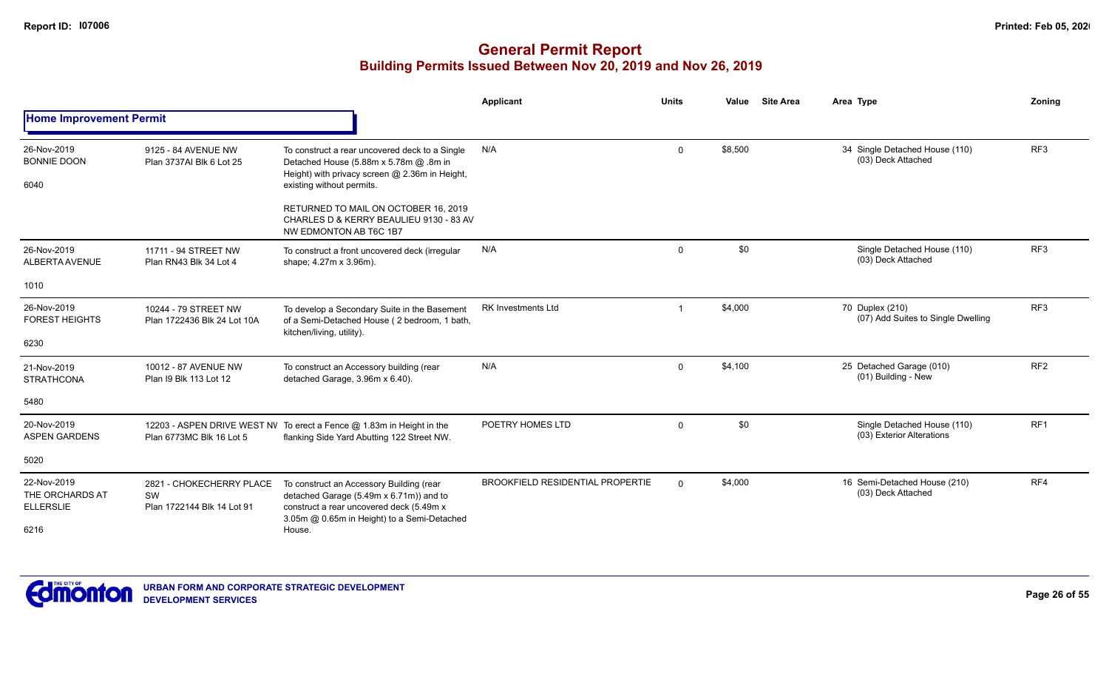|                                                    |                                                              |                                                                                                                                                                                | <b>Applicant</b>                        | <b>Units</b>   | Value   | <b>Site Area</b> | Area Type                                                | Zoning          |
|----------------------------------------------------|--------------------------------------------------------------|--------------------------------------------------------------------------------------------------------------------------------------------------------------------------------|-----------------------------------------|----------------|---------|------------------|----------------------------------------------------------|-----------------|
| <b>Home Improvement Permit</b>                     |                                                              |                                                                                                                                                                                |                                         |                |         |                  |                                                          |                 |
| 26-Nov-2019<br><b>BONNIE DOON</b><br>6040          | 9125 - 84 AVENUE NW<br>Plan 3737AI Blk 6 Lot 25              | To construct a rear uncovered deck to a Single<br>Detached House (5.88m x 5.78m @ .8m in<br>Height) with privacy screen @ 2.36m in Height,<br>existing without permits.        | N/A                                     | $\Omega$       | \$8,500 |                  | 34 Single Detached House (110)<br>(03) Deck Attached     | RF <sub>3</sub> |
|                                                    |                                                              | RETURNED TO MAIL ON OCTOBER 16, 2019<br>CHARLES D & KERRY BEAULIEU 9130 - 83 AV<br>NW EDMONTON AB T6C 1B7                                                                      |                                         |                |         |                  |                                                          |                 |
| 26-Nov-2019<br>ALBERTA AVENUE                      | 11711 - 94 STREET NW<br>Plan RN43 Blk 34 Lot 4               | To construct a front uncovered deck (irregular<br>shape; 4.27m x 3.96m).                                                                                                       | N/A                                     | $\mathbf 0$    | \$0     |                  | Single Detached House (110)<br>(03) Deck Attached        | RF <sub>3</sub> |
| 1010                                               |                                                              |                                                                                                                                                                                |                                         |                |         |                  |                                                          |                 |
| 26-Nov-2019<br><b>FOREST HEIGHTS</b>               | 10244 - 79 STREET NW<br>Plan 1722436 Blk 24 Lot 10A          | To develop a Secondary Suite in the Basement<br>of a Semi-Detached House (2 bedroom, 1 bath,<br>kitchen/living, utility).                                                      | <b>RK Investments Ltd</b>               | $\overline{1}$ | \$4,000 |                  | 70 Duplex (210)<br>(07) Add Suites to Single Dwelling    | RF <sub>3</sub> |
| 6230                                               |                                                              |                                                                                                                                                                                |                                         |                |         |                  |                                                          |                 |
| 21-Nov-2019<br><b>STRATHCONA</b>                   | 10012 - 87 AVENUE NW<br>Plan I9 Blk 113 Lot 12               | To construct an Accessory building (rear<br>detached Garage, 3.96m x 6.40).                                                                                                    | N/A                                     | $\mathbf 0$    | \$4,100 |                  | 25 Detached Garage (010)<br>(01) Building - New          | RF <sub>2</sub> |
| 5480                                               |                                                              |                                                                                                                                                                                |                                         |                |         |                  |                                                          |                 |
| 20-Nov-2019<br><b>ASPEN GARDENS</b>                | Plan 6773MC Blk 16 Lot 5                                     | 12203 - ASPEN DRIVE WEST NV To erect a Fence @ 1.83m in Height in the<br>flanking Side Yard Abutting 122 Street NW.                                                            | POETRY HOMES LTD                        | $\mathbf 0$    | \$0     |                  | Single Detached House (110)<br>(03) Exterior Alterations | RF <sub>1</sub> |
| 5020                                               |                                                              |                                                                                                                                                                                |                                         |                |         |                  |                                                          |                 |
| 22-Nov-2019<br>THE ORCHARDS AT<br><b>ELLERSLIE</b> | 2821 - CHOKECHERRY PLACE<br>SW<br>Plan 1722144 Blk 14 Lot 91 | To construct an Accessory Building (rear<br>detached Garage (5.49m x 6.71m)) and to<br>construct a rear uncovered deck (5.49m x<br>3.05m @ 0.65m in Height) to a Semi-Detached | <b>BROOKFIELD RESIDENTIAL PROPERTIE</b> | $\Omega$       | \$4,000 |                  | 16 Semi-Detached House (210)<br>(03) Deck Attached       | RF4             |
| 6216                                               |                                                              | House.                                                                                                                                                                         |                                         |                |         |                  |                                                          |                 |

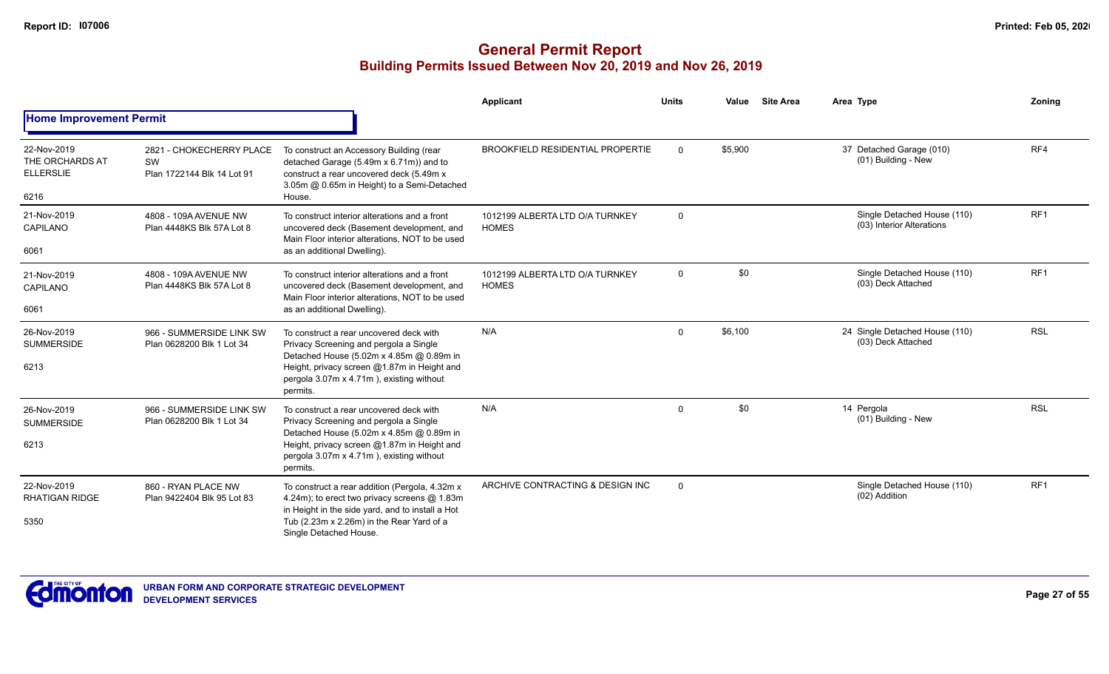|                                                            |                                                              |                                                                                                                                                                                                                                      | Applicant                                       | <b>Units</b> | Value   | <b>Site Area</b> | Area Type                                                | Zoning          |
|------------------------------------------------------------|--------------------------------------------------------------|--------------------------------------------------------------------------------------------------------------------------------------------------------------------------------------------------------------------------------------|-------------------------------------------------|--------------|---------|------------------|----------------------------------------------------------|-----------------|
| <b>Home Improvement Permit</b>                             |                                                              |                                                                                                                                                                                                                                      |                                                 |              |         |                  |                                                          |                 |
| 22-Nov-2019<br>THE ORCHARDS AT<br><b>ELLERSLIE</b><br>6216 | 2821 - CHOKECHERRY PLACE<br>SW<br>Plan 1722144 Blk 14 Lot 91 | To construct an Accessory Building (rear<br>detached Garage (5.49m x 6.71m)) and to<br>construct a rear uncovered deck (5.49m x<br>3.05m @ 0.65m in Height) to a Semi-Detached<br>House.                                             | <b>BROOKFIELD RESIDENTIAL PROPERTIE</b>         | $\Omega$     | \$5,900 |                  | 37 Detached Garage (010)<br>(01) Building - New          | RF4             |
| 21-Nov-2019<br>CAPILANO<br>6061                            | 4808 - 109A AVENUE NW<br>Plan 4448KS Blk 57A Lot 8           | To construct interior alterations and a front<br>uncovered deck (Basement development, and<br>Main Floor interior alterations, NOT to be used<br>as an additional Dwelling).                                                         | 1012199 ALBERTA LTD O/A TURNKEY<br><b>HOMES</b> | $\mathbf 0$  |         |                  | Single Detached House (110)<br>(03) Interior Alterations | RF1             |
| 21-Nov-2019<br>CAPILANO<br>6061                            | 4808 - 109A AVENUE NW<br>Plan 4448KS Blk 57A Lot 8           | To construct interior alterations and a front<br>uncovered deck (Basement development, and<br>Main Floor interior alterations, NOT to be used<br>as an additional Dwelling).                                                         | 1012199 ALBERTA LTD O/A TURNKEY<br><b>HOMES</b> | $\mathbf 0$  | \$0     |                  | Single Detached House (110)<br>(03) Deck Attached        | RF <sub>1</sub> |
| 26-Nov-2019<br><b>SUMMERSIDE</b><br>6213                   | 966 - SUMMERSIDE LINK SW<br>Plan 0628200 Blk 1 Lot 34        | To construct a rear uncovered deck with<br>Privacy Screening and pergola a Single<br>Detached House (5.02m x 4.85m @ 0.89m in<br>Height, privacy screen @1.87m in Height and<br>pergola 3.07m x 4.71m), existing without<br>permits. | N/A                                             | $\Omega$     | \$6,100 |                  | 24 Single Detached House (110)<br>(03) Deck Attached     | <b>RSL</b>      |
| 26-Nov-2019<br><b>SUMMERSIDE</b><br>6213                   | 966 - SUMMERSIDE LINK SW<br>Plan 0628200 Blk 1 Lot 34        | To construct a rear uncovered deck with<br>Privacy Screening and pergola a Single<br>Detached House (5.02m x 4.85m @ 0.89m in<br>Height, privacy screen @1.87m in Height and<br>pergola 3.07m x 4.71m), existing without<br>permits. | N/A                                             | $\Omega$     | \$0     |                  | 14 Pergola<br>(01) Building - New                        | <b>RSL</b>      |
| 22-Nov-2019<br><b>RHATIGAN RIDGE</b><br>5350               | 860 - RYAN PLACE NW<br>Plan 9422404 Blk 95 Lot 83            | To construct a rear addition (Pergola, 4.32m x<br>4.24m); to erect two privacy screens @ 1.83m<br>in Height in the side yard, and to install a Hot<br>Tub (2.23m x 2.26m) in the Rear Yard of a<br>Single Detached House.            | ARCHIVE CONTRACTING & DESIGN INC                | $\Omega$     |         |                  | Single Detached House (110)<br>(02) Addition             | RF <sub>1</sub> |

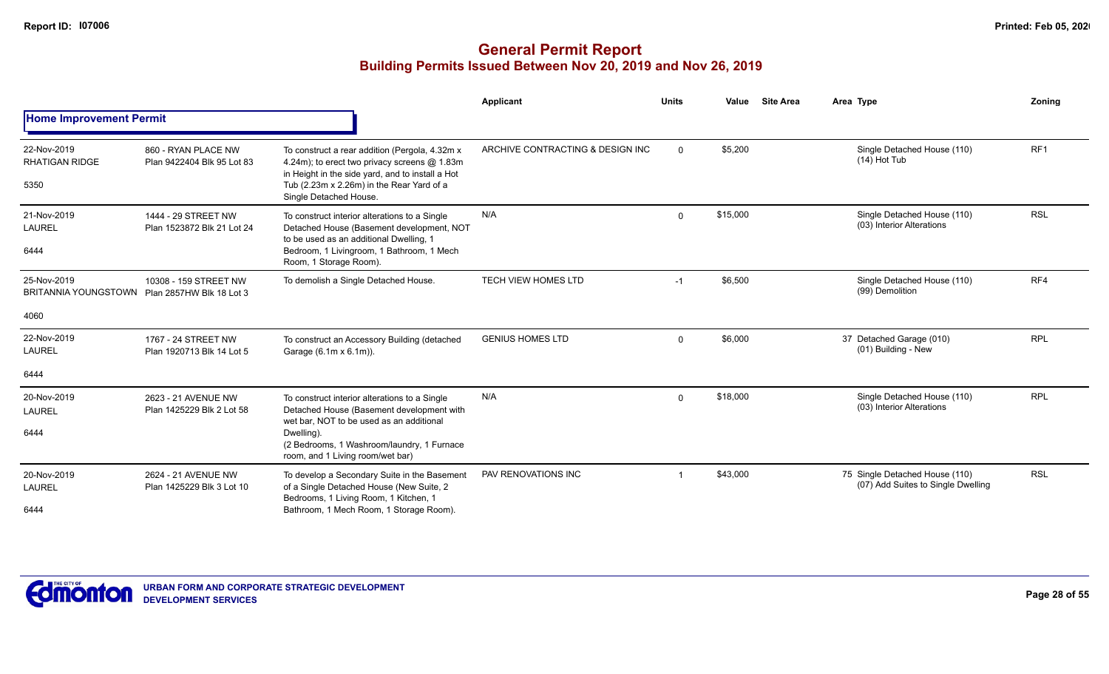|                                                                      |                                                   |                                                                                                                                                                                                                                        | Applicant                        | <b>Units</b> | Value    | <b>Site Area</b> | Area Type                                                            | Zoning          |
|----------------------------------------------------------------------|---------------------------------------------------|----------------------------------------------------------------------------------------------------------------------------------------------------------------------------------------------------------------------------------------|----------------------------------|--------------|----------|------------------|----------------------------------------------------------------------|-----------------|
| <b>Home Improvement Permit</b>                                       |                                                   |                                                                                                                                                                                                                                        |                                  |              |          |                  |                                                                      |                 |
| 22-Nov-2019<br><b>RHATIGAN RIDGE</b><br>5350                         | 860 - RYAN PLACE NW<br>Plan 9422404 Blk 95 Lot 83 | To construct a rear addition (Pergola, 4.32m x<br>4.24m); to erect two privacy screens @ 1.83m<br>in Height in the side yard, and to install a Hot<br>Tub (2.23m x 2.26m) in the Rear Yard of a<br>Single Detached House.              | ARCHIVE CONTRACTING & DESIGN INC | $\mathbf 0$  | \$5,200  |                  | Single Detached House (110)<br>$(14)$ Hot Tub                        | RF <sub>1</sub> |
| 21-Nov-2019<br>LAUREL<br>6444                                        | 1444 - 29 STREET NW<br>Plan 1523872 Blk 21 Lot 24 | To construct interior alterations to a Single<br>Detached House (Basement development, NOT<br>to be used as an additional Dwelling, 1<br>Bedroom, 1 Livingroom, 1 Bathroom, 1 Mech<br>Room, 1 Storage Room).                           | N/A                              | $\Omega$     | \$15,000 |                  | Single Detached House (110)<br>(03) Interior Alterations             | <b>RSL</b>      |
| 25-Nov-2019<br>BRITANNIA YOUNGSTOWN Plan 2857HW Blk 18 Lot 3<br>4060 | 10308 - 159 STREET NW                             | To demolish a Single Detached House.                                                                                                                                                                                                   | <b>TECH VIEW HOMES LTD</b>       | $-1$         | \$6,500  |                  | Single Detached House (110)<br>(99) Demolition                       | RF4             |
| 22-Nov-2019<br><b>LAUREL</b><br>6444                                 | 1767 - 24 STREET NW<br>Plan 1920713 Blk 14 Lot 5  | To construct an Accessory Building (detached<br>Garage (6.1m x 6.1m)).                                                                                                                                                                 | <b>GENIUS HOMES LTD</b>          | $\mathbf 0$  | \$6,000  |                  | 37 Detached Garage (010)<br>(01) Building - New                      | <b>RPL</b>      |
| 20-Nov-2019<br>LAUREL<br>6444                                        | 2623 - 21 AVENUE NW<br>Plan 1425229 Blk 2 Lot 58  | To construct interior alterations to a Single<br>Detached House (Basement development with<br>wet bar. NOT to be used as an additional<br>Dwelling).<br>(2 Bedrooms, 1 Washroom/laundry, 1 Furnace<br>room, and 1 Living room/wet bar) | N/A                              | $\mathbf{0}$ | \$18,000 |                  | Single Detached House (110)<br>(03) Interior Alterations             | <b>RPL</b>      |
| 20-Nov-2019<br><b>LAUREL</b><br>6444                                 | 2624 - 21 AVENUE NW<br>Plan 1425229 Blk 3 Lot 10  | To develop a Secondary Suite in the Basement<br>of a Single Detached House (New Suite, 2<br>Bedrooms, 1 Living Room, 1 Kitchen, 1<br>Bathroom, 1 Mech Room, 1 Storage Room).                                                           | PAV RENOVATIONS INC              |              | \$43,000 |                  | 75 Single Detached House (110)<br>(07) Add Suites to Single Dwelling | <b>RSL</b>      |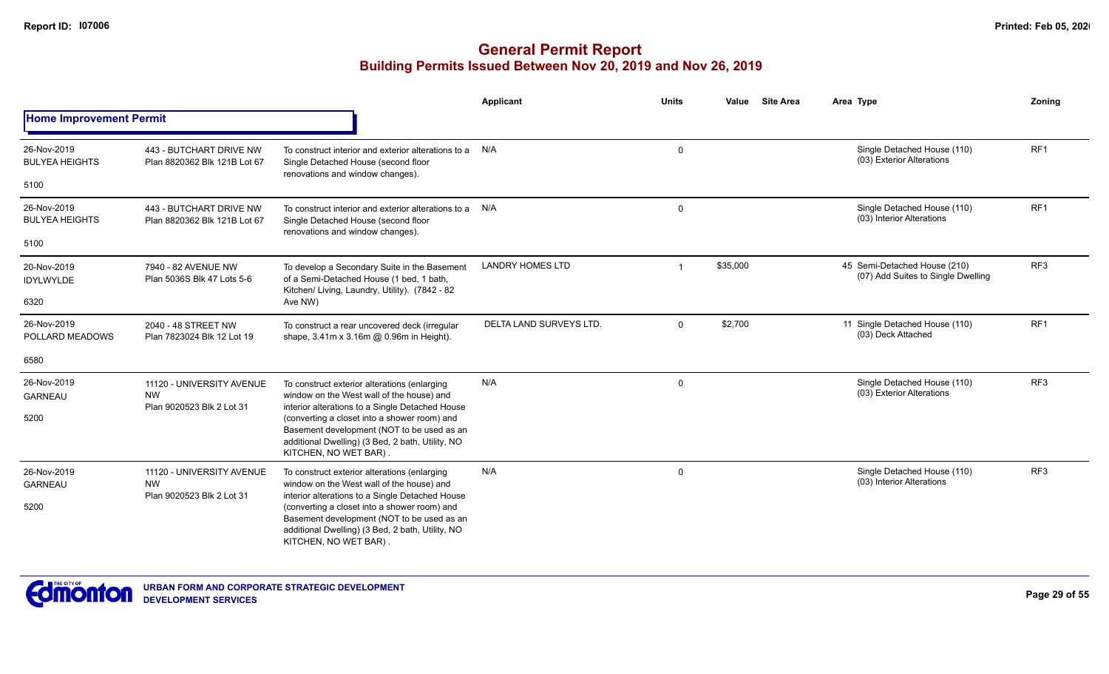|                                      |                                                                     |                                                                                                                                                                         | <b>Applicant</b>        | <b>Units</b> | <b>Site Area</b><br>Value                                | Area Type                                                          | Zoning          |
|--------------------------------------|---------------------------------------------------------------------|-------------------------------------------------------------------------------------------------------------------------------------------------------------------------|-------------------------|--------------|----------------------------------------------------------|--------------------------------------------------------------------|-----------------|
| <b>Home Improvement Permit</b>       |                                                                     |                                                                                                                                                                         |                         |              |                                                          |                                                                    |                 |
| 26-Nov-2019<br><b>BULYEA HEIGHTS</b> | 443 - BUTCHART DRIVE NW<br>Plan 8820362 Blk 121B Lot 67             | To construct interior and exterior alterations to a<br>Single Detached House (second floor<br>renovations and window changes).                                          | N/A                     | $\mathbf 0$  |                                                          | Single Detached House (110)<br>(03) Exterior Alterations           | RF1             |
| 5100                                 |                                                                     |                                                                                                                                                                         |                         |              |                                                          |                                                                    |                 |
| 26-Nov-2019<br><b>BULYEA HEIGHTS</b> | 443 - BUTCHART DRIVE NW<br>Plan 8820362 Blk 121B Lot 67             | To construct interior and exterior alterations to a<br>Single Detached House (second floor<br>renovations and window changes).                                          | N/A                     | $\mathbf 0$  |                                                          | Single Detached House (110)<br>(03) Interior Alterations           | RF1             |
| 5100                                 |                                                                     |                                                                                                                                                                         |                         |              |                                                          |                                                                    |                 |
| 20-Nov-2019<br><b>IDYLWYLDE</b>      | 7940 - 82 AVENUE NW<br>Plan 5036S Blk 47 Lots 5-6                   | To develop a Secondary Suite in the Basement<br>of a Semi-Detached House (1 bed, 1 bath,<br>Kitchen/ Living, Laundry, Utility). (7842 - 82                              | <b>LANDRY HOMES LTD</b> | -1           | \$35,000                                                 | 45 Semi-Detached House (210)<br>(07) Add Suites to Single Dwelling | RF <sub>3</sub> |
| 6320                                 |                                                                     | Ave NW)                                                                                                                                                                 |                         |              |                                                          | 11 Single Detached House (110)<br>(03) Deck Attached               |                 |
| 26-Nov-2019<br>POLLARD MEADOWS       | 2040 - 48 STREET NW<br>Plan 7823024 Blk 12 Lot 19                   | To construct a rear uncovered deck (irregular<br>shape, 3.41m x 3.16m @ 0.96m in Height).                                                                               | DELTA LAND SURVEYS LTD. | $\mathbf 0$  | \$2,700                                                  |                                                                    | RF1             |
| 6580                                 |                                                                     |                                                                                                                                                                         |                         |              |                                                          |                                                                    |                 |
| 26-Nov-2019<br><b>GARNEAU</b>        | 11120 - UNIVERSITY AVENUE<br><b>NW</b><br>Plan 9020523 Blk 2 Lot 31 | To construct exterior alterations (enlarging<br>window on the West wall of the house) and<br>interior alterations to a Single Detached House                            | N/A<br>$\mathbf 0$      |              | Single Detached House (110)<br>(03) Exterior Alterations | RF <sub>3</sub>                                                    |                 |
| 5200                                 |                                                                     | (converting a closet into a shower room) and<br>Basement development (NOT to be used as an<br>additional Dwelling) (3 Bed, 2 bath, Utility, NO<br>KITCHEN, NO WET BAR). |                         |              |                                                          |                                                                    |                 |
| 26-Nov-2019<br><b>GARNEAU</b>        | 11120 - UNIVERSITY AVENUE<br><b>NW</b><br>Plan 9020523 Blk 2 Lot 31 | To construct exterior alterations (enlarging<br>window on the West wall of the house) and<br>interior alterations to a Single Detached House                            | N/A                     | $\mathbf 0$  |                                                          | Single Detached House (110)<br>(03) Interior Alterations           | RF3             |
| 5200                                 |                                                                     | (converting a closet into a shower room) and<br>Basement development (NOT to be used as an<br>additional Dwelling) (3 Bed, 2 bath, Utility, NO<br>KITCHEN, NO WET BAR). |                         |              |                                                          |                                                                    |                 |

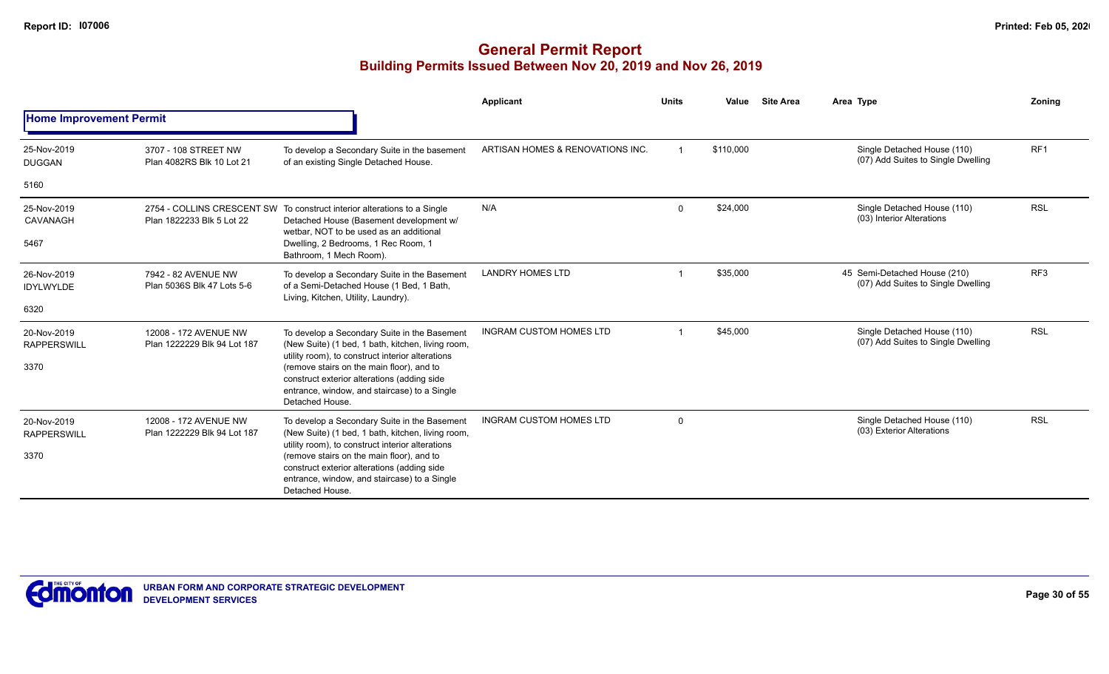|                                   |                                                      |                                                                                                                                                                                                                 | <b>Applicant</b>                 | <b>Units</b> | Value     | <b>Site Area</b> | Area Type                                                          | Zoning          |
|-----------------------------------|------------------------------------------------------|-----------------------------------------------------------------------------------------------------------------------------------------------------------------------------------------------------------------|----------------------------------|--------------|-----------|------------------|--------------------------------------------------------------------|-----------------|
| <b>Home Improvement Permit</b>    |                                                      |                                                                                                                                                                                                                 |                                  |              |           |                  |                                                                    |                 |
| 25-Nov-2019<br><b>DUGGAN</b>      | 3707 - 108 STREET NW<br>Plan 4082RS Blk 10 Lot 21    | To develop a Secondary Suite in the basement<br>of an existing Single Detached House.                                                                                                                           | ARTISAN HOMES & RENOVATIONS INC. |              | \$110,000 |                  | Single Detached House (110)<br>(07) Add Suites to Single Dwelling  | RF <sub>1</sub> |
| 5160                              |                                                      |                                                                                                                                                                                                                 |                                  |              |           |                  |                                                                    |                 |
| 25-Nov-2019<br>CAVANAGH           | Plan 1822233 Blk 5 Lot 22                            | 2754 - COLLINS CRESCENT SW To construct interior alterations to a Single<br>Detached House (Basement development w/<br>wetbar. NOT to be used as an additional                                                  | N/A                              | $\Omega$     | \$24,000  |                  | Single Detached House (110)<br>(03) Interior Alterations           | <b>RSL</b>      |
| 5467                              |                                                      | Dwelling, 2 Bedrooms, 1 Rec Room, 1<br>Bathroom, 1 Mech Room).                                                                                                                                                  |                                  |              |           |                  |                                                                    |                 |
| 26-Nov-2019<br><b>IDYLWYLDE</b>   | 7942 - 82 AVENUE NW<br>Plan 5036S Blk 47 Lots 5-6    | To develop a Secondary Suite in the Basement<br>of a Semi-Detached House (1 Bed, 1 Bath,                                                                                                                        | <b>LANDRY HOMES LTD</b>          |              | \$35,000  |                  | 45 Semi-Detached House (210)<br>(07) Add Suites to Single Dwelling | RF <sub>3</sub> |
| 6320                              |                                                      | Living, Kitchen, Utility, Laundry).                                                                                                                                                                             |                                  |              |           |                  |                                                                    |                 |
| 20-Nov-2019<br><b>RAPPERSWILL</b> | 12008 - 172 AVENUE NW<br>Plan 1222229 Blk 94 Lot 187 | To develop a Secondary Suite in the Basement<br>(New Suite) (1 bed, 1 bath, kitchen, living room,                                                                                                               | <b>INGRAM CUSTOM HOMES LTD</b>   |              | \$45,000  |                  | Single Detached House (110)<br>(07) Add Suites to Single Dwelling  | <b>RSL</b>      |
| 3370                              |                                                      | utility room), to construct interior alterations<br>(remove stairs on the main floor), and to<br>construct exterior alterations (adding side<br>entrance, window, and staircase) to a Single<br>Detached House. |                                  |              |           |                  |                                                                    |                 |
| 20-Nov-2019<br><b>RAPPERSWILL</b> | 12008 - 172 AVENUE NW<br>Plan 1222229 Blk 94 Lot 187 | To develop a Secondary Suite in the Basement<br>(New Suite) (1 bed, 1 bath, kitchen, living room,<br>utility room), to construct interior alterations                                                           | <b>INGRAM CUSTOM HOMES LTD</b>   | $\Omega$     |           |                  | Single Detached House (110)<br>(03) Exterior Alterations           | <b>RSL</b>      |
| 3370                              |                                                      | (remove stairs on the main floor), and to<br>construct exterior alterations (adding side<br>entrance, window, and staircase) to a Single<br>Detached House.                                                     |                                  |              |           |                  |                                                                    |                 |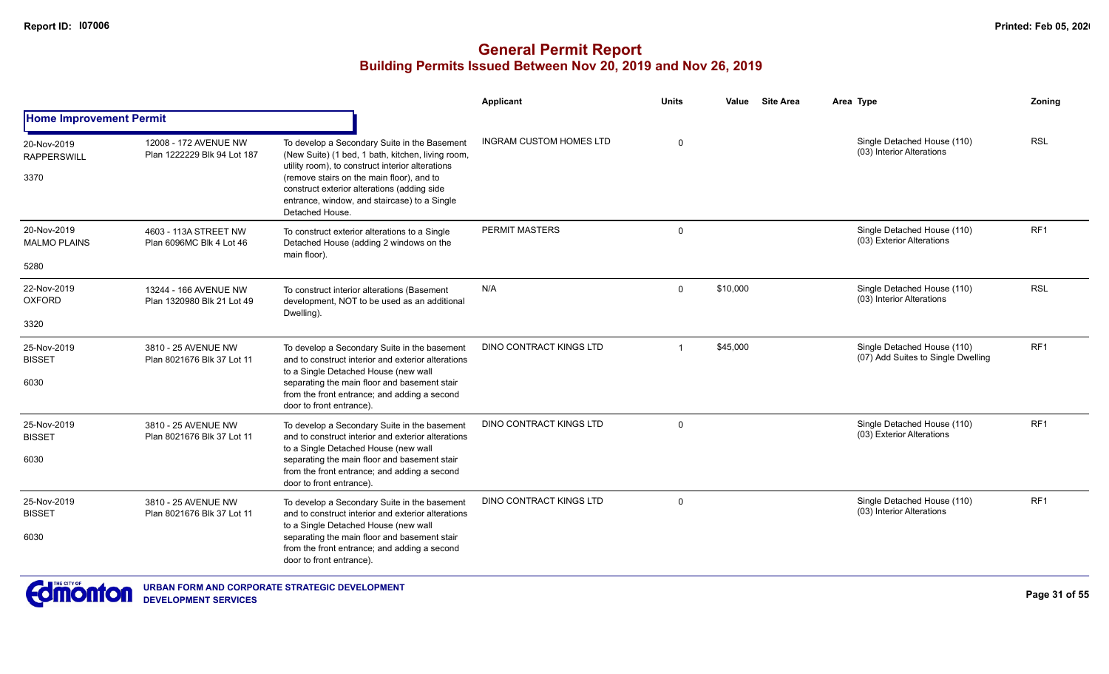|                                    |                                                      |                                                                                                                                                             | <b>Applicant</b>               | <b>Units</b> | <b>Site Area</b><br>Value | Area Type                                                         | Zoning          |
|------------------------------------|------------------------------------------------------|-------------------------------------------------------------------------------------------------------------------------------------------------------------|--------------------------------|--------------|---------------------------|-------------------------------------------------------------------|-----------------|
| <b>Home Improvement Permit</b>     |                                                      |                                                                                                                                                             |                                |              |                           |                                                                   |                 |
| 20-Nov-2019<br><b>RAPPERSWILL</b>  | 12008 - 172 AVENUE NW<br>Plan 1222229 Blk 94 Lot 187 | To develop a Secondary Suite in the Basement<br>(New Suite) (1 bed, 1 bath, kitchen, living room,<br>utility room), to construct interior alterations       | <b>INGRAM CUSTOM HOMES LTD</b> | $\Omega$     |                           | Single Detached House (110)<br>(03) Interior Alterations          | <b>RSL</b>      |
| 3370                               |                                                      | (remove stairs on the main floor), and to<br>construct exterior alterations (adding side<br>entrance, window, and staircase) to a Single<br>Detached House. |                                |              |                           |                                                                   |                 |
| 20-Nov-2019<br><b>MALMO PLAINS</b> | 4603 - 113A STREET NW<br>Plan 6096MC Blk 4 Lot 46    | To construct exterior alterations to a Single<br>Detached House (adding 2 windows on the<br>main floor).                                                    | PERMIT MASTERS                 | $\Omega$     |                           | Single Detached House (110)<br>(03) Exterior Alterations          | RF <sub>1</sub> |
| 5280                               |                                                      |                                                                                                                                                             |                                |              |                           |                                                                   |                 |
| 22-Nov-2019<br><b>OXFORD</b>       | 13244 - 166 AVENUE NW<br>Plan 1320980 Blk 21 Lot 49  | To construct interior alterations (Basement<br>development, NOT to be used as an additional<br>Dwelling).                                                   | N/A                            | $\mathbf 0$  | \$10,000                  | Single Detached House (110)<br>(03) Interior Alterations          | <b>RSL</b>      |
| 3320                               |                                                      |                                                                                                                                                             |                                |              |                           |                                                                   |                 |
| 25-Nov-2019<br><b>BISSET</b>       | 3810 - 25 AVENUE NW<br>Plan 8021676 Blk 37 Lot 11    | To develop a Secondary Suite in the basement<br>and to construct interior and exterior alterations<br>to a Single Detached House (new wall                  | <b>DINO CONTRACT KINGS LTD</b> |              | \$45,000                  | Single Detached House (110)<br>(07) Add Suites to Single Dwelling | RF1             |
| 6030                               |                                                      | separating the main floor and basement stair<br>from the front entrance; and adding a second<br>door to front entrance).                                    |                                |              |                           |                                                                   |                 |
| 25-Nov-2019<br><b>BISSET</b>       | 3810 - 25 AVENUE NW<br>Plan 8021676 Blk 37 Lot 11    | To develop a Secondary Suite in the basement<br>and to construct interior and exterior alterations<br>to a Single Detached House (new wall                  | <b>DINO CONTRACT KINGS LTD</b> | $\mathbf 0$  |                           | Single Detached House (110)<br>(03) Exterior Alterations          | RF1             |
| 6030                               |                                                      | separating the main floor and basement stair<br>from the front entrance; and adding a second<br>door to front entrance).                                    |                                |              |                           |                                                                   |                 |
| 25-Nov-2019<br><b>BISSET</b>       | 3810 - 25 AVENUE NW<br>Plan 8021676 Blk 37 Lot 11    | To develop a Secondary Suite in the basement<br>and to construct interior and exterior alterations<br>to a Single Detached House (new wall                  | <b>DINO CONTRACT KINGS LTD</b> | $\Omega$     |                           | Single Detached House (110)<br>(03) Interior Alterations          | RF <sub>1</sub> |
| 6030                               |                                                      | separating the main floor and basement stair<br>from the front entrance; and adding a second<br>door to front entrance).                                    |                                |              |                           |                                                                   |                 |

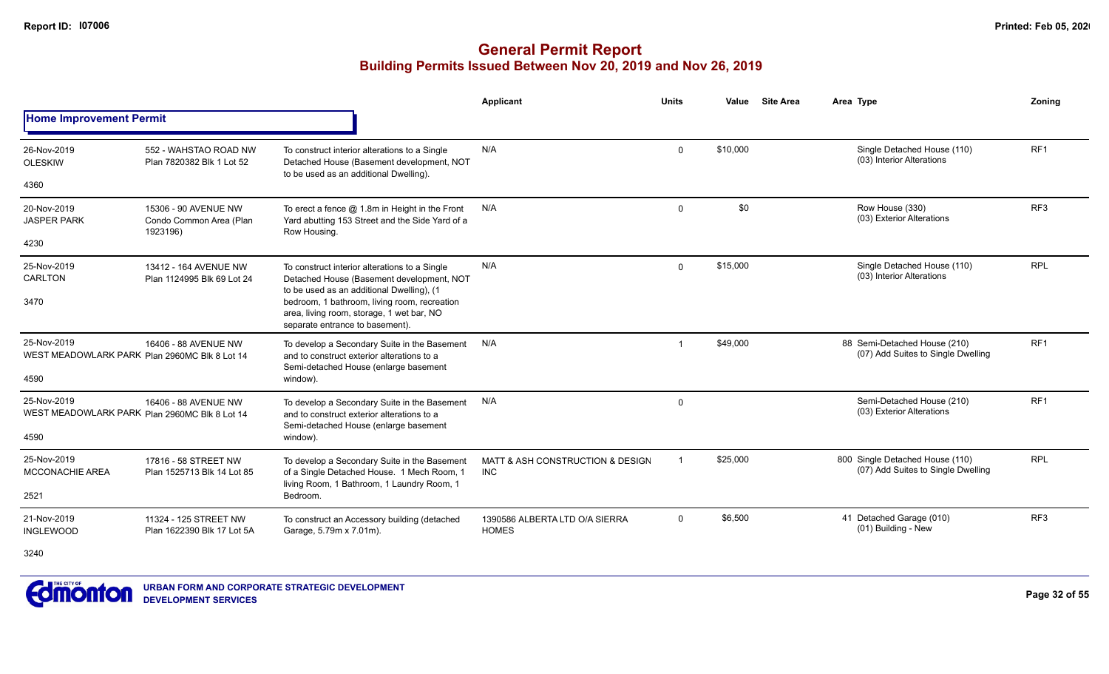#### **General Permit Report Building Permits Issued Between Nov 20, 2019 and Nov 26, 2019**

|                                                              |                                                                              |                                                                                                                                          | <b>Applicant</b>                               | <b>Units</b> | Value    | <b>Site Area</b> | Area Type                                                             | Zonina          |
|--------------------------------------------------------------|------------------------------------------------------------------------------|------------------------------------------------------------------------------------------------------------------------------------------|------------------------------------------------|--------------|----------|------------------|-----------------------------------------------------------------------|-----------------|
| <b>Home Improvement Permit</b>                               |                                                                              |                                                                                                                                          |                                                |              |          |                  |                                                                       |                 |
| 26-Nov-2019<br><b>OLESKIW</b>                                | 552 - WAHSTAO ROAD NW<br>Plan 7820382 Blk 1 Lot 52                           | To construct interior alterations to a Single<br>Detached House (Basement development, NOT<br>to be used as an additional Dwelling).     | N/A                                            | $\Omega$     | \$10,000 |                  | Single Detached House (110)<br>(03) Interior Alterations              | RF <sub>1</sub> |
| 4360                                                         |                                                                              |                                                                                                                                          |                                                |              |          |                  |                                                                       |                 |
| 20-Nov-2019<br><b>JASPER PARK</b>                            | 15306 - 90 AVENUE NW<br>Condo Common Area (Plan<br>1923196)                  | To erect a fence $@$ 1.8m in Height in the Front<br>Yard abutting 153 Street and the Side Yard of a<br>Row Housing.                      | N/A                                            | $\mathbf 0$  | \$0      |                  | Row House (330)<br>(03) Exterior Alterations                          | RF <sub>3</sub> |
| 4230                                                         |                                                                              |                                                                                                                                          |                                                |              |          |                  |                                                                       |                 |
| 25-Nov-2019<br>CARLTON                                       | 13412 - 164 AVENUE NW<br>Plan 1124995 Blk 69 Lot 24                          | To construct interior alterations to a Single<br>Detached House (Basement development, NOT                                               | N/A                                            | $\mathbf 0$  | \$15,000 |                  | Single Detached House (110)<br>(03) Interior Alterations              | <b>RPL</b>      |
| 3470                                                         | to be used as an additional Dwelling), (1<br>separate entrance to basement). | bedroom, 1 bathroom, living room, recreation<br>area, living room, storage, 1 wet bar, NO                                                |                                                |              |          |                  |                                                                       |                 |
| 25-Nov-2019<br>WEST MEADOWLARK PARK Plan 2960MC Blk 8 Lot 14 | 16406 - 88 AVENUE NW                                                         | To develop a Secondary Suite in the Basement<br>and to construct exterior alterations to a<br>Semi-detached House (enlarge basement      | N/A                                            |              | \$49,000 |                  | 88 Semi-Detached House (210)<br>(07) Add Suites to Single Dwelling    | RF <sub>1</sub> |
| 4590                                                         |                                                                              | window).                                                                                                                                 |                                                |              |          |                  |                                                                       |                 |
| 25-Nov-2019<br>WEST MEADOWLARK PARK Plan 2960MC Blk 8 Lot 14 | 16406 - 88 AVENUE NW                                                         | To develop a Secondary Suite in the Basement<br>and to construct exterior alterations to a<br>Semi-detached House (enlarge basement      | N/A                                            | 0            |          |                  | Semi-Detached House (210)<br>(03) Exterior Alterations                | RF <sub>1</sub> |
| 4590                                                         |                                                                              | window).                                                                                                                                 |                                                |              |          |                  |                                                                       |                 |
| 25-Nov-2019<br><b>MCCONACHIE AREA</b>                        | 17816 - 58 STREET NW<br>Plan 1525713 Blk 14 Lot 85                           | To develop a Secondary Suite in the Basement<br>of a Single Detached House. 1 Mech Room, 1<br>living Room, 1 Bathroom, 1 Laundry Room, 1 | MATT & ASH CONSTRUCTION & DESIGN<br><b>INC</b> | -1           | \$25,000 |                  | 800 Single Detached House (110)<br>(07) Add Suites to Single Dwelling | <b>RPL</b>      |
| 2521                                                         |                                                                              | Bedroom.                                                                                                                                 |                                                |              |          |                  |                                                                       |                 |
| 21-Nov-2019<br><b>INGLEWOOD</b>                              | 11324 - 125 STREET NW<br>Plan 1622390 Blk 17 Lot 5A                          | To construct an Accessory building (detached<br>Garage, 5.79m x 7.01m).                                                                  | 1390586 ALBERTA LTD O/A SIERRA<br><b>HOMES</b> | $\mathbf 0$  | \$6,500  |                  | 41 Detached Garage (010)<br>(01) Building - New                       | RF3             |

3240

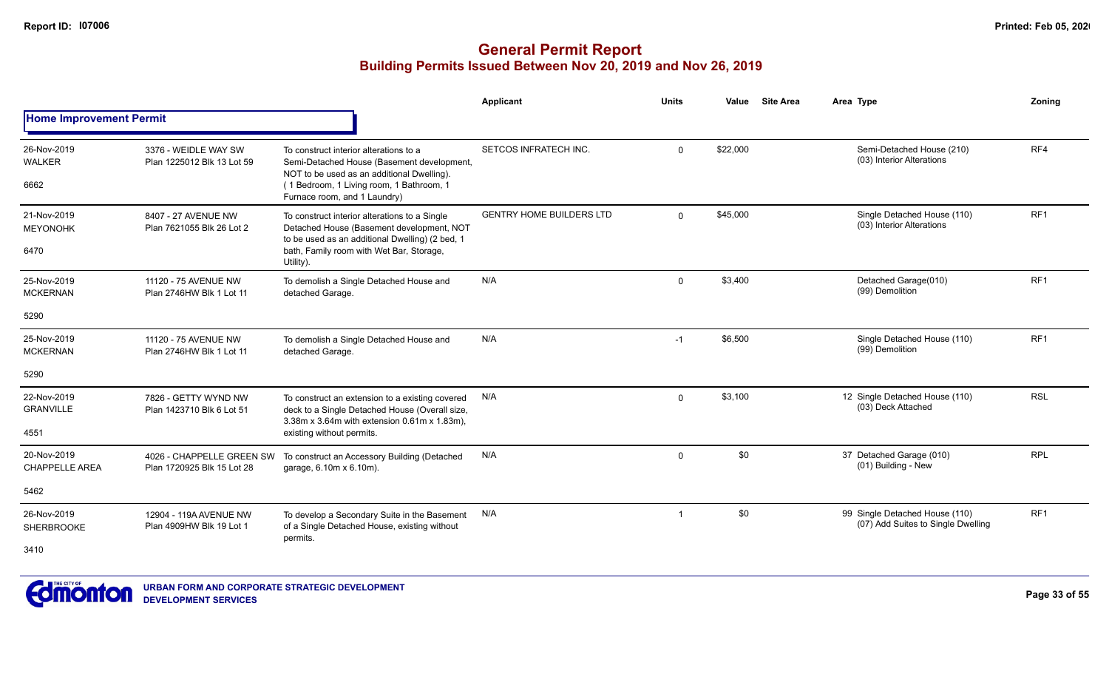|                                         |                                                         |                                                                                                                                                                                                                | Applicant                       | <b>Units</b>   | Value    | <b>Site Area</b> | Area Type                                                            | Zonina          |
|-----------------------------------------|---------------------------------------------------------|----------------------------------------------------------------------------------------------------------------------------------------------------------------------------------------------------------------|---------------------------------|----------------|----------|------------------|----------------------------------------------------------------------|-----------------|
| <b>Home Improvement Permit</b>          |                                                         |                                                                                                                                                                                                                |                                 |                |          |                  |                                                                      |                 |
| 26-Nov-2019<br><b>WALKER</b><br>6662    | 3376 - WEIDLE WAY SW<br>Plan 1225012 Blk 13 Lot 59      | To construct interior alterations to a<br>Semi-Detached House (Basement development,<br>NOT to be used as an additional Dwelling).<br>(1 Bedroom, 1 Living room, 1 Bathroom, 1<br>Furnace room, and 1 Laundry) | SETCOS INFRATECH INC.           | $\mathbf 0$    | \$22,000 |                  | Semi-Detached House (210)<br>(03) Interior Alterations               | RF4             |
| 21-Nov-2019<br><b>MEYONOHK</b><br>6470  | 8407 - 27 AVENUE NW<br>Plan 7621055 Blk 26 Lot 2        | To construct interior alterations to a Single<br>Detached House (Basement development, NOT<br>to be used as an additional Dwelling) (2 bed, 1<br>bath, Family room with Wet Bar, Storage,<br>Utility).         | <b>GENTRY HOME BUILDERS LTD</b> | $\Omega$       | \$45,000 |                  | Single Detached House (110)<br>(03) Interior Alterations             | RF <sub>1</sub> |
| 25-Nov-2019<br><b>MCKERNAN</b><br>5290  | 11120 - 75 AVENUE NW<br>Plan 2746HW Blk 1 Lot 11        | To demolish a Single Detached House and<br>detached Garage.                                                                                                                                                    | N/A                             | $\mathbf 0$    | \$3,400  |                  | Detached Garage(010)<br>(99) Demolition                              | RF <sub>1</sub> |
| 25-Nov-2019<br><b>MCKERNAN</b><br>5290  | 11120 - 75 AVENUE NW<br>Plan 2746HW Blk 1 Lot 11        | To demolish a Single Detached House and<br>detached Garage.                                                                                                                                                    | N/A                             | $-1$           | \$6,500  |                  | Single Detached House (110)<br>(99) Demolition                       | RF <sub>1</sub> |
| 22-Nov-2019<br><b>GRANVILLE</b><br>4551 | 7826 - GETTY WYND NW<br>Plan 1423710 Blk 6 Lot 51       | To construct an extension to a existing covered<br>deck to a Single Detached House (Overall size,<br>3.38m x 3.64m with extension 0.61m x 1.83m),<br>existing without permits.                                 | N/A                             | $\mathbf{0}$   | \$3,100  |                  | 12 Single Detached House (110)<br>(03) Deck Attached                 | <b>RSL</b>      |
| 20-Nov-2019<br><b>CHAPPELLE AREA</b>    | 4026 - CHAPPELLE GREEN SW<br>Plan 1720925 Blk 15 Lot 28 | To construct an Accessory Building (Detached<br>garage, 6.10m x 6.10m).                                                                                                                                        | N/A                             | $\mathbf 0$    | \$0      |                  | 37 Detached Garage (010)<br>(01) Building - New                      | <b>RPL</b>      |
| 5462                                    |                                                         |                                                                                                                                                                                                                |                                 |                |          |                  |                                                                      |                 |
| 26-Nov-2019<br><b>SHERBROOKE</b>        | 12904 - 119A AVENUE NW<br>Plan 4909HW Blk 19 Lot 1      | To develop a Secondary Suite in the Basement<br>of a Single Detached House, existing without<br>permits.                                                                                                       | N/A                             | $\overline{1}$ | \$0      |                  | 99 Single Detached House (110)<br>(07) Add Suites to Single Dwelling | RF <sub>1</sub> |
| 3410                                    |                                                         |                                                                                                                                                                                                                |                                 |                |          |                  |                                                                      |                 |

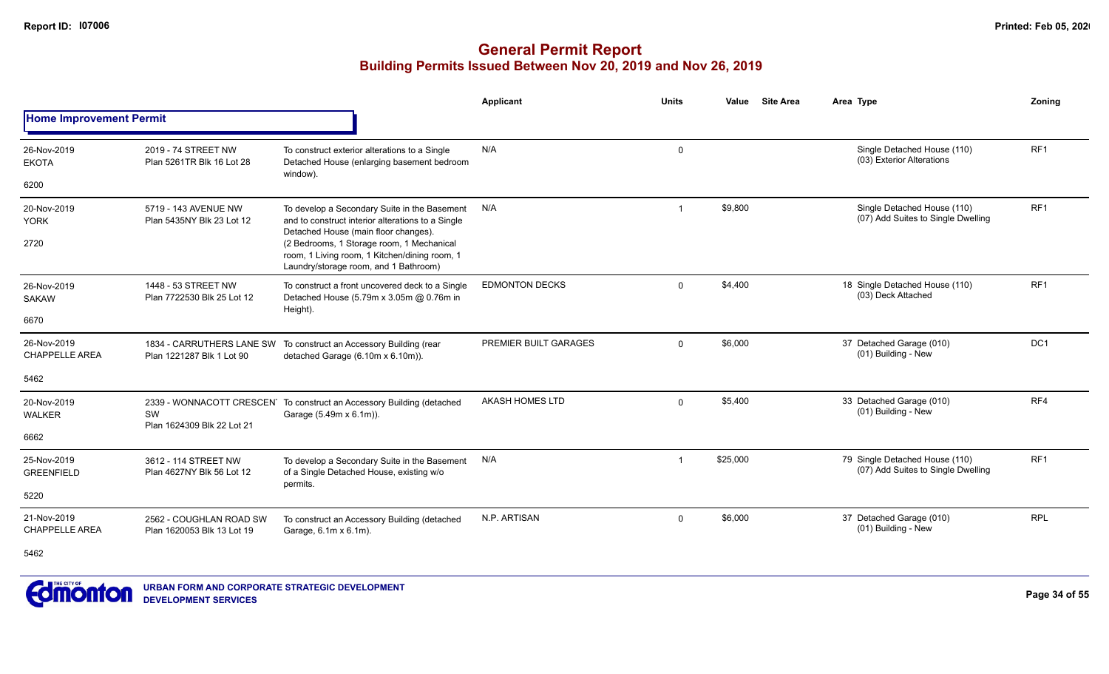|                                      |                                                        |                                                                                                                                           | <b>Applicant</b>       | <b>Units</b>   | Value    | <b>Site Area</b> | Area Type                                                            | Zoning          |
|--------------------------------------|--------------------------------------------------------|-------------------------------------------------------------------------------------------------------------------------------------------|------------------------|----------------|----------|------------------|----------------------------------------------------------------------|-----------------|
| <b>Home Improvement Permit</b>       |                                                        |                                                                                                                                           |                        |                |          |                  |                                                                      |                 |
| 26-Nov-2019<br><b>EKOTA</b>          | 2019 - 74 STREET NW<br>Plan 5261TR Blk 16 Lot 28       | To construct exterior alterations to a Single<br>Detached House (enlarging basement bedroom                                               | N/A                    | 0              |          |                  | Single Detached House (110)<br>(03) Exterior Alterations             | RF <sub>1</sub> |
| 6200                                 |                                                        | window).                                                                                                                                  |                        |                |          |                  |                                                                      |                 |
| 20-Nov-2019<br><b>YORK</b>           | 5719 - 143 AVENUE NW<br>Plan 5435NY Blk 23 Lot 12      | To develop a Secondary Suite in the Basement<br>and to construct interior alterations to a Single<br>Detached House (main floor changes). | N/A                    | -1             | \$9,800  |                  | Single Detached House (110)<br>(07) Add Suites to Single Dwelling    | RF <sub>1</sub> |
| 2720                                 |                                                        | (2 Bedrooms, 1 Storage room, 1 Mechanical<br>room, 1 Living room, 1 Kitchen/dining room, 1<br>Laundry/storage room, and 1 Bathroom)       |                        |                |          |                  |                                                                      |                 |
| 26-Nov-2019<br><b>SAKAW</b>          | 1448 - 53 STREET NW<br>Plan 7722530 Blk 25 Lot 12      | To construct a front uncovered deck to a Single<br>Detached House (5.79m x 3.05m @ 0.76m in<br>Height).                                   | <b>EDMONTON DECKS</b>  | $\mathbf{0}$   | \$4,400  |                  | 18 Single Detached House (110)<br>(03) Deck Attached                 | RF <sub>1</sub> |
| 6670                                 |                                                        |                                                                                                                                           |                        |                |          |                  |                                                                      |                 |
| 26-Nov-2019<br><b>CHAPPELLE AREA</b> | 1834 - CARRUTHERS LANE SW<br>Plan 1221287 Blk 1 Lot 90 | To construct an Accessory Building (rear<br>detached Garage (6.10m x 6.10m)).                                                             | PREMIER BUILT GARAGES  | $\mathbf{0}$   | \$6,000  |                  | 37 Detached Garage (010)<br>(01) Building - New                      | DC <sub>1</sub> |
| 5462                                 |                                                        |                                                                                                                                           |                        |                |          |                  |                                                                      |                 |
| 20-Nov-2019<br><b>WALKER</b>         | SW<br>Plan 1624309 Blk 22 Lot 21                       | 2339 - WONNACOTT CRESCEN <sup>T</sup> To construct an Accessory Building (detached<br>Garage (5.49m x 6.1m)).                             | <b>AKASH HOMES LTD</b> | $\mathbf 0$    | \$5,400  |                  | 33 Detached Garage (010)<br>(01) Building - New                      | RF4             |
| 6662                                 |                                                        |                                                                                                                                           |                        |                |          |                  |                                                                      |                 |
| 25-Nov-2019<br><b>GREENFIELD</b>     | 3612 - 114 STREET NW<br>Plan 4627NY Blk 56 Lot 12      | To develop a Secondary Suite in the Basement<br>of a Single Detached House, existing w/o                                                  | N/A                    | $\overline{1}$ | \$25,000 |                  | 79 Single Detached House (110)<br>(07) Add Suites to Single Dwelling | RF <sub>1</sub> |
| 5220                                 |                                                        | permits.                                                                                                                                  |                        |                |          |                  |                                                                      |                 |
| 21-Nov-2019<br><b>CHAPPELLE AREA</b> | 2562 - COUGHLAN ROAD SW<br>Plan 1620053 Blk 13 Lot 19  | To construct an Accessory Building (detached<br>Garage, 6.1m x 6.1m).                                                                     | N.P. ARTISAN           | $\mathbf{0}$   | \$6,000  |                  | 37 Detached Garage (010)<br>(01) Building - New                      | <b>RPL</b>      |
| 5462                                 |                                                        |                                                                                                                                           |                        |                |          |                  |                                                                      |                 |

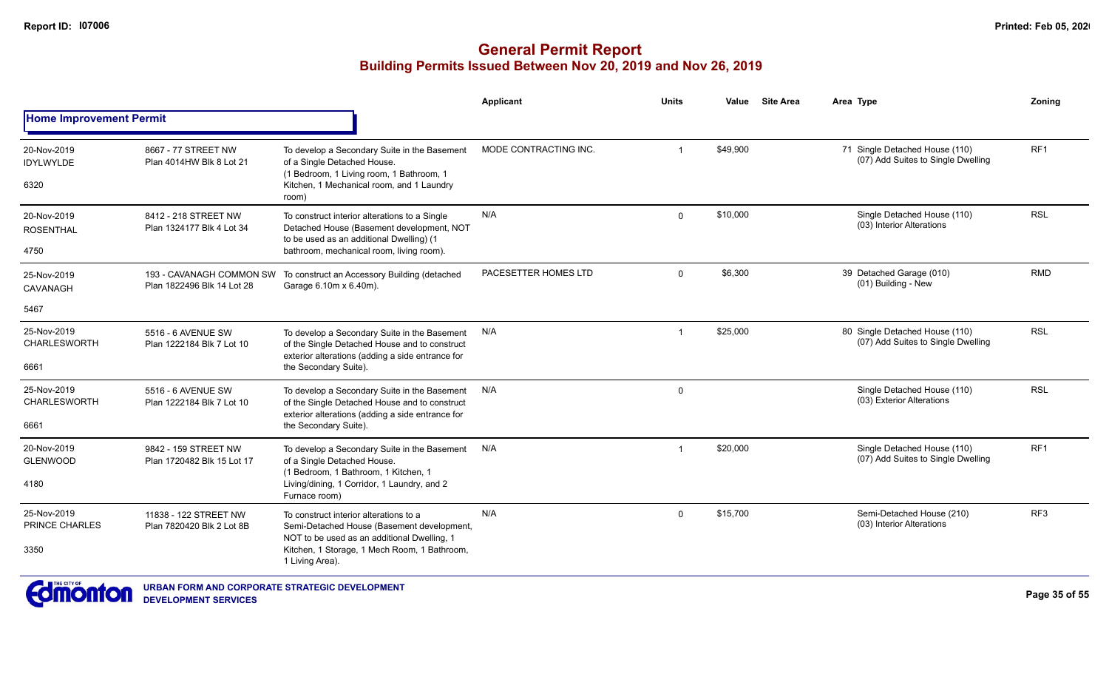|                                            |                                                        |                                                                                                                                                                                                        | <b>Applicant</b>      | <b>Units</b>   | Value    | <b>Site Area</b> | Area Type                                                            | Zonina          |
|--------------------------------------------|--------------------------------------------------------|--------------------------------------------------------------------------------------------------------------------------------------------------------------------------------------------------------|-----------------------|----------------|----------|------------------|----------------------------------------------------------------------|-----------------|
| <b>Home Improvement Permit</b>             |                                                        |                                                                                                                                                                                                        |                       |                |          |                  |                                                                      |                 |
| 20-Nov-2019<br><b>IDYLWYLDE</b><br>6320    | 8667 - 77 STREET NW<br>Plan 4014HW Blk 8 Lot 21        | To develop a Secondary Suite in the Basement<br>of a Single Detached House.<br>(1 Bedroom, 1 Living room, 1 Bathroom, 1<br>Kitchen, 1 Mechanical room, and 1 Laundry<br>room)                          | MODE CONTRACTING INC. | $\overline{1}$ | \$49,900 |                  | 71 Single Detached House (110)<br>(07) Add Suites to Single Dwelling | RF <sub>1</sub> |
| 20-Nov-2019<br><b>ROSENTHAL</b><br>4750    | 8412 - 218 STREET NW<br>Plan 1324177 Blk 4 Lot 34      | To construct interior alterations to a Single<br>Detached House (Basement development, NOT<br>to be used as an additional Dwelling) (1<br>bathroom, mechanical room, living room).                     | N/A                   | $\overline{0}$ | \$10,000 |                  | Single Detached House (110)<br>(03) Interior Alterations             | <b>RSL</b>      |
| 25-Nov-2019<br>CAVANAGH                    | 193 - CAVANAGH COMMON SW<br>Plan 1822496 Blk 14 Lot 28 | To construct an Accessory Building (detached<br>Garage 6.10m x 6.40m).                                                                                                                                 | PACESETTER HOMES LTD  | $\Omega$       | \$6,300  |                  | 39 Detached Garage (010)<br>(01) Building - New                      | <b>RMD</b>      |
| 5467                                       |                                                        |                                                                                                                                                                                                        |                       |                |          |                  |                                                                      |                 |
| 25-Nov-2019<br><b>CHARLESWORTH</b><br>6661 | 5516 - 6 AVENUE SW<br>Plan 1222184 Blk 7 Lot 10        | To develop a Secondary Suite in the Basement<br>of the Single Detached House and to construct<br>exterior alterations (adding a side entrance for<br>the Secondary Suite).                             | N/A                   | $\mathbf{1}$   | \$25,000 |                  | 80 Single Detached House (110)<br>(07) Add Suites to Single Dwelling | <b>RSL</b>      |
| 25-Nov-2019<br><b>CHARLESWORTH</b><br>6661 | 5516 - 6 AVENUE SW<br>Plan 1222184 Blk 7 Lot 10        | To develop a Secondary Suite in the Basement<br>of the Single Detached House and to construct<br>exterior alterations (adding a side entrance for<br>the Secondary Suite).                             | N/A                   | 0              |          |                  | Single Detached House (110)<br>(03) Exterior Alterations             | <b>RSL</b>      |
| 20-Nov-2019<br><b>GLENWOOD</b><br>4180     | 9842 - 159 STREET NW<br>Plan 1720482 Blk 15 Lot 17     | To develop a Secondary Suite in the Basement<br>of a Single Detached House.<br>(1 Bedroom, 1 Bathroom, 1 Kitchen, 1<br>Living/dining, 1 Corridor, 1 Laundry, and 2<br>Furnace room)                    | N/A                   | $\mathbf{1}$   | \$20,000 |                  | Single Detached House (110)<br>(07) Add Suites to Single Dwelling    | RF <sub>1</sub> |
| 25-Nov-2019<br>PRINCE CHARLES<br>3350      | 11838 - 122 STREET NW<br>Plan 7820420 Blk 2 Lot 8B     | To construct interior alterations to a<br>Semi-Detached House (Basement development,<br>NOT to be used as an additional Dwelling, 1<br>Kitchen, 1 Storage, 1 Mech Room, 1 Bathroom,<br>1 Living Area). | N/A                   | $\Omega$       | \$15,700 |                  | Semi-Detached House (210)<br>(03) Interior Alterations               | RF <sub>3</sub> |

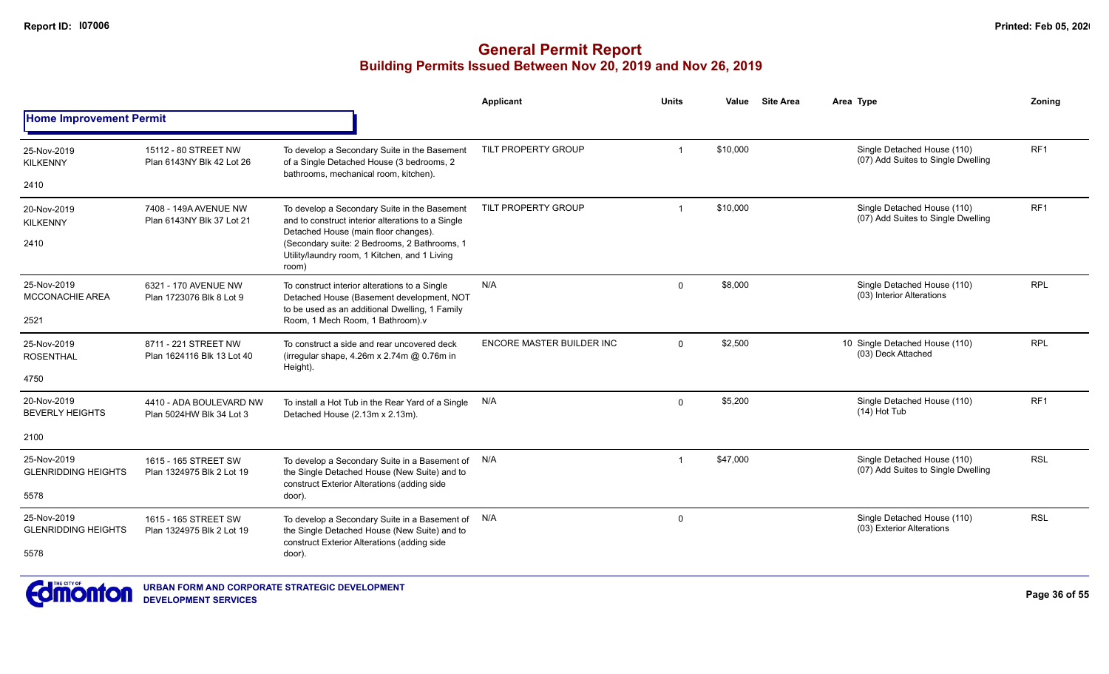|                                                   |                                                     |                                                                                                                                                                                                                                                     | <b>Applicant</b>                 | <b>Units</b>            | Value    | <b>Site Area</b> | Area Type                                                         | Zoning          |
|---------------------------------------------------|-----------------------------------------------------|-----------------------------------------------------------------------------------------------------------------------------------------------------------------------------------------------------------------------------------------------------|----------------------------------|-------------------------|----------|------------------|-------------------------------------------------------------------|-----------------|
| <b>Home Improvement Permit</b>                    |                                                     |                                                                                                                                                                                                                                                     |                                  |                         |          |                  |                                                                   |                 |
| 25-Nov-2019<br><b>KILKENNY</b><br>2410            | 15112 - 80 STREET NW<br>Plan 6143NY Blk 42 Lot 26   | To develop a Secondary Suite in the Basement<br>of a Single Detached House (3 bedrooms, 2<br>bathrooms, mechanical room, kitchen).                                                                                                                  | TILT PROPERTY GROUP              | 1                       | \$10,000 |                  | Single Detached House (110)<br>(07) Add Suites to Single Dwelling | RF <sub>1</sub> |
| 20-Nov-2019<br><b>KILKENNY</b><br>2410            | 7408 - 149A AVENUE NW<br>Plan 6143NY Blk 37 Lot 21  | To develop a Secondary Suite in the Basement<br>and to construct interior alterations to a Single<br>Detached House (main floor changes).<br>(Secondary suite: 2 Bedrooms, 2 Bathrooms, 1<br>Utility/laundry room, 1 Kitchen, and 1 Living<br>room) | TILT PROPERTY GROUP              | $\overline{\mathbf{1}}$ | \$10,000 |                  | Single Detached House (110)<br>(07) Add Suites to Single Dwelling | RF <sub>1</sub> |
| 25-Nov-2019<br><b>MCCONACHIE AREA</b><br>2521     | 6321 - 170 AVENUE NW<br>Plan 1723076 Blk 8 Lot 9    | To construct interior alterations to a Single<br>Detached House (Basement development, NOT<br>to be used as an additional Dwelling, 1 Family<br>Room, 1 Mech Room, 1 Bathroom).v                                                                    | N/A                              | $\Omega$                | \$8,000  |                  | Single Detached House (110)<br>(03) Interior Alterations          | <b>RPL</b>      |
| 25-Nov-2019<br><b>ROSENTHAL</b><br>4750           | 8711 - 221 STREET NW<br>Plan 1624116 Blk 13 Lot 40  | To construct a side and rear uncovered deck<br>(irregular shape, 4.26m x 2.74m @ 0.76m in<br>Height).                                                                                                                                               | <b>ENCORE MASTER BUILDER INC</b> | $\Omega$                | \$2,500  |                  | 10 Single Detached House (110)<br>(03) Deck Attached              | <b>RPL</b>      |
| 20-Nov-2019<br><b>BEVERLY HEIGHTS</b><br>2100     | 4410 - ADA BOULEVARD NW<br>Plan 5024HW Blk 34 Lot 3 | To install a Hot Tub in the Rear Yard of a Single<br>Detached House (2.13m x 2.13m).                                                                                                                                                                | N/A                              | $\Omega$                | \$5,200  |                  | Single Detached House (110)<br>(14) Hot Tub                       | RF <sub>1</sub> |
| 25-Nov-2019<br><b>GLENRIDDING HEIGHTS</b><br>5578 | 1615 - 165 STREET SW<br>Plan 1324975 Blk 2 Lot 19   | To develop a Secondary Suite in a Basement of N/A<br>the Single Detached House (New Suite) and to<br>construct Exterior Alterations (adding side<br>door).                                                                                          |                                  | -1                      | \$47,000 |                  | Single Detached House (110)<br>(07) Add Suites to Single Dwelling | <b>RSL</b>      |
| 25-Nov-2019<br><b>GLENRIDDING HEIGHTS</b><br>5578 | 1615 - 165 STREET SW<br>Plan 1324975 Blk 2 Lot 19   | To develop a Secondary Suite in a Basement of N/A<br>the Single Detached House (New Suite) and to<br>construct Exterior Alterations (adding side<br>door).                                                                                          |                                  | $\mathbf 0$             |          |                  | Single Detached House (110)<br>(03) Exterior Alterations          | <b>RSL</b>      |

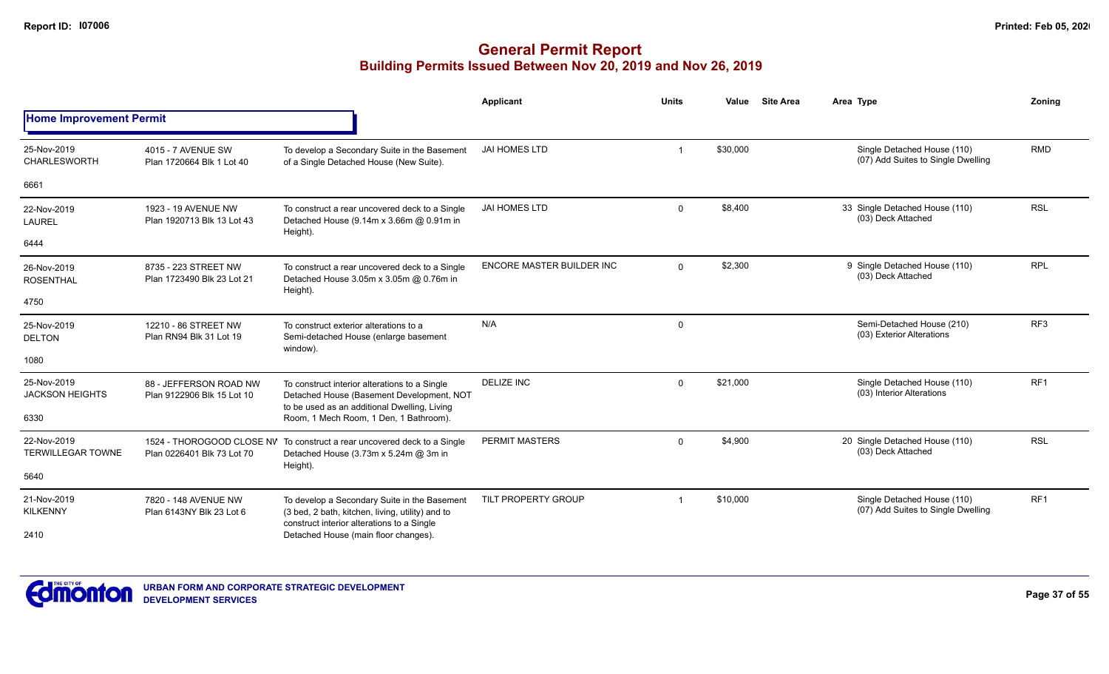|                                         |                                                         |                                                                                                                                                | <b>Applicant</b>                 | <b>Units</b>            | Value    | <b>Site Area</b> | Area Type                                                         | Zoning          |
|-----------------------------------------|---------------------------------------------------------|------------------------------------------------------------------------------------------------------------------------------------------------|----------------------------------|-------------------------|----------|------------------|-------------------------------------------------------------------|-----------------|
| <b>Home Improvement Permit</b>          |                                                         |                                                                                                                                                |                                  |                         |          |                  |                                                                   |                 |
| 25-Nov-2019<br><b>CHARLESWORTH</b>      | 4015 - 7 AVENUE SW<br>Plan 1720664 Blk 1 Lot 40         | To develop a Secondary Suite in the Basement<br>of a Single Detached House (New Suite).                                                        | <b>JAI HOMES LTD</b>             | $\overline{1}$          | \$30,000 |                  | Single Detached House (110)<br>(07) Add Suites to Single Dwelling | <b>RMD</b>      |
| 6661                                    |                                                         |                                                                                                                                                |                                  |                         |          |                  |                                                                   |                 |
| 22-Nov-2019<br><b>LAUREL</b>            | 1923 - 19 AVENUE NW<br>Plan 1920713 Blk 13 Lot 43       | To construct a rear uncovered deck to a Single<br>Detached House (9.14m x 3.66m @ 0.91m in<br>Height).                                         | <b>JAI HOMES LTD</b>             | $\mathbf 0$             | \$8,400  |                  | 33 Single Detached House (110)<br>(03) Deck Attached              | <b>RSL</b>      |
| 6444                                    |                                                         |                                                                                                                                                |                                  |                         |          |                  |                                                                   |                 |
| 26-Nov-2019<br><b>ROSENTHAL</b>         | 8735 - 223 STREET NW<br>Plan 1723490 Blk 23 Lot 21      | To construct a rear uncovered deck to a Single<br>Detached House 3.05m x 3.05m @ 0.76m in<br>Height).                                          | <b>ENCORE MASTER BUILDER INC</b> | $\mathbf 0$             | \$2,300  |                  | 9 Single Detached House (110)<br>(03) Deck Attached               | <b>RPL</b>      |
| 4750                                    |                                                         |                                                                                                                                                |                                  |                         |          |                  |                                                                   |                 |
| 25-Nov-2019<br><b>DELTON</b>            | 12210 - 86 STREET NW<br>Plan RN94 Blk 31 Lot 19         | To construct exterior alterations to a<br>Semi-detached House (enlarge basement<br>window).                                                    | N/A                              | $\mathbf 0$             |          |                  | Semi-Detached House (210)<br>(03) Exterior Alterations            | RF <sub>3</sub> |
| 1080                                    |                                                         |                                                                                                                                                |                                  |                         |          |                  |                                                                   |                 |
| 25-Nov-2019<br><b>JACKSON HEIGHTS</b>   | 88 - JEFFERSON ROAD NW<br>Plan 9122906 Blk 15 Lot 10    | To construct interior alterations to a Single<br>Detached House (Basement Development, NOT<br>to be used as an additional Dwelling, Living     | <b>DELIZE INC</b>                | $\mathbf 0$             | \$21,000 |                  | Single Detached House (110)<br>(03) Interior Alterations          | RF1             |
| 6330                                    |                                                         | Room, 1 Mech Room, 1 Den, 1 Bathroom).                                                                                                         |                                  |                         |          |                  |                                                                   |                 |
| 22-Nov-2019<br><b>TERWILLEGAR TOWNE</b> | 1524 - THOROGOOD CLOSE NV<br>Plan 0226401 Blk 73 Lot 70 | To construct a rear uncovered deck to a Single<br>Detached House (3.73m x 5.24m @ 3m in<br>Height).                                            | PERMIT MASTERS                   | $\mathbf{0}$            | \$4,900  |                  | 20 Single Detached House (110)<br>(03) Deck Attached              | <b>RSL</b>      |
| 5640                                    |                                                         |                                                                                                                                                |                                  |                         |          |                  |                                                                   |                 |
| 21-Nov-2019<br><b>KILKENNY</b>          | 7820 - 148 AVENUE NW<br>Plan 6143NY Blk 23 Lot 6        | To develop a Secondary Suite in the Basement<br>(3 bed, 2 bath, kitchen, living, utility) and to<br>construct interior alterations to a Single | TILT PROPERTY GROUP              | $\overline{\mathbf{1}}$ | \$10,000 |                  | Single Detached House (110)<br>(07) Add Suites to Single Dwelling | RF <sub>1</sub> |
| 2410                                    |                                                         | Detached House (main floor changes).                                                                                                           |                                  |                         |          |                  |                                                                   |                 |

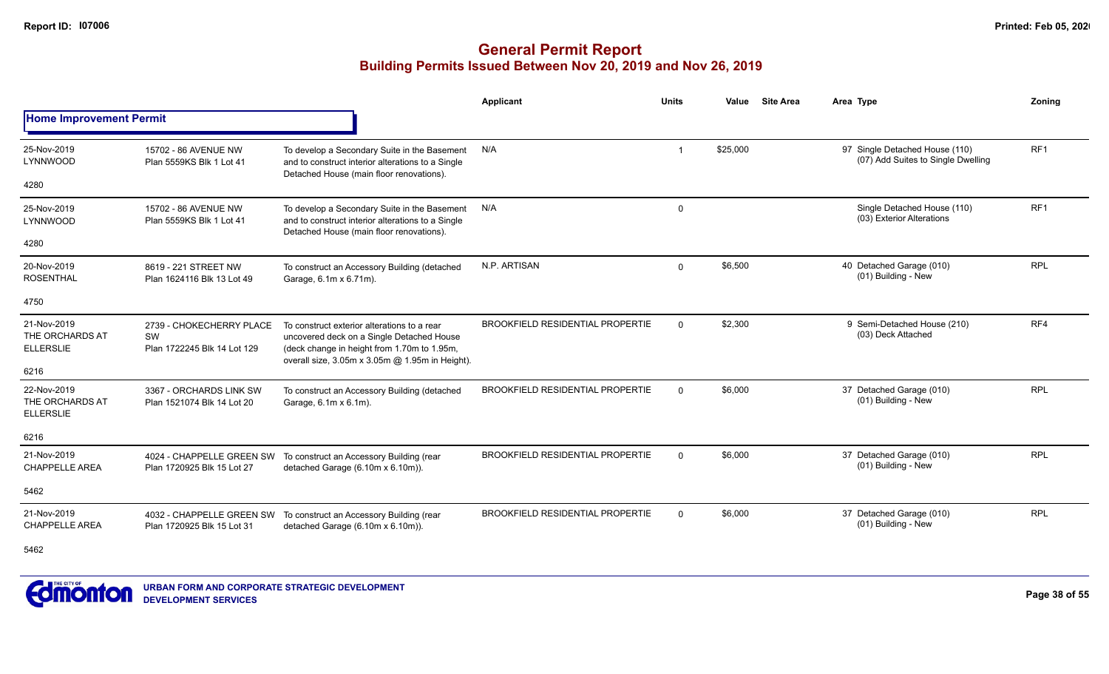|                                                    |                                                               |                                                                                                                                                                                            | Applicant                               | <b>Units</b> | Value    | <b>Site Area</b> | Area Type                                                            | <b>Zoning</b> |
|----------------------------------------------------|---------------------------------------------------------------|--------------------------------------------------------------------------------------------------------------------------------------------------------------------------------------------|-----------------------------------------|--------------|----------|------------------|----------------------------------------------------------------------|---------------|
| <b>Home Improvement Permit</b>                     |                                                               |                                                                                                                                                                                            |                                         |              |          |                  |                                                                      |               |
| 25-Nov-2019<br>LYNNWOOD                            | 15702 - 86 AVENUE NW<br>Plan 5559KS Blk 1 Lot 41              | To develop a Secondary Suite in the Basement<br>and to construct interior alterations to a Single<br>Detached House (main floor renovations).                                              | N/A                                     |              | \$25,000 |                  | 97 Single Detached House (110)<br>(07) Add Suites to Single Dwelling | RF1           |
| 4280                                               |                                                               |                                                                                                                                                                                            |                                         |              |          |                  |                                                                      |               |
| 25-Nov-2019<br>LYNNWOOD                            | 15702 - 86 AVENUE NW<br>Plan 5559KS Blk 1 Lot 41              | To develop a Secondary Suite in the Basement<br>and to construct interior alterations to a Single<br>Detached House (main floor renovations).                                              | N/A                                     | $\mathbf 0$  |          |                  | Single Detached House (110)<br>(03) Exterior Alterations             | RF1           |
| 4280                                               |                                                               |                                                                                                                                                                                            |                                         |              |          |                  |                                                                      |               |
| 20-Nov-2019<br><b>ROSENTHAL</b>                    | 8619 - 221 STREET NW<br>Plan 1624116 Blk 13 Lot 49            | To construct an Accessory Building (detached<br>Garage, 6.1m x 6.71m).                                                                                                                     | N.P. ARTISAN                            | $\Omega$     | \$6,500  |                  | 40 Detached Garage (010)<br>(01) Building - New                      | <b>RPL</b>    |
| 4750                                               |                                                               |                                                                                                                                                                                            |                                         |              |          |                  |                                                                      |               |
| 21-Nov-2019<br>THE ORCHARDS AT<br><b>ELLERSLIE</b> | 2739 - CHOKECHERRY PLACE<br>SW<br>Plan 1722245 Blk 14 Lot 129 | To construct exterior alterations to a rear<br>uncovered deck on a Single Detached House<br>(deck change in height from 1.70m to 1.95m,<br>overall size, 3.05m x 3.05m @ 1.95m in Height). | <b>BROOKFIELD RESIDENTIAL PROPERTIE</b> | $\Omega$     | \$2,300  |                  | 9 Semi-Detached House (210)<br>(03) Deck Attached                    | RF4           |
| 6216                                               |                                                               |                                                                                                                                                                                            |                                         |              |          |                  |                                                                      |               |
| 22-Nov-2019<br>THE ORCHARDS AT<br><b>ELLERSLIE</b> | 3367 - ORCHARDS LINK SW<br>Plan 1521074 Blk 14 Lot 20         | To construct an Accessory Building (detached<br>Garage, 6.1m x 6.1m).                                                                                                                      | <b>BROOKFIELD RESIDENTIAL PROPERTIE</b> | $\Omega$     | \$6,000  |                  | 37 Detached Garage (010)<br>(01) Building - New                      | <b>RPL</b>    |
| 6216                                               |                                                               |                                                                                                                                                                                            |                                         |              |          |                  |                                                                      |               |
| 21-Nov-2019<br><b>CHAPPELLE AREA</b>               | Plan 1720925 Blk 15 Lot 27                                    | 4024 - CHAPPELLE GREEN SW To construct an Accessory Building (rear<br>detached Garage (6.10m x 6.10m)).                                                                                    | <b>BROOKFIELD RESIDENTIAL PROPERTIE</b> | $\Omega$     | \$6,000  |                  | 37 Detached Garage (010)<br>(01) Building - New                      | <b>RPL</b>    |
| 5462                                               |                                                               |                                                                                                                                                                                            |                                         |              |          |                  |                                                                      |               |
| 21-Nov-2019<br><b>CHAPPELLE AREA</b>               | Plan 1720925 Blk 15 Lot 31                                    | 4032 - CHAPPELLE GREEN SW To construct an Accessory Building (rear<br>detached Garage (6.10m x 6.10m)).                                                                                    | <b>BROOKFIELD RESIDENTIAL PROPERTIE</b> | $\Omega$     | \$6,000  |                  | 37 Detached Garage (010)<br>(01) Building - New                      | <b>RPL</b>    |
| 5462                                               |                                                               |                                                                                                                                                                                            |                                         |              |          |                  |                                                                      |               |

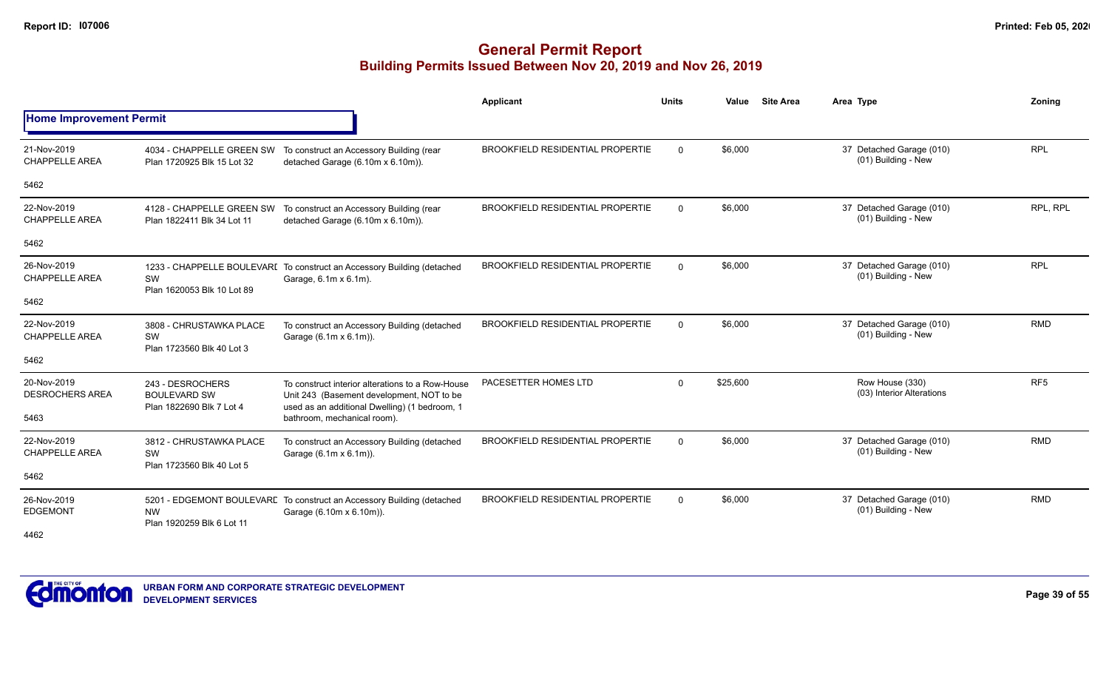|                                       |                                                                     |                                                                                                                                                | <b>Applicant</b>                        | <b>Units</b> | Value    | <b>Site Area</b> | Area Type                                       | Zonina          |
|---------------------------------------|---------------------------------------------------------------------|------------------------------------------------------------------------------------------------------------------------------------------------|-----------------------------------------|--------------|----------|------------------|-------------------------------------------------|-----------------|
| <b>Home Improvement Permit</b>        |                                                                     |                                                                                                                                                |                                         |              |          |                  |                                                 |                 |
| 21-Nov-2019<br><b>CHAPPELLE AREA</b>  | Plan 1720925 Blk 15 Lot 32                                          | 4034 - CHAPPELLE GREEN SW To construct an Accessory Building (rear<br>detached Garage (6.10m x 6.10m)).                                        | <b>BROOKFIELD RESIDENTIAL PROPERTIE</b> | $\Omega$     | \$6,000  |                  | 37 Detached Garage (010)<br>(01) Building - New | <b>RPL</b>      |
| 5462                                  |                                                                     |                                                                                                                                                |                                         |              |          |                  |                                                 |                 |
| 22-Nov-2019<br><b>CHAPPELLE AREA</b>  | 4128 - CHAPPELLE GREEN SW<br>Plan 1822411 Blk 34 Lot 11             | To construct an Accessory Building (rear<br>detached Garage (6.10m x 6.10m)).                                                                  | <b>BROOKFIELD RESIDENTIAL PROPERTIE</b> | $\Omega$     | \$6,000  |                  | 37 Detached Garage (010)<br>(01) Building - New | RPL, RPL        |
| 5462                                  |                                                                     |                                                                                                                                                |                                         |              |          |                  |                                                 |                 |
| 26-Nov-2019<br><b>CHAPPELLE AREA</b>  | SW<br>Plan 1620053 Blk 10 Lot 89                                    | 1233 - CHAPPELLE BOULEVARI To construct an Accessory Building (detached<br>Garage, 6.1m x 6.1m).                                               | <b>BROOKFIELD RESIDENTIAL PROPERTIE</b> | $\Omega$     | \$6,000  |                  | 37 Detached Garage (010)<br>(01) Building - New | <b>RPL</b>      |
| 5462                                  |                                                                     |                                                                                                                                                |                                         |              |          |                  |                                                 |                 |
| 22-Nov-2019<br><b>CHAPPELLE AREA</b>  | 3808 - CHRUSTAWKA PLACE<br>SW<br>Plan 1723560 Blk 40 Lot 3          | To construct an Accessory Building (detached<br>Garage (6.1m x 6.1m)).                                                                         | <b>BROOKFIELD RESIDENTIAL PROPERTIE</b> | $\Omega$     | \$6,000  |                  | 37 Detached Garage (010)<br>(01) Building - New | <b>RMD</b>      |
| 5462                                  |                                                                     |                                                                                                                                                |                                         |              |          |                  |                                                 |                 |
| 20-Nov-2019<br><b>DESROCHERS AREA</b> | 243 - DESROCHERS<br><b>BOULEVARD SW</b><br>Plan 1822690 Blk 7 Lot 4 | To construct interior alterations to a Row-House<br>Unit 243 (Basement development, NOT to be<br>used as an additional Dwelling) (1 bedroom, 1 | PACESETTER HOMES LTD                    | $\Omega$     | \$25,600 |                  | Row House (330)<br>(03) Interior Alterations    | RF <sub>5</sub> |
| 5463                                  |                                                                     | bathroom, mechanical room).                                                                                                                    |                                         |              |          |                  |                                                 |                 |
| 22-Nov-2019<br><b>CHAPPELLE AREA</b>  | 3812 - CHRUSTAWKA PLACE<br>SW<br>Plan 1723560 Blk 40 Lot 5          | To construct an Accessory Building (detached<br>Garage (6.1m x 6.1m)).                                                                         | <b>BROOKFIELD RESIDENTIAL PROPERTIE</b> | $\Omega$     | \$6,000  |                  | 37 Detached Garage (010)<br>(01) Building - New | <b>RMD</b>      |
| 5462                                  |                                                                     |                                                                                                                                                |                                         |              |          |                  |                                                 |                 |
| 26-Nov-2019<br><b>EDGEMONT</b>        | <b>NW</b><br>Plan 1920259 Blk 6 Lot 11                              | 5201 - EDGEMONT BOULEVARE To construct an Accessory Building (detached<br>Garage (6.10m x 6.10m)).                                             | <b>BROOKFIELD RESIDENTIAL PROPERTIE</b> | $\Omega$     | \$6,000  |                  | 37 Detached Garage (010)<br>(01) Building - New | <b>RMD</b>      |
| 4462                                  |                                                                     |                                                                                                                                                |                                         |              |          |                  |                                                 |                 |

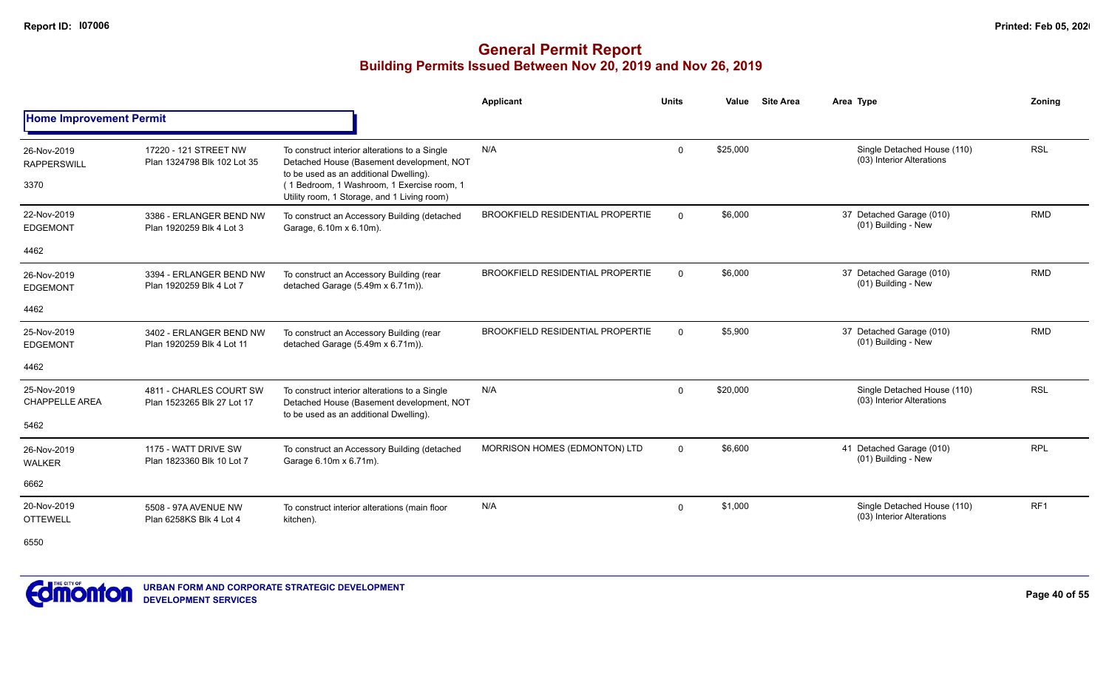|                                      |                                                       |                                                                                                                                      | <b>Applicant</b>                        | <b>Units</b> | Value    | <b>Site Area</b> | Area Type                                                | Zoning     |
|--------------------------------------|-------------------------------------------------------|--------------------------------------------------------------------------------------------------------------------------------------|-----------------------------------------|--------------|----------|------------------|----------------------------------------------------------|------------|
| <b>Home Improvement Permit</b>       |                                                       |                                                                                                                                      |                                         |              |          |                  |                                                          |            |
| 26-Nov-2019<br><b>RAPPERSWILL</b>    | 17220 - 121 STREET NW<br>Plan 1324798 Blk 102 Lot 35  | To construct interior alterations to a Single<br>Detached House (Basement development, NOT<br>to be used as an additional Dwelling). | N/A                                     | $\Omega$     | \$25,000 |                  | Single Detached House (110)<br>(03) Interior Alterations | <b>RSL</b> |
| 3370                                 |                                                       | (1 Bedroom, 1 Washroom, 1 Exercise room, 1<br>Utility room, 1 Storage, and 1 Living room)                                            |                                         |              |          |                  |                                                          |            |
| 22-Nov-2019<br><b>EDGEMONT</b>       | 3386 - ERLANGER BEND NW<br>Plan 1920259 Blk 4 Lot 3   | To construct an Accessory Building (detached<br>Garage, 6.10m x 6.10m).                                                              | <b>BROOKFIELD RESIDENTIAL PROPERTIE</b> | $\Omega$     | \$6,000  |                  | 37 Detached Garage (010)<br>(01) Building - New          | <b>RMD</b> |
| 4462                                 |                                                       |                                                                                                                                      |                                         |              |          |                  |                                                          |            |
| 26-Nov-2019<br><b>EDGEMONT</b>       | 3394 - ERLANGER BEND NW<br>Plan 1920259 Blk 4 Lot 7   | To construct an Accessory Building (rear<br>detached Garage (5.49m x 6.71m)).                                                        | <b>BROOKFIELD RESIDENTIAL PROPERTIE</b> | $\mathbf{0}$ | \$6,000  |                  | 37 Detached Garage (010)<br>(01) Building - New          | <b>RMD</b> |
| 4462                                 |                                                       |                                                                                                                                      |                                         |              |          |                  |                                                          |            |
| 25-Nov-2019<br><b>EDGEMONT</b>       | 3402 - ERLANGER BEND NW<br>Plan 1920259 Blk 4 Lot 11  | To construct an Accessory Building (rear<br>detached Garage (5.49m x 6.71m)).                                                        | <b>BROOKFIELD RESIDENTIAL PROPERTIE</b> | $\Omega$     | \$5,900  |                  | 37 Detached Garage (010)<br>(01) Building - New          | <b>RMD</b> |
| 4462                                 |                                                       |                                                                                                                                      |                                         |              |          |                  |                                                          |            |
| 25-Nov-2019<br><b>CHAPPELLE AREA</b> | 4811 - CHARLES COURT SW<br>Plan 1523265 Blk 27 Lot 17 | To construct interior alterations to a Single<br>Detached House (Basement development, NOT<br>to be used as an additional Dwelling). | N/A                                     | $\mathbf 0$  | \$20,000 |                  | Single Detached House (110)<br>(03) Interior Alterations | <b>RSL</b> |
| 5462                                 |                                                       |                                                                                                                                      |                                         |              |          |                  |                                                          |            |
| 26-Nov-2019<br><b>WALKER</b>         | 1175 - WATT DRIVE SW<br>Plan 1823360 Blk 10 Lot 7     | To construct an Accessory Building (detached<br>Garage 6.10m x 6.71m).                                                               | MORRISON HOMES (EDMONTON) LTD           | $\mathbf{0}$ | \$6,600  |                  | 41 Detached Garage (010)<br>(01) Building - New          | <b>RPL</b> |
| 6662                                 |                                                       |                                                                                                                                      |                                         |              |          |                  |                                                          |            |
| 20-Nov-2019<br><b>OTTEWELL</b>       | 5508 - 97A AVENUE NW<br>Plan 6258KS Blk 4 Lot 4       | To construct interior alterations (main floor<br>kitchen).                                                                           | N/A                                     | $\mathbf{0}$ | \$1,000  |                  | Single Detached House (110)<br>(03) Interior Alterations | RF1        |
| 6550                                 |                                                       |                                                                                                                                      |                                         |              |          |                  |                                                          |            |

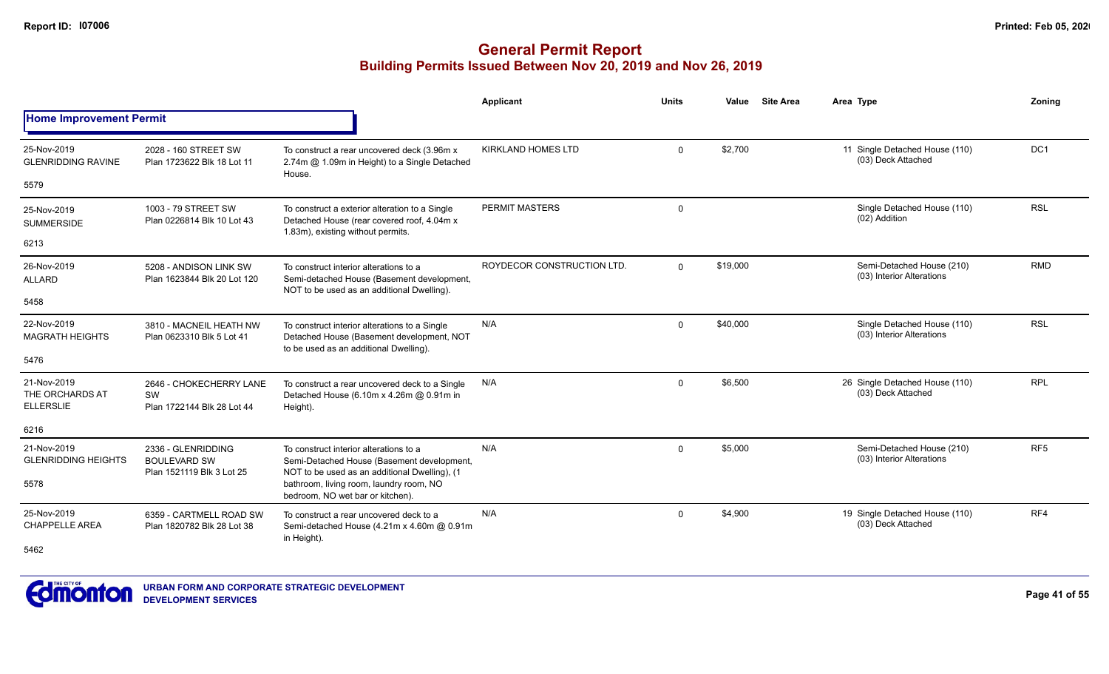|                                                    |                                                                                                                                                           |                                                                                                                                      | <b>Applicant</b>           | <b>Units</b> | Value    | <b>Site Area</b> | Area Type                                                | Zoning          |
|----------------------------------------------------|-----------------------------------------------------------------------------------------------------------------------------------------------------------|--------------------------------------------------------------------------------------------------------------------------------------|----------------------------|--------------|----------|------------------|----------------------------------------------------------|-----------------|
| <b>Home Improvement Permit</b>                     |                                                                                                                                                           |                                                                                                                                      |                            |              |          |                  |                                                          |                 |
| 25-Nov-2019<br><b>GLENRIDDING RAVINE</b>           | 2028 - 160 STREET SW<br>Plan 1723622 Blk 18 Lot 11                                                                                                        | To construct a rear uncovered deck (3.96m x)<br>2.74m @ 1.09m in Height) to a Single Detached<br>House.                              | <b>KIRKLAND HOMES LTD</b>  | $\mathbf 0$  | \$2,700  |                  | 11 Single Detached House (110)<br>(03) Deck Attached     | DC1             |
| 5579                                               |                                                                                                                                                           |                                                                                                                                      |                            |              |          |                  |                                                          |                 |
| 25-Nov-2019<br><b>SUMMERSIDE</b>                   | 1003 - 79 STREET SW<br>Plan 0226814 Blk 10 Lot 43                                                                                                         | To construct a exterior alteration to a Single<br>Detached House (rear covered roof, 4.04m x<br>1.83m), existing without permits.    | PERMIT MASTERS             | $\mathbf 0$  |          |                  | Single Detached House (110)<br>(02) Addition             | <b>RSL</b>      |
| 6213                                               |                                                                                                                                                           |                                                                                                                                      |                            |              |          |                  |                                                          |                 |
| 26-Nov-2019<br><b>ALLARD</b>                       | 5208 - ANDISON LINK SW<br>Plan 1623844 Blk 20 Lot 120                                                                                                     | To construct interior alterations to a<br>Semi-detached House (Basement development,<br>NOT to be used as an additional Dwelling).   | ROYDECOR CONSTRUCTION LTD. | $\Omega$     | \$19,000 |                  | Semi-Detached House (210)<br>(03) Interior Alterations   | <b>RMD</b>      |
| 5458                                               |                                                                                                                                                           |                                                                                                                                      |                            |              |          |                  |                                                          |                 |
| 22-Nov-2019<br><b>MAGRATH HEIGHTS</b>              | 3810 - MACNEIL HEATH NW<br>Plan 0623310 Blk 5 Lot 41                                                                                                      | To construct interior alterations to a Single<br>Detached House (Basement development, NOT<br>to be used as an additional Dwelling). | N/A                        | $\mathbf 0$  | \$40,000 |                  | Single Detached House (110)<br>(03) Interior Alterations | <b>RSL</b>      |
| 5476                                               |                                                                                                                                                           |                                                                                                                                      |                            |              |          |                  |                                                          |                 |
| 21-Nov-2019<br>THE ORCHARDS AT<br><b>ELLERSLIE</b> | 2646 - CHOKECHERRY LANE<br>SW<br>Plan 1722144 Blk 28 Lot 44                                                                                               | To construct a rear uncovered deck to a Single<br>Detached House (6.10m x 4.26m @ 0.91m in<br>Height).                               | N/A                        | $\mathbf{0}$ | \$6,500  |                  | 26 Single Detached House (110)<br>(03) Deck Attached     | <b>RPL</b>      |
| 6216                                               |                                                                                                                                                           |                                                                                                                                      |                            |              |          |                  |                                                          |                 |
| 21-Nov-2019<br><b>GLENRIDDING HEIGHTS</b>          | 2336 - GLENRIDDING<br><b>BOULEVARD SW</b>                                                                                                                 | To construct interior alterations to a<br>Semi-Detached House (Basement development,                                                 | N/A                        | $\mathbf 0$  | \$5,000  |                  | Semi-Detached House (210)<br>(03) Interior Alterations   | RF <sub>5</sub> |
| 5578                                               | NOT to be used as an additional Dwelling), (1<br>Plan 1521119 Blk 3 Lot 25<br>bathroom, living room, laundry room, NO<br>bedroom, NO wet bar or kitchen). |                                                                                                                                      |                            |              |          |                  |                                                          |                 |
| 25-Nov-2019<br><b>CHAPPELLE AREA</b>               | 6359 - CARTMELL ROAD SW<br>Plan 1820782 Blk 28 Lot 38                                                                                                     | To construct a rear uncovered deck to a<br>Semi-detached House (4.21m x 4.60m @ 0.91m<br>in Height).                                 | N/A                        | $\mathbf 0$  | \$4,900  |                  | 19 Single Detached House (110)<br>(03) Deck Attached     | RF4             |
| 5462                                               |                                                                                                                                                           |                                                                                                                                      |                            |              |          |                  |                                                          |                 |

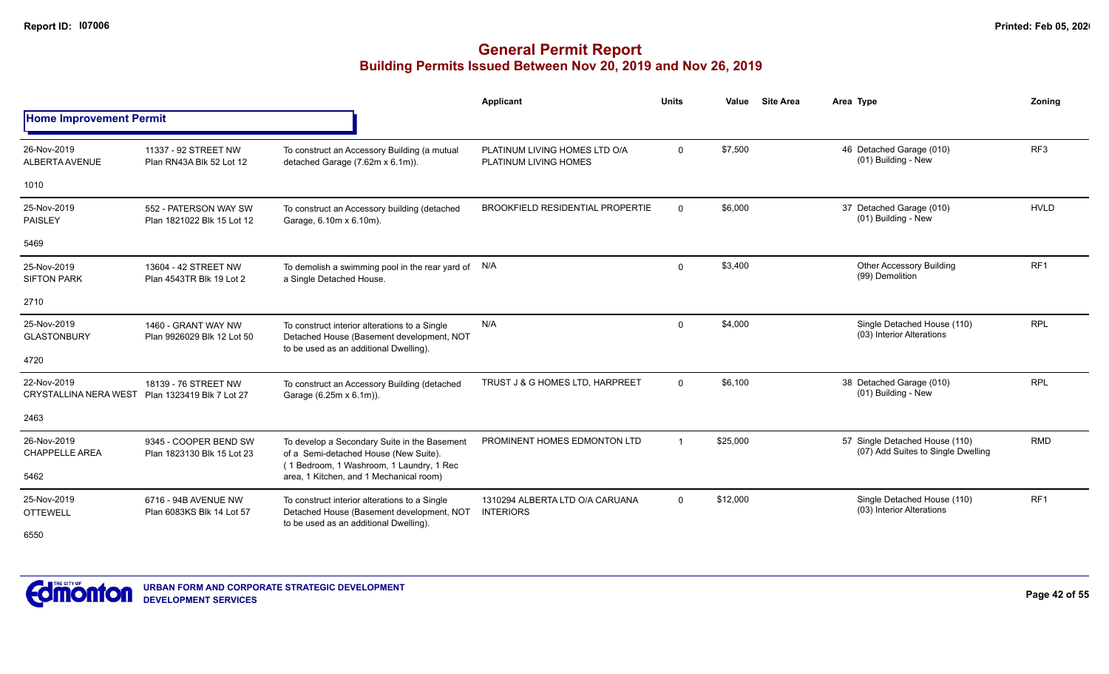|                                             |                                                     |                                                                                                                                      | <b>Applicant</b>                                       | <b>Units</b> | Value    | <b>Site Area</b> | Area Type                                                            | Zoning          |
|---------------------------------------------|-----------------------------------------------------|--------------------------------------------------------------------------------------------------------------------------------------|--------------------------------------------------------|--------------|----------|------------------|----------------------------------------------------------------------|-----------------|
| <b>Home Improvement Permit</b>              |                                                     |                                                                                                                                      |                                                        |              |          |                  |                                                                      |                 |
| 26-Nov-2019<br><b>ALBERTA AVENUE</b>        | 11337 - 92 STREET NW<br>Plan RN43A Blk 52 Lot 12    | To construct an Accessory Building (a mutual<br>detached Garage (7.62m x 6.1m)).                                                     | PLATINUM LIVING HOMES LTD O/A<br>PLATINUM LIVING HOMES | $\mathbf 0$  | \$7,500  |                  | 46 Detached Garage (010)<br>(01) Building - New                      | RF <sub>3</sub> |
| 1010                                        |                                                     |                                                                                                                                      |                                                        |              |          |                  |                                                                      |                 |
| 25-Nov-2019<br><b>PAISLEY</b>               | 552 - PATERSON WAY SW<br>Plan 1821022 Blk 15 Lot 12 | To construct an Accessory building (detached<br>Garage, 6.10m x 6.10m).                                                              | <b>BROOKFIELD RESIDENTIAL PROPERTIE</b>                | $\Omega$     | \$6,000  |                  | 37 Detached Garage (010)<br>(01) Building - New                      | <b>HVLD</b>     |
| 5469                                        |                                                     |                                                                                                                                      |                                                        |              |          |                  |                                                                      |                 |
| 25-Nov-2019<br><b>SIFTON PARK</b>           | 13604 - 42 STREET NW<br>Plan 4543TR Blk 19 Lot 2    | To demolish a swimming pool in the rear yard of N/A<br>a Single Detached House.                                                      |                                                        | $\mathbf 0$  | \$3,400  |                  | <b>Other Accessory Building</b><br>(99) Demolition                   | RF <sub>1</sub> |
| 2710                                        |                                                     |                                                                                                                                      |                                                        |              |          |                  |                                                                      |                 |
| 25-Nov-2019<br><b>GLASTONBURY</b>           | 1460 - GRANT WAY NW<br>Plan 9926029 Blk 12 Lot 50   | To construct interior alterations to a Single<br>Detached House (Basement development, NOT<br>to be used as an additional Dwelling). | N/A                                                    | $\mathbf 0$  | \$4,000  |                  | Single Detached House (110)<br>(03) Interior Alterations             | <b>RPL</b>      |
| 4720                                        |                                                     |                                                                                                                                      |                                                        |              |          |                  |                                                                      |                 |
| 22-Nov-2019<br><b>CRYSTALLINA NERA WEST</b> | 18139 - 76 STREET NW<br>Plan 1323419 Blk 7 Lot 27   | To construct an Accessory Building (detached<br>Garage (6.25m x 6.1m)).                                                              | TRUST J & G HOMES LTD, HARPREET                        | $\Omega$     | \$6,100  |                  | 38 Detached Garage (010)<br>(01) Building - New                      | <b>RPL</b>      |
| 2463                                        |                                                     |                                                                                                                                      |                                                        |              |          |                  |                                                                      |                 |
| 26-Nov-2019<br><b>CHAPPELLE AREA</b>        | 9345 - COOPER BEND SW<br>Plan 1823130 Blk 15 Lot 23 | To develop a Secondary Suite in the Basement<br>of a Semi-detached House (New Suite).<br>(1 Bedroom, 1 Washroom, 1 Laundry, 1 Rec    | PROMINENT HOMES EDMONTON LTD                           |              | \$25,000 |                  | 57 Single Detached House (110)<br>(07) Add Suites to Single Dwelling | <b>RMD</b>      |
| 5462                                        |                                                     | area, 1 Kitchen, and 1 Mechanical room)                                                                                              |                                                        |              |          |                  |                                                                      |                 |
| 25-Nov-2019<br><b>OTTEWELL</b>              | 6716 - 94B AVENUE NW<br>Plan 6083KS Blk 14 Lot 57   | To construct interior alterations to a Single<br>Detached House (Basement development, NOT<br>to be used as an additional Dwelling). | 1310294 ALBERTA LTD O/A CARUANA<br><b>INTERIORS</b>    | $\mathbf 0$  | \$12,000 |                  | Single Detached House (110)<br>(03) Interior Alterations             | RF1             |
| 6550                                        |                                                     |                                                                                                                                      |                                                        |              |          |                  |                                                                      |                 |

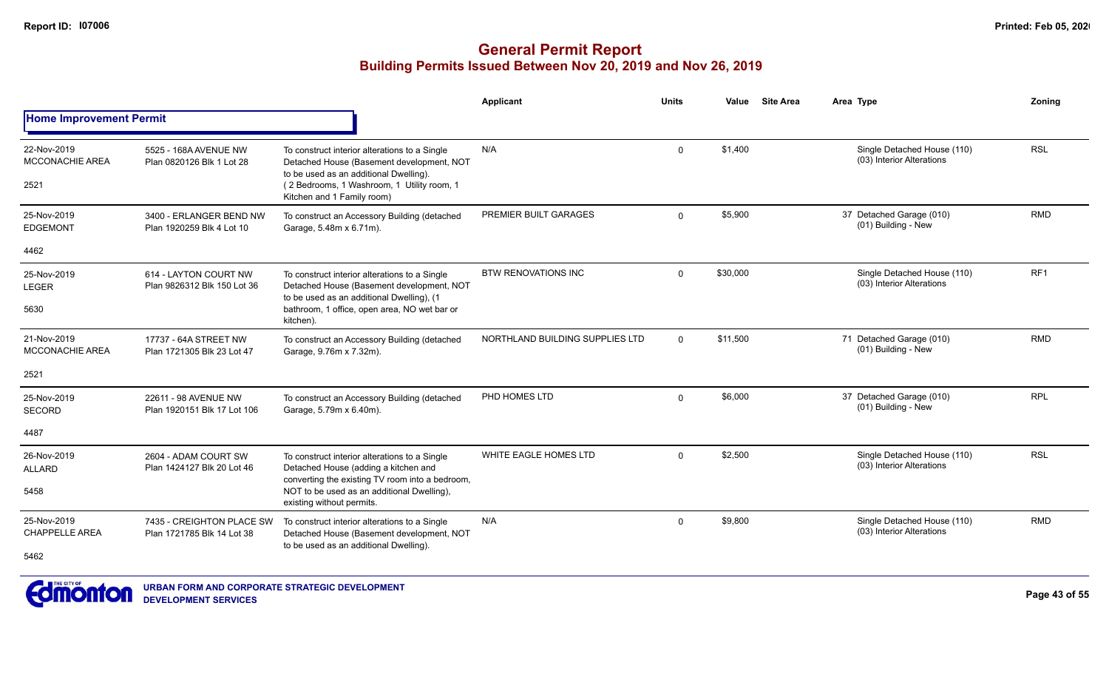|                                               |                                                         |                                                                                                                                                                                                                  | Applicant                       | <b>Units</b> | Value    | <b>Site Area</b> | Area Type                                                | Zoning     |
|-----------------------------------------------|---------------------------------------------------------|------------------------------------------------------------------------------------------------------------------------------------------------------------------------------------------------------------------|---------------------------------|--------------|----------|------------------|----------------------------------------------------------|------------|
| <b>Home Improvement Permit</b>                |                                                         |                                                                                                                                                                                                                  |                                 |              |          |                  |                                                          |            |
| 22-Nov-2019<br><b>MCCONACHIE AREA</b><br>2521 | 5525 - 168A AVENUE NW<br>Plan 0820126 Blk 1 Lot 28      | To construct interior alterations to a Single<br>Detached House (Basement development, NOT<br>to be used as an additional Dwelling).<br>(2 Bedrooms, 1 Washroom, 1 Utility room, 1<br>Kitchen and 1 Family room) | N/A                             | $\mathbf 0$  | \$1,400  |                  | Single Detached House (110)<br>(03) Interior Alterations | <b>RSL</b> |
| 25-Nov-2019<br><b>EDGEMONT</b>                | 3400 - ERLANGER BEND NW<br>Plan 1920259 Blk 4 Lot 10    | To construct an Accessory Building (detached<br>Garage, 5.48m x 6.71m).                                                                                                                                          | PREMIER BUILT GARAGES           | $\Omega$     | \$5,900  |                  | 37 Detached Garage (010)<br>(01) Building - New          | <b>RMD</b> |
| 4462                                          |                                                         |                                                                                                                                                                                                                  |                                 |              |          |                  |                                                          |            |
| 25-Nov-2019<br><b>LEGER</b>                   | 614 - LAYTON COURT NW<br>Plan 9826312 Blk 150 Lot 36    | To construct interior alterations to a Single<br>Detached House (Basement development, NOT<br>to be used as an additional Dwelling), (1                                                                          | <b>BTW RENOVATIONS INC</b>      | $\Omega$     | \$30,000 |                  | Single Detached House (110)<br>(03) Interior Alterations | RF1        |
| 5630                                          |                                                         | bathroom, 1 office, open area, NO wet bar or<br>kitchen).                                                                                                                                                        |                                 |              |          |                  |                                                          |            |
| 21-Nov-2019<br><b>MCCONACHIE AREA</b>         | 17737 - 64A STREET NW<br>Plan 1721305 Blk 23 Lot 47     | To construct an Accessory Building (detached<br>Garage, 9.76m x 7.32m).                                                                                                                                          | NORTHLAND BUILDING SUPPLIES LTD | $\mathbf{0}$ | \$11,500 |                  | 71 Detached Garage (010)<br>(01) Building - New          | <b>RMD</b> |
| 2521                                          |                                                         |                                                                                                                                                                                                                  |                                 |              |          |                  |                                                          |            |
| 25-Nov-2019<br><b>SECORD</b>                  | 22611 - 98 AVENUE NW<br>Plan 1920151 Blk 17 Lot 106     | To construct an Accessory Building (detached<br>Garage, 5.79m x 6.40m).                                                                                                                                          | PHD HOMES LTD                   | $\Omega$     | \$6,000  |                  | 37 Detached Garage (010)<br>(01) Building - New          | <b>RPL</b> |
| 4487                                          |                                                         |                                                                                                                                                                                                                  |                                 |              |          |                  |                                                          |            |
| 26-Nov-2019<br><b>ALLARD</b>                  | 2604 - ADAM COURT SW<br>Plan 1424127 Blk 20 Lot 46      | To construct interior alterations to a Single<br>Detached House (adding a kitchen and<br>converting the existing TV room into a bedroom,                                                                         | WHITE EAGLE HOMES LTD           | $\Omega$     | \$2,500  |                  | Single Detached House (110)<br>(03) Interior Alterations | <b>RSL</b> |
| 5458                                          |                                                         | NOT to be used as an additional Dwelling),<br>existing without permits.                                                                                                                                          |                                 |              |          |                  |                                                          |            |
| 25-Nov-2019<br><b>CHAPPELLE AREA</b>          | 7435 - CREIGHTON PLACE SW<br>Plan 1721785 Blk 14 Lot 38 | To construct interior alterations to a Single<br>Detached House (Basement development, NOT<br>to be used as an additional Dwelling).                                                                             | N/A                             | $\Omega$     | \$9,800  |                  | Single Detached House (110)<br>(03) Interior Alterations | <b>RMD</b> |
| 5462                                          |                                                         |                                                                                                                                                                                                                  |                                 |              |          |                  |                                                          |            |

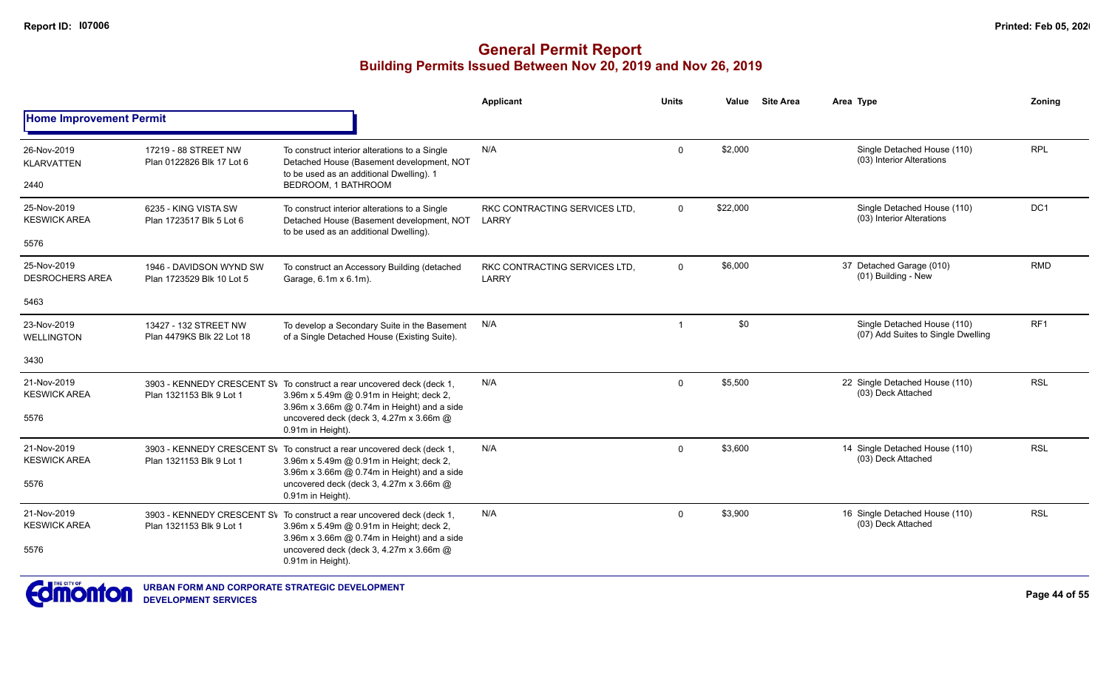|                                                |                                                      |                                                                                                                                                                   | <b>Applicant</b>                       | <b>Units</b> | Value    | <b>Site Area</b> | Area Type                                                         | Zoning          |
|------------------------------------------------|------------------------------------------------------|-------------------------------------------------------------------------------------------------------------------------------------------------------------------|----------------------------------------|--------------|----------|------------------|-------------------------------------------------------------------|-----------------|
| <b>Home Improvement Permit</b>                 |                                                      |                                                                                                                                                                   |                                        |              |          |                  |                                                                   |                 |
| 26-Nov-2019<br><b>KLARVATTEN</b><br>2440       | 17219 - 88 STREET NW<br>Plan 0122826 Blk 17 Lot 6    | To construct interior alterations to a Single<br>Detached House (Basement development, NOT<br>to be used as an additional Dwelling). 1<br>BEDROOM, 1 BATHROOM     | N/A                                    | $\mathbf 0$  | \$2,000  |                  | Single Detached House (110)<br>(03) Interior Alterations          | <b>RPL</b>      |
| 25-Nov-2019<br><b>KESWICK AREA</b><br>5576     | 6235 - KING VISTA SW<br>Plan 1723517 Blk 5 Lot 6     | To construct interior alterations to a Single<br>Detached House (Basement development, NOT<br>to be used as an additional Dwelling).                              | RKC CONTRACTING SERVICES LTD.<br>LARRY | $\mathbf 0$  | \$22,000 |                  | Single Detached House (110)<br>(03) Interior Alterations          | DC1             |
| 25-Nov-2019<br><b>DESROCHERS AREA</b>          | 1946 - DAVIDSON WYND SW<br>Plan 1723529 Blk 10 Lot 5 | To construct an Accessory Building (detached<br>Garage, 6.1m x 6.1m).                                                                                             | RKC CONTRACTING SERVICES LTD.<br>LARRY | $\mathbf 0$  | \$6,000  |                  | 37 Detached Garage (010)<br>(01) Building - New                   | <b>RMD</b>      |
| 5463                                           |                                                      |                                                                                                                                                                   |                                        |              |          |                  |                                                                   |                 |
| 23-Nov-2019<br><b>WELLINGTON</b>               | 13427 - 132 STREET NW<br>Plan 4479KS Blk 22 Lot 18   | To develop a Secondary Suite in the Basement<br>of a Single Detached House (Existing Suite).                                                                      | N/A                                    |              | \$0      |                  | Single Detached House (110)<br>(07) Add Suites to Single Dwelling | RF <sub>1</sub> |
| 3430                                           |                                                      |                                                                                                                                                                   |                                        |              |          |                  |                                                                   |                 |
| 21-Nov-2019<br><b>KESWICK AREA</b>             | Plan 1321153 Blk 9 Lot 1                             | 3903 - KENNEDY CRESCENT SV To construct a rear uncovered deck (deck 1,<br>3.96m x 5.49m @ 0.91m in Height; deck 2,<br>3.96m x 3.66m @ 0.74m in Height) and a side | N/A                                    | $\Omega$     | \$5,500  |                  | 22 Single Detached House (110)<br>(03) Deck Attached              | <b>RSL</b>      |
| 5576                                           |                                                      | uncovered deck (deck 3, 4.27m x 3.66m @<br>0.91m in Height).                                                                                                      |                                        |              |          |                  |                                                                   |                 |
| 21-Nov-2019<br><b>KESWICK AREA</b>             | Plan 1321153 Blk 9 Lot 1                             | 3903 - KENNEDY CRESCENT SV To construct a rear uncovered deck (deck 1,<br>3.96m x 5.49m @ 0.91m in Height; deck 2,<br>3.96m x 3.66m @ 0.74m in Height) and a side | N/A                                    | $\Omega$     | \$3,600  |                  | 14 Single Detached House (110)<br>(03) Deck Attached              | <b>RSL</b>      |
| 5576                                           |                                                      | uncovered deck (deck 3, 4.27m x 3.66m @<br>0.91m in Height).                                                                                                      |                                        |              |          |                  |                                                                   |                 |
| 21-Nov-2019<br><b>KESWICK AREA</b>             | Plan 1321153 Blk 9 Lot 1                             | 3903 - KENNEDY CRESCENT SV To construct a rear uncovered deck (deck 1,<br>3.96m x 5.49m @ 0.91m in Height; deck 2,<br>3.96m x 3.66m @ 0.74m in Height) and a side | N/A                                    | $\Omega$     | \$3,900  |                  | 16 Single Detached House (110)<br>(03) Deck Attached              | <b>RSL</b>      |
| 5576                                           |                                                      | uncovered deck (deck 3, 4.27m x 3.66m @<br>0.91m in Height).                                                                                                      |                                        |              |          |                  |                                                                   |                 |
| $T = THE CITY OF$<br><b><i><u>ALCO</u></i></b> |                                                      |                                                                                                                                                                   |                                        |              |          |                  |                                                                   |                 |

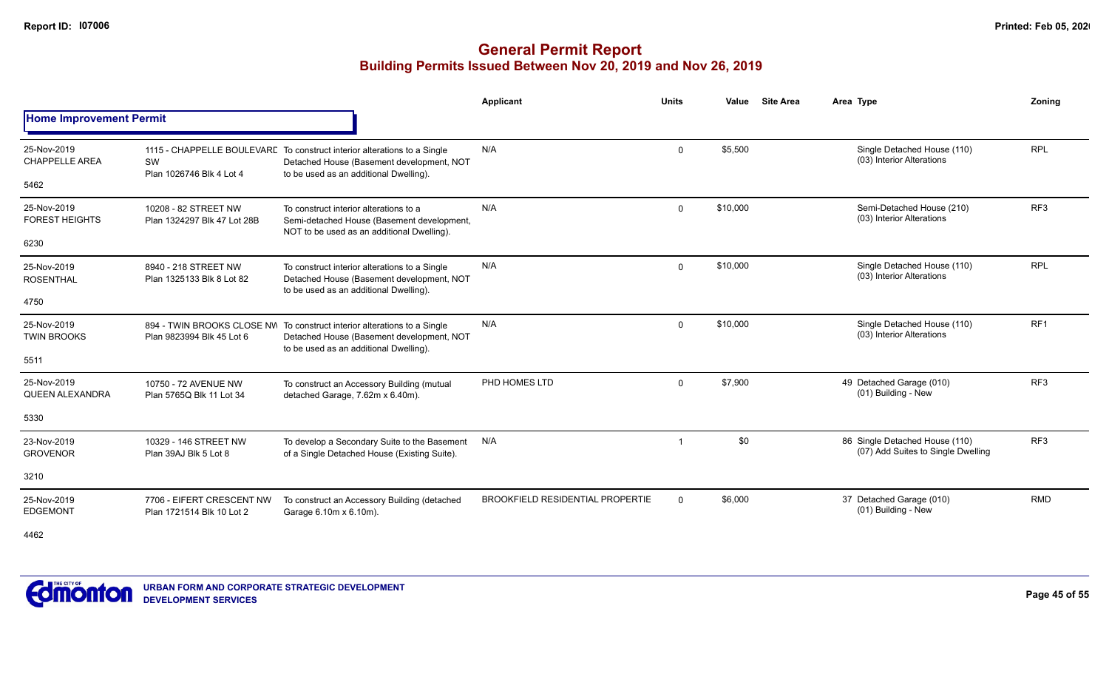### **General Permit Report Building Permits Issued Between Nov 20, 2019 and Nov 26, 2019**

|                                      |                                                        |                                                                                                                                                                 | Applicant                               | <b>Units</b>   | Value    | <b>Site Area</b> | Area Type                                                            | Zoning          |
|--------------------------------------|--------------------------------------------------------|-----------------------------------------------------------------------------------------------------------------------------------------------------------------|-----------------------------------------|----------------|----------|------------------|----------------------------------------------------------------------|-----------------|
| <b>Home Improvement Permit</b>       |                                                        |                                                                                                                                                                 |                                         |                |          |                  |                                                                      |                 |
| 25-Nov-2019<br><b>CHAPPELLE AREA</b> | SW<br>Plan 1026746 Blk 4 Lot 4                         | 1115 - CHAPPELLE BOULEVARE To construct interior alterations to a Single<br>Detached House (Basement development, NOT<br>to be used as an additional Dwelling). | N/A                                     | $\mathbf 0$    | \$5,500  |                  | Single Detached House (110)<br>(03) Interior Alterations             | <b>RPL</b>      |
| 5462                                 |                                                        |                                                                                                                                                                 |                                         |                |          |                  |                                                                      |                 |
| 25-Nov-2019<br><b>FOREST HEIGHTS</b> | 10208 - 82 STREET NW<br>Plan 1324297 Blk 47 Lot 28B    | To construct interior alterations to a<br>Semi-detached House (Basement development,<br>NOT to be used as an additional Dwelling).                              | N/A                                     | $\Omega$       | \$10,000 |                  | Semi-Detached House (210)<br>(03) Interior Alterations               | RF <sub>3</sub> |
| 6230                                 |                                                        |                                                                                                                                                                 |                                         |                |          |                  |                                                                      |                 |
| 25-Nov-2019<br><b>ROSENTHAL</b>      | 8940 - 218 STREET NW<br>Plan 1325133 Blk 8 Lot 82      | To construct interior alterations to a Single<br>Detached House (Basement development, NOT<br>to be used as an additional Dwelling).                            | N/A                                     | $\Omega$       | \$10.000 |                  | Single Detached House (110)<br>(03) Interior Alterations             | <b>RPL</b>      |
| 4750                                 |                                                        |                                                                                                                                                                 |                                         |                |          |                  |                                                                      |                 |
| 25-Nov-2019<br><b>TWIN BROOKS</b>    | Plan 9823994 Blk 45 Lot 6                              | 894 - TWIN BROOKS CLOSE NV To construct interior alterations to a Single<br>Detached House (Basement development, NOT<br>to be used as an additional Dwelling). | N/A                                     | $\mathbf{0}$   | \$10,000 |                  | Single Detached House (110)<br>(03) Interior Alterations             | RF <sub>1</sub> |
| 5511                                 |                                                        |                                                                                                                                                                 |                                         |                |          |                  |                                                                      |                 |
| 25-Nov-2019<br>QUEEN ALEXANDRA       | 10750 - 72 AVENUE NW<br>Plan 5765Q Blk 11 Lot 34       | To construct an Accessory Building (mutual<br>detached Garage, 7.62m x 6.40m).                                                                                  | PHD HOMES LTD                           | $\mathbf 0$    | \$7,900  |                  | 49 Detached Garage (010)<br>(01) Building - New                      | RF <sub>3</sub> |
| 5330                                 |                                                        |                                                                                                                                                                 |                                         |                |          |                  |                                                                      |                 |
| 23-Nov-2019<br><b>GROVENOR</b>       | 10329 - 146 STREET NW<br>Plan 39AJ Blk 5 Lot 8         | To develop a Secondary Suite to the Basement<br>of a Single Detached House (Existing Suite).                                                                    | N/A                                     | $\overline{1}$ | \$0      |                  | 86 Single Detached House (110)<br>(07) Add Suites to Single Dwelling | RF <sub>3</sub> |
| 3210                                 |                                                        |                                                                                                                                                                 |                                         |                |          |                  |                                                                      |                 |
| 25-Nov-2019<br><b>EDGEMONT</b>       | 7706 - EIFERT CRESCENT NW<br>Plan 1721514 Blk 10 Lot 2 | To construct an Accessory Building (detached<br>Garage 6.10m x 6.10m).                                                                                          | <b>BROOKFIELD RESIDENTIAL PROPERTIE</b> | $\Omega$       | \$6,000  |                  | 37 Detached Garage (010)<br>(01) Building - New                      | <b>RMD</b>      |

4462

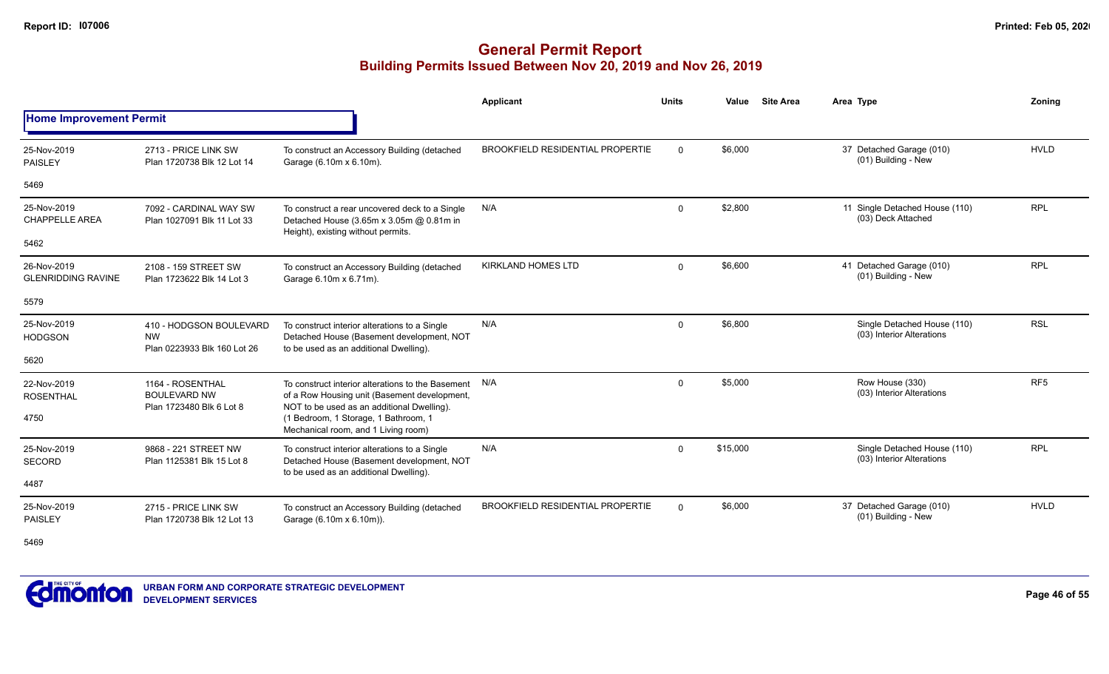### **General Permit Report Building Permits Issued Between Nov 20, 2019 and Nov 26, 2019**

|                                          |                                                                                                                                                                                                                                                                                                                                                                                                                                                                                                                                                                                                                                                                                                                                                                                                                                                                                                                                                                                                                                                                                                                                                                                                                                                                                                                                                                                                                                                                                                                                                                                                                                                                                                                                                                                                                                                                                                                                                                                                                                                                                                                                                                  | Applicant | <b>Units</b> | Value |  | Area Type | Zonina |
|------------------------------------------|------------------------------------------------------------------------------------------------------------------------------------------------------------------------------------------------------------------------------------------------------------------------------------------------------------------------------------------------------------------------------------------------------------------------------------------------------------------------------------------------------------------------------------------------------------------------------------------------------------------------------------------------------------------------------------------------------------------------------------------------------------------------------------------------------------------------------------------------------------------------------------------------------------------------------------------------------------------------------------------------------------------------------------------------------------------------------------------------------------------------------------------------------------------------------------------------------------------------------------------------------------------------------------------------------------------------------------------------------------------------------------------------------------------------------------------------------------------------------------------------------------------------------------------------------------------------------------------------------------------------------------------------------------------------------------------------------------------------------------------------------------------------------------------------------------------------------------------------------------------------------------------------------------------------------------------------------------------------------------------------------------------------------------------------------------------------------------------------------------------------------------------------------------------|-----------|--------------|-------|--|-----------|--------|
| <b>Home Improvement Permit</b>           | <b>Site Area</b><br>\$6,000<br><b>HVLD</b><br><b>BROOKFIELD RESIDENTIAL PROPERTIE</b><br>37 Detached Garage (010)<br>$\Omega$<br>2713 - PRICE LINK SW<br>To construct an Accessory Building (detached<br>(01) Building - New<br>Plan 1720738 Blk 12 Lot 14<br>Garage (6.10m x 6.10m).<br>\$2,800<br><b>RPL</b><br>11 Single Detached House (110)<br>N/A<br>$\mathbf{0}$<br>7092 - CARDINAL WAY SW<br>To construct a rear uncovered deck to a Single<br>(03) Deck Attached<br>Detached House (3.65m x 3.05m @ 0.81m in<br>Plan 1027091 Blk 11 Lot 33<br>Height), existing without permits.<br><b>KIRKLAND HOMES LTD</b><br>\$6,600<br><b>RPL</b><br>41 Detached Garage (010)<br>$\mathbf 0$<br>2108 - 159 STREET SW<br>To construct an Accessory Building (detached<br>(01) Building - New<br>Plan 1723622 Blk 14 Lot 3<br>Garage 6.10m x 6.71m).<br><b>RSL</b><br>N/A<br>\$6,800<br>Single Detached House (110)<br>$\mathbf 0$<br>410 - HODGSON BOULEVARD<br>To construct interior alterations to a Single<br>(03) Interior Alterations<br><b>NW</b><br>Detached House (Basement development, NOT<br>Plan 0223933 Blk 160 Lot 26<br>to be used as an additional Dwelling).<br>RF <sub>5</sub><br>\$5,000<br>Row House (330)<br>To construct interior alterations to the Basement N/A<br>1164 - ROSENTHAL<br>$\mathbf 0$<br>(03) Interior Alterations<br><b>BOULEVARD NW</b><br>of a Row Housing unit (Basement development,<br>NOT to be used as an additional Dwelling).<br>Plan 1723480 Blk 6 Lot 8<br>(1 Bedroom, 1 Storage, 1 Bathroom, 1<br>Mechanical room, and 1 Living room)<br>\$15,000<br>Single Detached House (110)<br><b>RPL</b><br>N/A<br>9868 - 221 STREET NW<br>$\Omega$<br>To construct interior alterations to a Single<br>(03) Interior Alterations<br>Detached House (Basement development, NOT<br>Plan 1125381 Blk 15 Lot 8<br>to be used as an additional Dwelling).<br><b>HVLD</b><br><b>BROOKFIELD RESIDENTIAL PROPERTIE</b><br>\$6,000<br>37 Detached Garage (010)<br>$\Omega$<br>2715 - PRICE LINK SW<br>To construct an Accessory Building (detached<br>(01) Building - New<br>Garage (6.10m x 6.10m)).<br>Plan 1720738 Blk 12 Lot 13 |           |              |       |  |           |        |
| 25-Nov-2019<br><b>PAISLEY</b>            |                                                                                                                                                                                                                                                                                                                                                                                                                                                                                                                                                                                                                                                                                                                                                                                                                                                                                                                                                                                                                                                                                                                                                                                                                                                                                                                                                                                                                                                                                                                                                                                                                                                                                                                                                                                                                                                                                                                                                                                                                                                                                                                                                                  |           |              |       |  |           |        |
| 5469                                     |                                                                                                                                                                                                                                                                                                                                                                                                                                                                                                                                                                                                                                                                                                                                                                                                                                                                                                                                                                                                                                                                                                                                                                                                                                                                                                                                                                                                                                                                                                                                                                                                                                                                                                                                                                                                                                                                                                                                                                                                                                                                                                                                                                  |           |              |       |  |           |        |
| 25-Nov-2019<br><b>CHAPPELLE AREA</b>     |                                                                                                                                                                                                                                                                                                                                                                                                                                                                                                                                                                                                                                                                                                                                                                                                                                                                                                                                                                                                                                                                                                                                                                                                                                                                                                                                                                                                                                                                                                                                                                                                                                                                                                                                                                                                                                                                                                                                                                                                                                                                                                                                                                  |           |              |       |  |           |        |
| 5462                                     |                                                                                                                                                                                                                                                                                                                                                                                                                                                                                                                                                                                                                                                                                                                                                                                                                                                                                                                                                                                                                                                                                                                                                                                                                                                                                                                                                                                                                                                                                                                                                                                                                                                                                                                                                                                                                                                                                                                                                                                                                                                                                                                                                                  |           |              |       |  |           |        |
| 26-Nov-2019<br><b>GLENRIDDING RAVINE</b> |                                                                                                                                                                                                                                                                                                                                                                                                                                                                                                                                                                                                                                                                                                                                                                                                                                                                                                                                                                                                                                                                                                                                                                                                                                                                                                                                                                                                                                                                                                                                                                                                                                                                                                                                                                                                                                                                                                                                                                                                                                                                                                                                                                  |           |              |       |  |           |        |
| 5579                                     |                                                                                                                                                                                                                                                                                                                                                                                                                                                                                                                                                                                                                                                                                                                                                                                                                                                                                                                                                                                                                                                                                                                                                                                                                                                                                                                                                                                                                                                                                                                                                                                                                                                                                                                                                                                                                                                                                                                                                                                                                                                                                                                                                                  |           |              |       |  |           |        |
| 25-Nov-2019<br><b>HODGSON</b>            |                                                                                                                                                                                                                                                                                                                                                                                                                                                                                                                                                                                                                                                                                                                                                                                                                                                                                                                                                                                                                                                                                                                                                                                                                                                                                                                                                                                                                                                                                                                                                                                                                                                                                                                                                                                                                                                                                                                                                                                                                                                                                                                                                                  |           |              |       |  |           |        |
| 5620                                     |                                                                                                                                                                                                                                                                                                                                                                                                                                                                                                                                                                                                                                                                                                                                                                                                                                                                                                                                                                                                                                                                                                                                                                                                                                                                                                                                                                                                                                                                                                                                                                                                                                                                                                                                                                                                                                                                                                                                                                                                                                                                                                                                                                  |           |              |       |  |           |        |
| 22-Nov-2019<br><b>ROSENTHAL</b>          |                                                                                                                                                                                                                                                                                                                                                                                                                                                                                                                                                                                                                                                                                                                                                                                                                                                                                                                                                                                                                                                                                                                                                                                                                                                                                                                                                                                                                                                                                                                                                                                                                                                                                                                                                                                                                                                                                                                                                                                                                                                                                                                                                                  |           |              |       |  |           |        |
| 4750                                     |                                                                                                                                                                                                                                                                                                                                                                                                                                                                                                                                                                                                                                                                                                                                                                                                                                                                                                                                                                                                                                                                                                                                                                                                                                                                                                                                                                                                                                                                                                                                                                                                                                                                                                                                                                                                                                                                                                                                                                                                                                                                                                                                                                  |           |              |       |  |           |        |
| 25-Nov-2019<br><b>SECORD</b>             |                                                                                                                                                                                                                                                                                                                                                                                                                                                                                                                                                                                                                                                                                                                                                                                                                                                                                                                                                                                                                                                                                                                                                                                                                                                                                                                                                                                                                                                                                                                                                                                                                                                                                                                                                                                                                                                                                                                                                                                                                                                                                                                                                                  |           |              |       |  |           |        |
| 4487                                     |                                                                                                                                                                                                                                                                                                                                                                                                                                                                                                                                                                                                                                                                                                                                                                                                                                                                                                                                                                                                                                                                                                                                                                                                                                                                                                                                                                                                                                                                                                                                                                                                                                                                                                                                                                                                                                                                                                                                                                                                                                                                                                                                                                  |           |              |       |  |           |        |
| 25-Nov-2019<br><b>PAISLEY</b>            |                                                                                                                                                                                                                                                                                                                                                                                                                                                                                                                                                                                                                                                                                                                                                                                                                                                                                                                                                                                                                                                                                                                                                                                                                                                                                                                                                                                                                                                                                                                                                                                                                                                                                                                                                                                                                                                                                                                                                                                                                                                                                                                                                                  |           |              |       |  |           |        |
| $-100$                                   |                                                                                                                                                                                                                                                                                                                                                                                                                                                                                                                                                                                                                                                                                                                                                                                                                                                                                                                                                                                                                                                                                                                                                                                                                                                                                                                                                                                                                                                                                                                                                                                                                                                                                                                                                                                                                                                                                                                                                                                                                                                                                                                                                                  |           |              |       |  |           |        |

5469

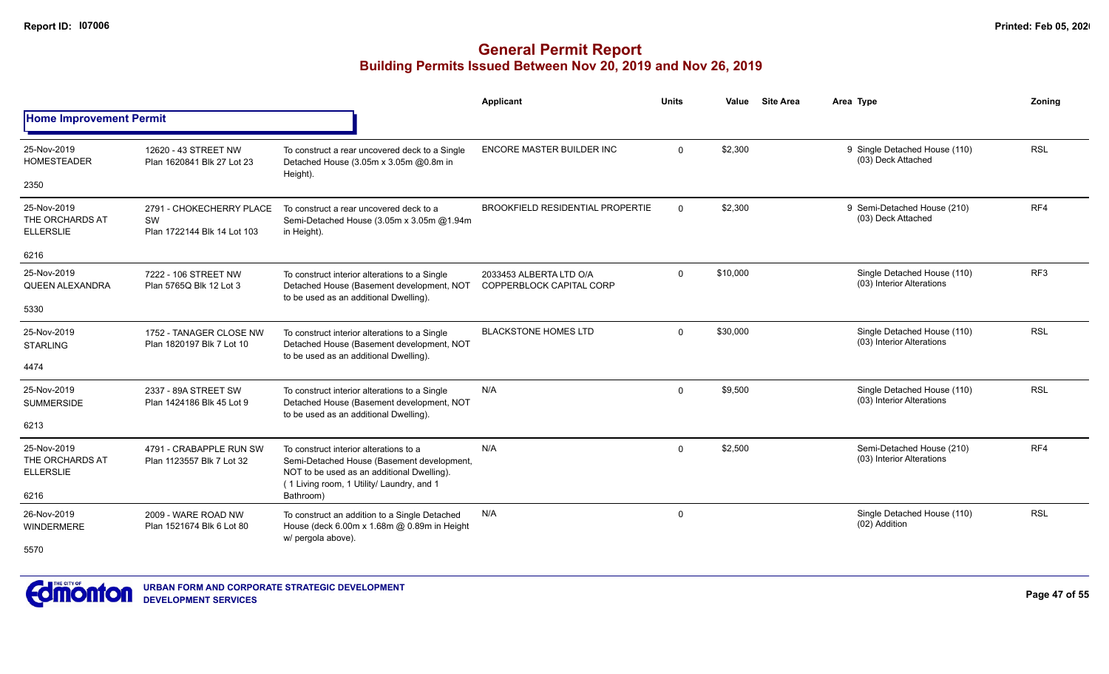|                                                    |                                                                      |                                                                                                                                                                                 | Applicant                                           | <b>Units</b> | Value    | <b>Site Area</b> | Area Type                                                | Zoning          |
|----------------------------------------------------|----------------------------------------------------------------------|---------------------------------------------------------------------------------------------------------------------------------------------------------------------------------|-----------------------------------------------------|--------------|----------|------------------|----------------------------------------------------------|-----------------|
| <b>Home Improvement Permit</b>                     |                                                                      |                                                                                                                                                                                 |                                                     |              |          |                  |                                                          |                 |
| 25-Nov-2019<br><b>HOMESTEADER</b>                  | 12620 - 43 STREET NW<br>Plan 1620841 Blk 27 Lot 23                   | To construct a rear uncovered deck to a Single<br>Detached House (3.05m x 3.05m @0.8m in<br>Height).                                                                            | ENCORE MASTER BUILDER INC                           | $\Omega$     | \$2,300  |                  | 9 Single Detached House (110)<br>(03) Deck Attached      | <b>RSL</b>      |
| 2350                                               |                                                                      |                                                                                                                                                                                 |                                                     |              |          |                  |                                                          |                 |
| 25-Nov-2019<br>THE ORCHARDS AT<br><b>ELLERSLIE</b> | 2791 - CHOKECHERRY PLACE<br><b>SW</b><br>Plan 1722144 Blk 14 Lot 103 | To construct a rear uncovered deck to a<br>Semi-Detached House (3.05m x 3.05m @1.94m<br>in Height).                                                                             | <b>BROOKFIELD RESIDENTIAL PROPERTIE</b>             | $\Omega$     | \$2,300  |                  | 9 Semi-Detached House (210)<br>(03) Deck Attached        | RF4             |
| 6216                                               |                                                                      |                                                                                                                                                                                 |                                                     |              |          |                  |                                                          |                 |
| 25-Nov-2019<br><b>QUEEN ALEXANDRA</b>              | 7222 - 106 STREET NW<br>Plan 5765Q Blk 12 Lot 3                      | To construct interior alterations to a Single<br>Detached House (Basement development, NOT<br>to be used as an additional Dwelling).                                            | 2033453 ALBERTA LTD O/A<br>COPPERBLOCK CAPITAL CORP | $\mathbf 0$  | \$10,000 |                  | Single Detached House (110)<br>(03) Interior Alterations | RF <sub>3</sub> |
| 5330                                               |                                                                      |                                                                                                                                                                                 |                                                     |              |          |                  |                                                          |                 |
| 25-Nov-2019<br><b>STARLING</b>                     | 1752 - TANAGER CLOSE NW<br>Plan 1820197 Blk 7 Lot 10                 | To construct interior alterations to a Single<br>Detached House (Basement development, NOT<br>to be used as an additional Dwelling).                                            | <b>BLACKSTONE HOMES LTD</b>                         | $\mathbf{0}$ | \$30,000 |                  | Single Detached House (110)<br>(03) Interior Alterations | <b>RSL</b>      |
| 4474                                               |                                                                      |                                                                                                                                                                                 |                                                     |              |          |                  |                                                          |                 |
| 25-Nov-2019<br><b>SUMMERSIDE</b>                   | 2337 - 89A STREET SW<br>Plan 1424186 Blk 45 Lot 9                    | To construct interior alterations to a Single<br>Detached House (Basement development, NOT<br>to be used as an additional Dwelling).                                            | N/A                                                 | $\Omega$     | \$9,500  |                  | Single Detached House (110)<br>(03) Interior Alterations | <b>RSL</b>      |
| 6213                                               |                                                                      |                                                                                                                                                                                 |                                                     |              |          |                  |                                                          |                 |
| 25-Nov-2019<br>THE ORCHARDS AT<br><b>ELLERSLIE</b> | 4791 - CRABAPPLE RUN SW<br>Plan 1123557 Blk 7 Lot 32                 | To construct interior alterations to a<br>Semi-Detached House (Basement development,<br>NOT to be used as an additional Dwelling).<br>(1 Living room, 1 Utility/ Laundry, and 1 | N/A                                                 | $\Omega$     | \$2,500  |                  | Semi-Detached House (210)<br>(03) Interior Alterations   | RF4             |
| 6216                                               |                                                                      | Bathroom)                                                                                                                                                                       |                                                     |              |          |                  |                                                          |                 |
| 26-Nov-2019<br><b>WINDERMERE</b>                   | 2009 - WARE ROAD NW<br>Plan 1521674 Blk 6 Lot 80                     | To construct an addition to a Single Detached<br>House (deck 6.00m x 1.68m @ 0.89m in Height<br>w/ pergola above).                                                              | N/A                                                 | $\mathbf 0$  |          |                  | Single Detached House (110)<br>(02) Addition             | <b>RSL</b>      |
| 5570                                               |                                                                      |                                                                                                                                                                                 |                                                     |              |          |                  |                                                          |                 |

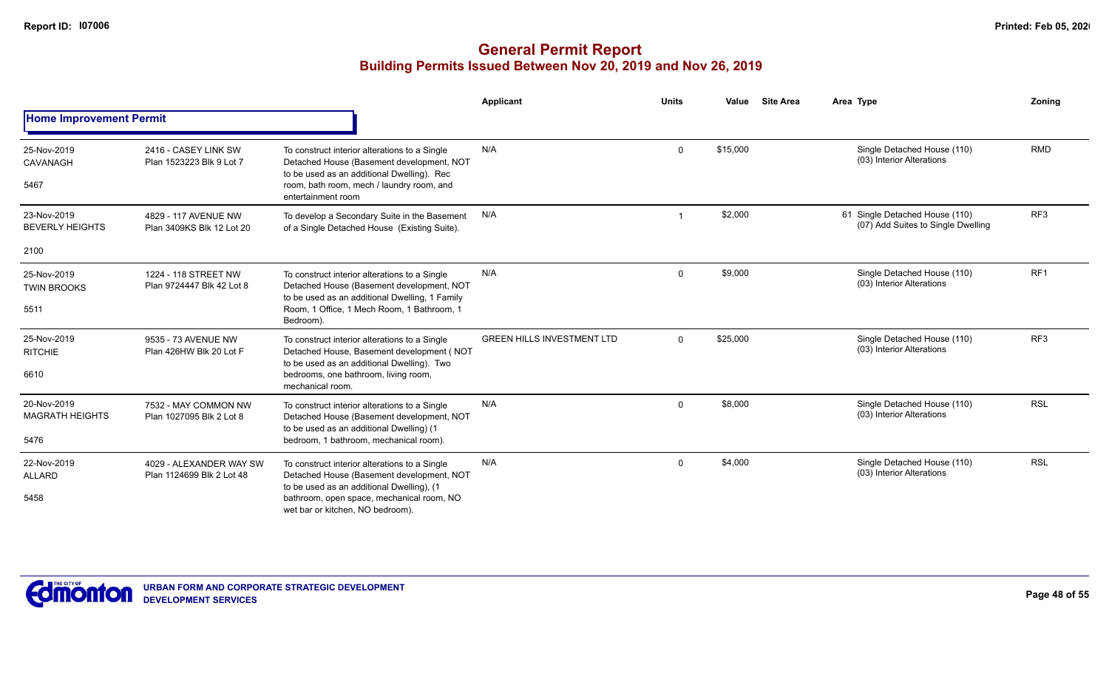|                                               |                                                      |                                                                                                                                                                                                                          | Applicant                         | <b>Units</b> | Value    | <b>Site Area</b> | Area Type                                                            | Zoning          |
|-----------------------------------------------|------------------------------------------------------|--------------------------------------------------------------------------------------------------------------------------------------------------------------------------------------------------------------------------|-----------------------------------|--------------|----------|------------------|----------------------------------------------------------------------|-----------------|
| <b>Home Improvement Permit</b>                |                                                      |                                                                                                                                                                                                                          |                                   |              |          |                  |                                                                      |                 |
| 25-Nov-2019<br>CAVANAGH<br>5467               | 2416 - CASEY LINK SW<br>Plan 1523223 Blk 9 Lot 7     | To construct interior alterations to a Single<br>Detached House (Basement development, NOT<br>to be used as an additional Dwelling). Rec<br>room, bath room, mech / laundry room, and<br>entertainment room              | N/A                               | $\Omega$     | \$15,000 |                  | Single Detached House (110)<br>(03) Interior Alterations             | <b>RMD</b>      |
| 23-Nov-2019<br><b>BEVERLY HEIGHTS</b>         | 4829 - 117 AVENUE NW<br>Plan 3409KS Blk 12 Lot 20    | To develop a Secondary Suite in the Basement<br>of a Single Detached House (Existing Suite).                                                                                                                             | N/A                               |              | \$2,000  |                  | 61 Single Detached House (110)<br>(07) Add Suites to Single Dwelling | RF <sub>3</sub> |
| 2100                                          |                                                      |                                                                                                                                                                                                                          |                                   |              |          |                  |                                                                      |                 |
| 25-Nov-2019<br><b>TWIN BROOKS</b><br>5511     | 1224 - 118 STREET NW<br>Plan 9724447 Blk 42 Lot 8    | To construct interior alterations to a Single<br>Detached House (Basement development, NOT<br>to be used as an additional Dwelling, 1 Family<br>Room, 1 Office, 1 Mech Room, 1 Bathroom, 1                               | N/A                               | $\Omega$     | \$9,000  |                  | Single Detached House (110)<br>(03) Interior Alterations             | RF <sub>1</sub> |
| 25-Nov-2019<br><b>RITCHIE</b><br>6610         | 9535 - 73 AVENUE NW<br>Plan 426HW Blk 20 Lot F       | Bedroom).<br>To construct interior alterations to a Single<br>Detached House, Basement development (NOT<br>to be used as an additional Dwelling). Two<br>bedrooms, one bathroom, living room,<br>mechanical room.        | <b>GREEN HILLS INVESTMENT LTD</b> | $\Omega$     | \$25,000 |                  | Single Detached House (110)<br>(03) Interior Alterations             | RF3             |
| 20-Nov-2019<br><b>MAGRATH HEIGHTS</b><br>5476 | 7532 - MAY COMMON NW<br>Plan 1027095 Blk 2 Lot 8     | To construct interior alterations to a Single<br>Detached House (Basement development, NOT<br>to be used as an additional Dwelling) (1<br>bedroom, 1 bathroom, mechanical room).                                         | N/A                               | $\Omega$     | \$8,000  |                  | Single Detached House (110)<br>(03) Interior Alterations             | <b>RSL</b>      |
| 22-Nov-2019<br><b>ALLARD</b><br>5458          | 4029 - ALEXANDER WAY SW<br>Plan 1124699 Blk 2 Lot 48 | To construct interior alterations to a Single<br>Detached House (Basement development, NOT<br>to be used as an additional Dwelling), (1<br>bathroom, open space, mechanical room, NO<br>wet bar or kitchen, NO bedroom). | N/A                               | $\Omega$     | \$4,000  |                  | Single Detached House (110)<br>(03) Interior Alterations             | <b>RSL</b>      |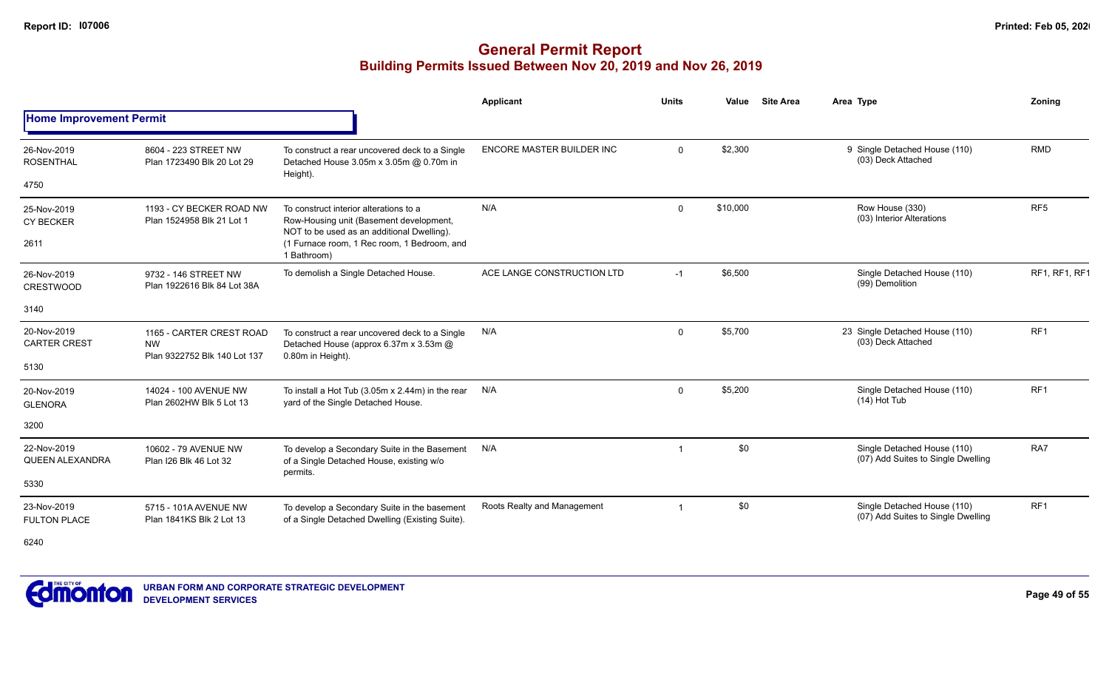|                                       |                                                                       |                                                                                                                                 | Applicant                        | <b>Units</b> | Value    | <b>Site Area</b> | Area Type                                                         | Zoning               |
|---------------------------------------|-----------------------------------------------------------------------|---------------------------------------------------------------------------------------------------------------------------------|----------------------------------|--------------|----------|------------------|-------------------------------------------------------------------|----------------------|
| <b>Home Improvement Permit</b>        |                                                                       |                                                                                                                                 |                                  |              |          |                  |                                                                   |                      |
| 26-Nov-2019<br><b>ROSENTHAL</b>       | 8604 - 223 STREET NW<br>Plan 1723490 Blk 20 Lot 29                    | To construct a rear uncovered deck to a Single<br>Detached House 3.05m x 3.05m @ 0.70m in                                       | <b>ENCORE MASTER BUILDER INC</b> | $\Omega$     | \$2,300  |                  | 9 Single Detached House (110)<br>(03) Deck Attached               | <b>RMD</b>           |
| 4750                                  |                                                                       | Height).                                                                                                                        |                                  |              |          |                  |                                                                   |                      |
| 25-Nov-2019<br><b>CY BECKER</b>       | 1193 - CY BECKER ROAD NW<br>Plan 1524958 Blk 21 Lot 1                 | To construct interior alterations to a<br>Row-Housing unit (Basement development,<br>NOT to be used as an additional Dwelling). | N/A                              | $\mathbf 0$  | \$10,000 |                  | Row House (330)<br>(03) Interior Alterations                      | RF <sub>5</sub>      |
| 2611                                  |                                                                       | (1 Furnace room, 1 Rec room, 1 Bedroom, and<br>1 Bathroom)                                                                      |                                  |              |          |                  |                                                                   |                      |
| 26-Nov-2019<br><b>CRESTWOOD</b>       | 9732 - 146 STREET NW<br>Plan 1922616 Blk 84 Lot 38A                   | To demolish a Single Detached House.                                                                                            | ACE LANGE CONSTRUCTION LTD       | $-1$         | \$6,500  |                  | Single Detached House (110)<br>(99) Demolition                    | <b>RF1, RF1, RF1</b> |
| 3140                                  |                                                                       |                                                                                                                                 |                                  |              |          |                  |                                                                   |                      |
| 20-Nov-2019<br><b>CARTER CREST</b>    | 1165 - CARTER CREST ROAD<br><b>NW</b><br>Plan 9322752 Blk 140 Lot 137 | To construct a rear uncovered deck to a Single<br>Detached House (approx 6.37m x 3.53m @<br>0.80m in Height).                   | N/A                              | $\Omega$     | \$5,700  |                  | 23 Single Detached House (110)<br>(03) Deck Attached              | RF <sub>1</sub>      |
| 5130                                  |                                                                       |                                                                                                                                 |                                  |              |          |                  |                                                                   |                      |
| 20-Nov-2019<br><b>GLENORA</b>         | 14024 - 100 AVENUE NW<br>Plan 2602HW Blk 5 Lot 13                     | To install a Hot Tub (3.05m x 2.44m) in the rear<br>yard of the Single Detached House.                                          | N/A                              | $\mathbf 0$  | \$5,200  |                  | Single Detached House (110)<br>$(14)$ Hot Tub                     | RF <sub>1</sub>      |
| 3200                                  |                                                                       |                                                                                                                                 |                                  |              |          |                  |                                                                   |                      |
| 22-Nov-2019<br><b>QUEEN ALEXANDRA</b> | 10602 - 79 AVENUE NW<br>Plan I26 Blk 46 Lot 32                        | To develop a Secondary Suite in the Basement<br>of a Single Detached House, existing w/o                                        | N/A                              | -1           | \$0      |                  | Single Detached House (110)<br>(07) Add Suites to Single Dwelling | RA7                  |
| 5330                                  |                                                                       | permits.                                                                                                                        |                                  |              |          |                  |                                                                   |                      |
| 23-Nov-2019<br><b>FULTON PLACE</b>    | 5715 - 101A AVENUE NW<br>Plan 1841KS Blk 2 Lot 13                     | To develop a Secondary Suite in the basement<br>of a Single Detached Dwelling (Existing Suite).                                 | Roots Realty and Management      |              | \$0      |                  | Single Detached House (110)<br>(07) Add Suites to Single Dwelling | RF1                  |
| 6240                                  |                                                                       |                                                                                                                                 |                                  |              |          |                  |                                                                   |                      |

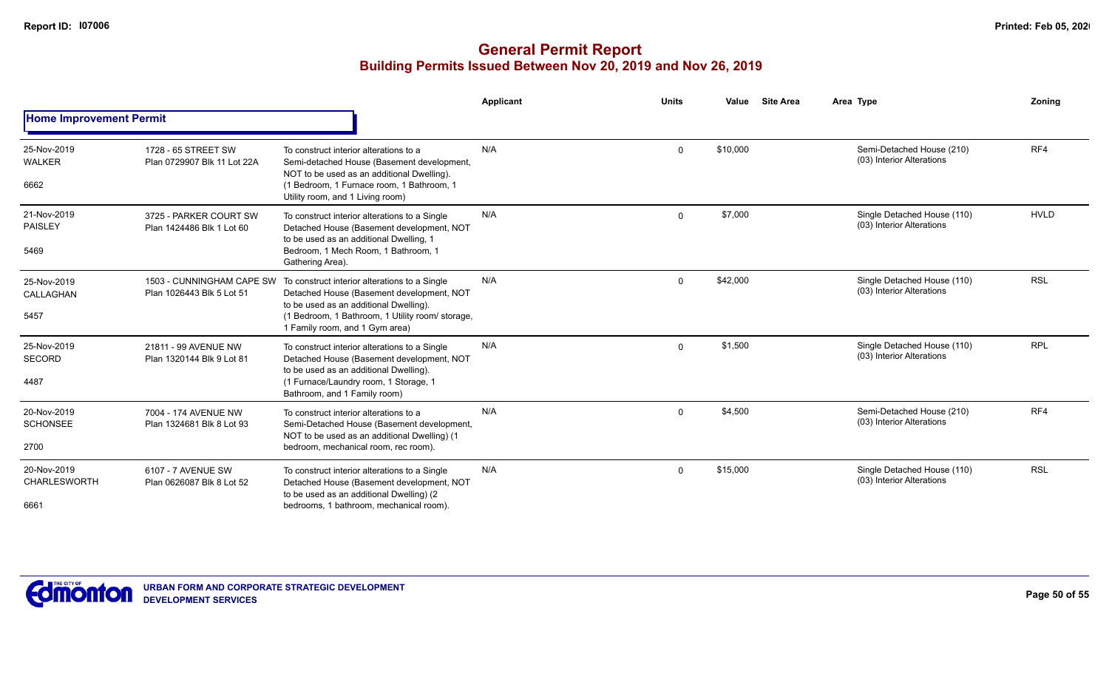|                                            |                                                        |                                                                                                                                                                                                                            | Applicant | <b>Units</b> | Value    | <b>Site Area</b> | Area Type                                                | Zonina      |
|--------------------------------------------|--------------------------------------------------------|----------------------------------------------------------------------------------------------------------------------------------------------------------------------------------------------------------------------------|-----------|--------------|----------|------------------|----------------------------------------------------------|-------------|
| <b>Home Improvement Permit</b>             |                                                        |                                                                                                                                                                                                                            |           |              |          |                  |                                                          |             |
| 25-Nov-2019<br><b>WALKER</b><br>6662       | 1728 - 65 STREET SW<br>Plan 0729907 Blk 11 Lot 22A     | To construct interior alterations to a<br>Semi-detached House (Basement development,<br>NOT to be used as an additional Dwelling).<br>(1 Bedroom, 1 Furnace room, 1 Bathroom, 1<br>Utility room, and 1 Living room)        | N/A       | $\mathbf 0$  | \$10,000 |                  | Semi-Detached House (210)<br>(03) Interior Alterations   | RF4         |
| 21-Nov-2019<br><b>PAISLEY</b><br>5469      | 3725 - PARKER COURT SW<br>Plan 1424486 Blk 1 Lot 60    | To construct interior alterations to a Single<br>Detached House (Basement development, NOT<br>to be used as an additional Dwelling, 1<br>Bedroom, 1 Mech Room, 1 Bathroom, 1<br>Gathering Area).                           | N/A       | $\mathbf{0}$ | \$7,000  |                  | Single Detached House (110)<br>(03) Interior Alterations | <b>HVLD</b> |
| 25-Nov-2019<br>CALLAGHAN<br>5457           | 1503 - CUNNINGHAM CAPE SW<br>Plan 1026443 Blk 5 Lot 51 | To construct interior alterations to a Single<br>Detached House (Basement development, NOT<br>to be used as an additional Dwelling).<br>(1 Bedroom, 1 Bathroom, 1 Utility room/ storage,<br>1 Family room, and 1 Gym area) | N/A       | $\Omega$     | \$42,000 |                  | Single Detached House (110)<br>(03) Interior Alterations | <b>RSL</b>  |
| 25-Nov-2019<br>SECORD<br>4487              | 21811 - 99 AVENUE NW<br>Plan 1320144 Blk 9 Lot 81      | To construct interior alterations to a Single<br>Detached House (Basement development, NOT<br>to be used as an additional Dwelling).<br>(1 Furnace/Laundry room, 1 Storage, 1<br>Bathroom, and 1 Family room)              | N/A       | $\Omega$     | \$1,500  |                  | Single Detached House (110)<br>(03) Interior Alterations | <b>RPL</b>  |
| 20-Nov-2019<br><b>SCHONSEE</b><br>2700     | 7004 - 174 AVENUE NW<br>Plan 1324681 Blk 8 Lot 93      | To construct interior alterations to a<br>Semi-Detached House (Basement development,<br>NOT to be used as an additional Dwelling) (1<br>bedroom, mechanical room, rec room).                                               | N/A       | $\mathbf{0}$ | \$4,500  |                  | Semi-Detached House (210)<br>(03) Interior Alterations   | RF4         |
| 20-Nov-2019<br><b>CHARLESWORTH</b><br>6661 | 6107 - 7 AVENUE SW<br>Plan 0626087 Blk 8 Lot 52        | To construct interior alterations to a Single<br>Detached House (Basement development, NOT<br>to be used as an additional Dwelling) (2<br>bedrooms, 1 bathroom, mechanical room).                                          | N/A       | $\Omega$     | \$15,000 |                  | Single Detached House (110)<br>(03) Interior Alterations | <b>RSL</b>  |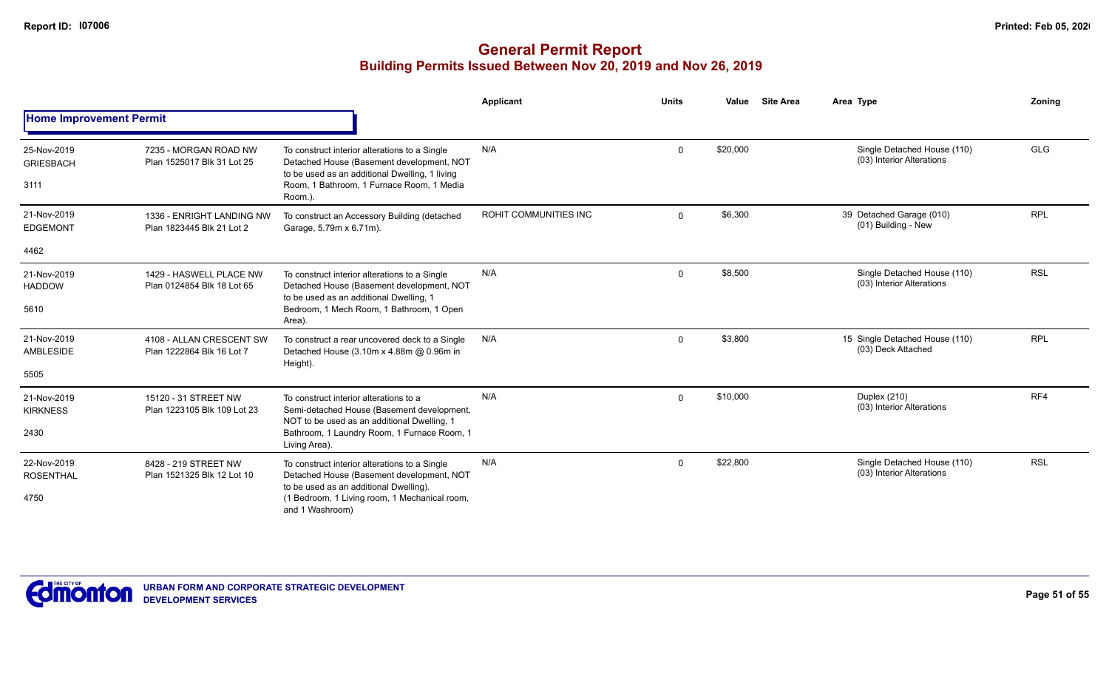|                                         |                                                        |                                                                                                                                                                                                      | <b>Applicant</b>      | <b>Units</b> | Value    | <b>Site Area</b> | Area Type                                                | Zoning     |
|-----------------------------------------|--------------------------------------------------------|------------------------------------------------------------------------------------------------------------------------------------------------------------------------------------------------------|-----------------------|--------------|----------|------------------|----------------------------------------------------------|------------|
| <b>Home Improvement Permit</b>          |                                                        |                                                                                                                                                                                                      |                       |              |          |                  |                                                          |            |
| 25-Nov-2019<br><b>GRIESBACH</b><br>3111 | 7235 - MORGAN ROAD NW<br>Plan 1525017 Blk 31 Lot 25    | To construct interior alterations to a Single<br>Detached House (Basement development, NOT<br>to be used as an additional Dwelling, 1 living<br>Room, 1 Bathroom, 1 Furnace Room, 1 Media<br>Room.). | N/A                   | $\mathbf 0$  | \$20,000 |                  | Single Detached House (110)<br>(03) Interior Alterations | <b>GLG</b> |
| 21-Nov-2019<br><b>EDGEMONT</b>          | 1336 - ENRIGHT LANDING NW<br>Plan 1823445 Blk 21 Lot 2 | To construct an Accessory Building (detached<br>Garage, 5.79m x 6.71m).                                                                                                                              | ROHIT COMMUNITIES INC | $\mathbf 0$  | \$6,300  |                  | 39 Detached Garage (010)<br>(01) Building - New          | <b>RPL</b> |
| 4462                                    |                                                        |                                                                                                                                                                                                      |                       |              |          |                  |                                                          |            |
| 21-Nov-2019<br><b>HADDOW</b>            | 1429 - HASWELL PLACE NW<br>Plan 0124854 Blk 18 Lot 65  | To construct interior alterations to a Single<br>Detached House (Basement development, NOT<br>to be used as an additional Dwelling, 1                                                                | N/A<br>$\mathbf 0$    |              | \$8,500  |                  | Single Detached House (110)<br>(03) Interior Alterations | <b>RSL</b> |
| 5610                                    |                                                        | Bedroom, 1 Mech Room, 1 Bathroom, 1 Open<br>Area).                                                                                                                                                   |                       |              |          |                  |                                                          |            |
| 21-Nov-2019<br>AMBLESIDE                | 4108 - ALLAN CRESCENT SW<br>Plan 1222864 Blk 16 Lot 7  | To construct a rear uncovered deck to a Single<br>Detached House (3.10m x 4.88m @ 0.96m in<br>Height).                                                                                               | N/A                   | $\mathbf 0$  | \$3,800  |                  | 15 Single Detached House (110)<br>(03) Deck Attached     | <b>RPL</b> |
| 5505                                    |                                                        |                                                                                                                                                                                                      |                       |              |          |                  |                                                          |            |
| 21-Nov-2019<br><b>KIRKNESS</b>          | 15120 - 31 STREET NW<br>Plan 1223105 Blk 109 Lot 23    | To construct interior alterations to a<br>Semi-detached House (Basement development,                                                                                                                 | N/A                   | $\mathbf 0$  | \$10,000 |                  | Duplex (210)<br>(03) Interior Alterations                | RF4        |
| 2430                                    |                                                        | NOT to be used as an additional Dwelling, 1<br>Bathroom, 1 Laundry Room, 1 Furnace Room, 1<br>Living Area).                                                                                          |                       |              |          |                  |                                                          |            |
| 22-Nov-2019<br><b>ROSENTHAL</b>         | 8428 - 219 STREET NW<br>Plan 1521325 Blk 12 Lot 10     | To construct interior alterations to a Single<br>Detached House (Basement development, NOT                                                                                                           | N/A                   | $\mathbf 0$  | \$22,800 |                  | Single Detached House (110)<br>(03) Interior Alterations | <b>RSL</b> |
| 4750                                    |                                                        | to be used as an additional Dwelling).<br>(1 Bedroom, 1 Living room, 1 Mechanical room,<br>and 1 Washroom)                                                                                           |                       |              |          |                  |                                                          |            |

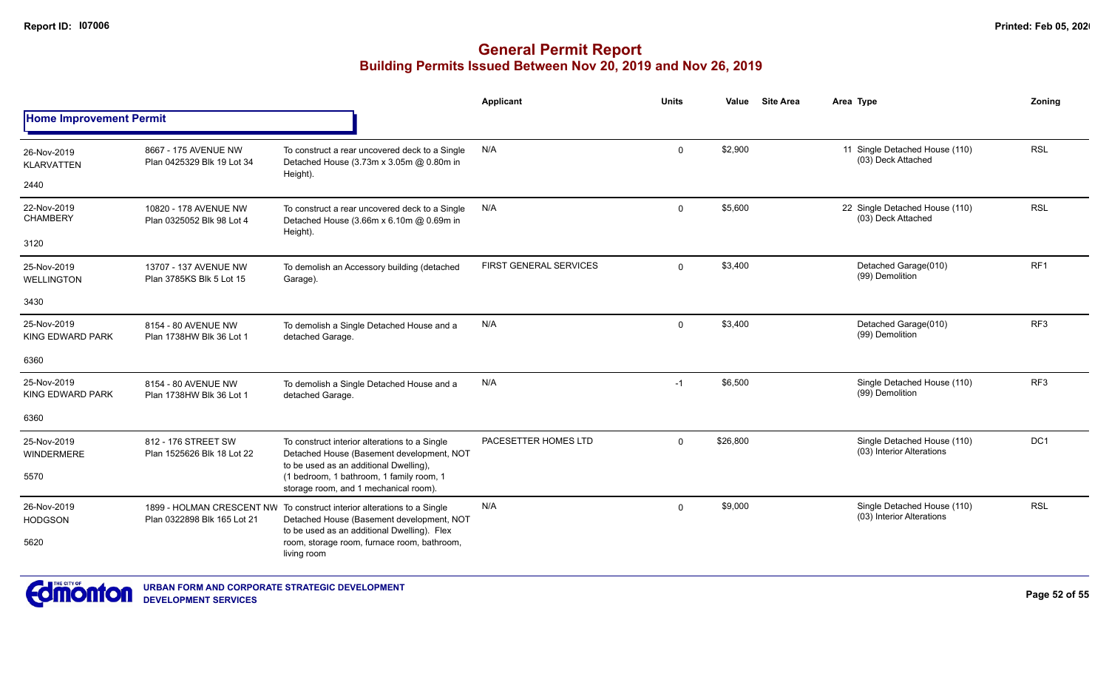|                                        |                                                    |                                                                                                                                      | <b>Applicant</b>              | <b>Units</b> | Value    | <b>Site Area</b> | Area Type                                                | Zoning          |
|----------------------------------------|----------------------------------------------------|--------------------------------------------------------------------------------------------------------------------------------------|-------------------------------|--------------|----------|------------------|----------------------------------------------------------|-----------------|
| <b>Home Improvement Permit</b>         |                                                    |                                                                                                                                      |                               |              |          |                  |                                                          |                 |
| 26-Nov-2019<br><b>KLARVATTEN</b>       | 8667 - 175 AVENUE NW<br>Plan 0425329 Blk 19 Lot 34 | To construct a rear uncovered deck to a Single<br>Detached House (3.73m x 3.05m @ 0.80m in                                           | N/A                           | $\mathbf 0$  | \$2,900  |                  | 11 Single Detached House (110)<br>(03) Deck Attached     | <b>RSL</b>      |
| 2440                                   |                                                    | Height).                                                                                                                             |                               |              |          |                  |                                                          |                 |
| 22-Nov-2019<br><b>CHAMBERY</b>         | 10820 - 178 AVENUE NW<br>Plan 0325052 Blk 98 Lot 4 | To construct a rear uncovered deck to a Single<br>Detached House (3.66m x 6.10m @ 0.69m in<br>Height).                               | N/A                           | $\mathbf 0$  | \$5,600  |                  | 22 Single Detached House (110)<br>(03) Deck Attached     | <b>RSL</b>      |
| 3120                                   |                                                    |                                                                                                                                      |                               |              |          |                  |                                                          |                 |
| 25-Nov-2019<br>WELLINGTON              | 13707 - 137 AVENUE NW<br>Plan 3785KS Blk 5 Lot 15  | To demolish an Accessory building (detached<br>Garage).                                                                              | <b>FIRST GENERAL SERVICES</b> | $\mathbf 0$  | \$3,400  |                  | Detached Garage(010)<br>(99) Demolition                  | RF <sub>1</sub> |
| 3430                                   |                                                    |                                                                                                                                      |                               |              |          |                  |                                                          |                 |
| 25-Nov-2019<br><b>KING EDWARD PARK</b> | 8154 - 80 AVENUE NW<br>Plan 1738HW Blk 36 Lot 1    | To demolish a Single Detached House and a<br>detached Garage.                                                                        | N/A                           | $\mathbf{0}$ | \$3,400  |                  | Detached Garage(010)<br>(99) Demolition                  | RF <sub>3</sub> |
| 6360                                   |                                                    |                                                                                                                                      |                               |              |          |                  |                                                          |                 |
| 25-Nov-2019<br>KING EDWARD PARK        | 8154 - 80 AVENUE NW<br>Plan 1738HW Blk 36 Lot 1    | To demolish a Single Detached House and a<br>detached Garage.                                                                        | N/A                           | $-1$         | \$6,500  |                  | Single Detached House (110)<br>(99) Demolition           | RF <sub>3</sub> |
| 6360                                   |                                                    |                                                                                                                                      |                               |              |          |                  |                                                          |                 |
| 25-Nov-2019<br><b>WINDERMERE</b>       | 812 - 176 STREET SW<br>Plan 1525626 Blk 18 Lot 22  | To construct interior alterations to a Single<br>Detached House (Basement development, NOT<br>to be used as an additional Dwelling), | PACESETTER HOMES LTD          | $\mathbf{0}$ | \$26,800 |                  | Single Detached House (110)<br>(03) Interior Alterations | DC <sub>1</sub> |
| 5570                                   |                                                    | (1 bedroom, 1 bathroom, 1 family room, 1<br>storage room, and 1 mechanical room).                                                    |                               |              |          |                  |                                                          |                 |
| 26-Nov-2019<br><b>HODGSON</b>          | Plan 0322898 Blk 165 Lot 21                        | 1899 - HOLMAN CRESCENT NW To construct interior alterations to a Single<br>Detached House (Basement development, NOT                 | N/A                           | $\mathbf 0$  | \$9,000  |                  | Single Detached House (110)<br>(03) Interior Alterations | <b>RSL</b>      |
| 5620                                   |                                                    | to be used as an additional Dwelling). Flex<br>room, storage room, furnace room, bathroom,<br>living room                            |                               |              |          |                  |                                                          |                 |
|                                        |                                                    |                                                                                                                                      |                               |              |          |                  |                                                          |                 |

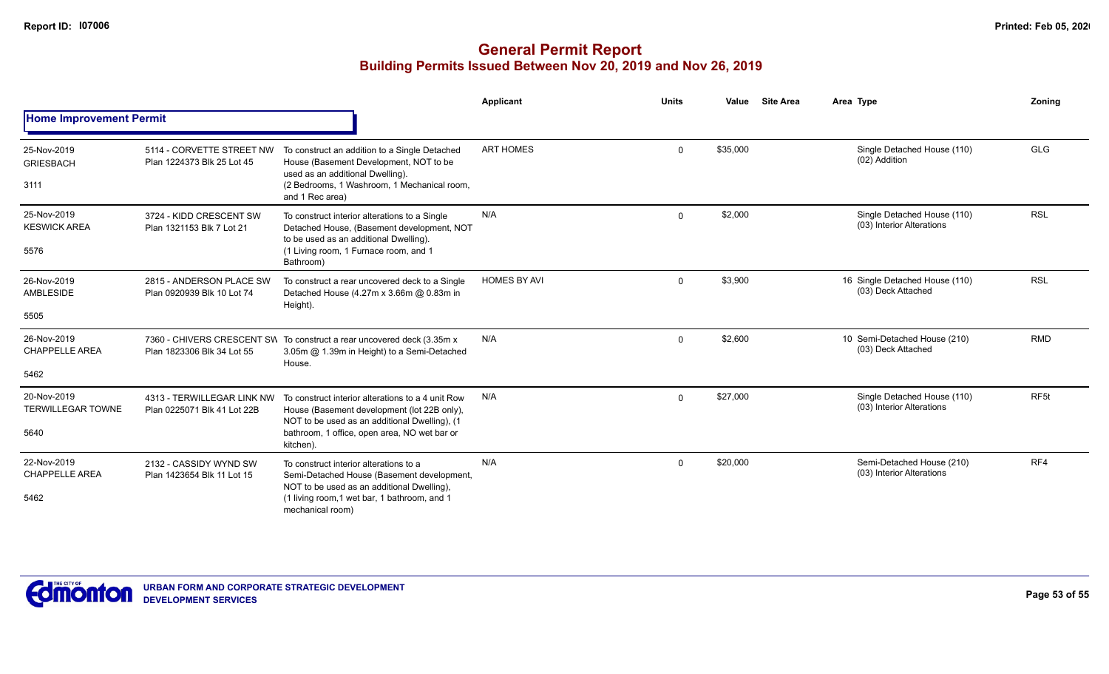|                                                 |                                                           |                                                                                                                                                                                                                | Applicant           | <b>Units</b> | Value    | <b>Site Area</b> | Area Type                                                | Zoning           |
|-------------------------------------------------|-----------------------------------------------------------|----------------------------------------------------------------------------------------------------------------------------------------------------------------------------------------------------------------|---------------------|--------------|----------|------------------|----------------------------------------------------------|------------------|
| <b>Home Improvement Permit</b>                  |                                                           |                                                                                                                                                                                                                |                     |              |          |                  |                                                          |                  |
| 25-Nov-2019<br><b>GRIESBACH</b><br>3111         | 5114 - CORVETTE STREET NW<br>Plan 1224373 Blk 25 Lot 45   | To construct an addition to a Single Detached<br>House (Basement Development, NOT to be<br>used as an additional Dwelling).<br>(2 Bedrooms, 1 Washroom, 1 Mechanical room,<br>and 1 Rec area)                  | <b>ART HOMES</b>    | $\mathbf{0}$ | \$35,000 |                  | Single Detached House (110)<br>(02) Addition             | <b>GLG</b>       |
| 25-Nov-2019<br><b>KESWICK AREA</b><br>5576      | 3724 - KIDD CRESCENT SW<br>Plan 1321153 Blk 7 Lot 21      | To construct interior alterations to a Single<br>Detached House, (Basement development, NOT<br>to be used as an additional Dwelling).<br>(1 Living room, 1 Furnace room, and 1<br>Bathroom)                    | N/A                 | $\Omega$     | \$2,000  |                  | Single Detached House (110)<br>(03) Interior Alterations | <b>RSL</b>       |
| 26-Nov-2019<br>AMBLESIDE<br>5505                | 2815 - ANDERSON PLACE SW<br>Plan 0920939 Blk 10 Lot 74    | To construct a rear uncovered deck to a Single<br>Detached House (4.27m x 3.66m @ 0.83m in<br>Height).                                                                                                         | <b>HOMES BY AVI</b> | $\mathbf 0$  | \$3,900  |                  | 16 Single Detached House (110)<br>(03) Deck Attached     | <b>RSL</b>       |
| 26-Nov-2019<br><b>CHAPPELLE AREA</b><br>5462    | Plan 1823306 Blk 34 Lot 55                                | 7360 - CHIVERS CRESCENT SW To construct a rear uncovered deck (3.35m x)<br>3.05m @ 1.39m in Height) to a Semi-Detached<br>House.                                                                               | N/A                 | $\Omega$     | \$2,600  |                  | 10 Semi-Detached House (210)<br>(03) Deck Attached       | <b>RMD</b>       |
| 20-Nov-2019<br><b>TERWILLEGAR TOWNE</b><br>5640 | 4313 - TERWILLEGAR LINK NW<br>Plan 0225071 Blk 41 Lot 22B | To construct interior alterations to a 4 unit Row<br>House (Basement development (lot 22B only),<br>NOT to be used as an additional Dwelling), (1<br>bathroom, 1 office, open area, NO wet bar or<br>kitchen). | N/A                 | $\Omega$     | \$27,000 |                  | Single Detached House (110)<br>(03) Interior Alterations | RF <sub>5t</sub> |
| 22-Nov-2019<br><b>CHAPPELLE AREA</b><br>5462    | 2132 - CASSIDY WYND SW<br>Plan 1423654 Blk 11 Lot 15      | To construct interior alterations to a<br>Semi-Detached House (Basement development,<br>NOT to be used as an additional Dwelling),<br>(1 living room, 1 wet bar, 1 bathroom, and 1<br>mechanical room)         | N/A                 | $\mathbf 0$  | \$20,000 |                  | Semi-Detached House (210)<br>(03) Interior Alterations   | RF4              |

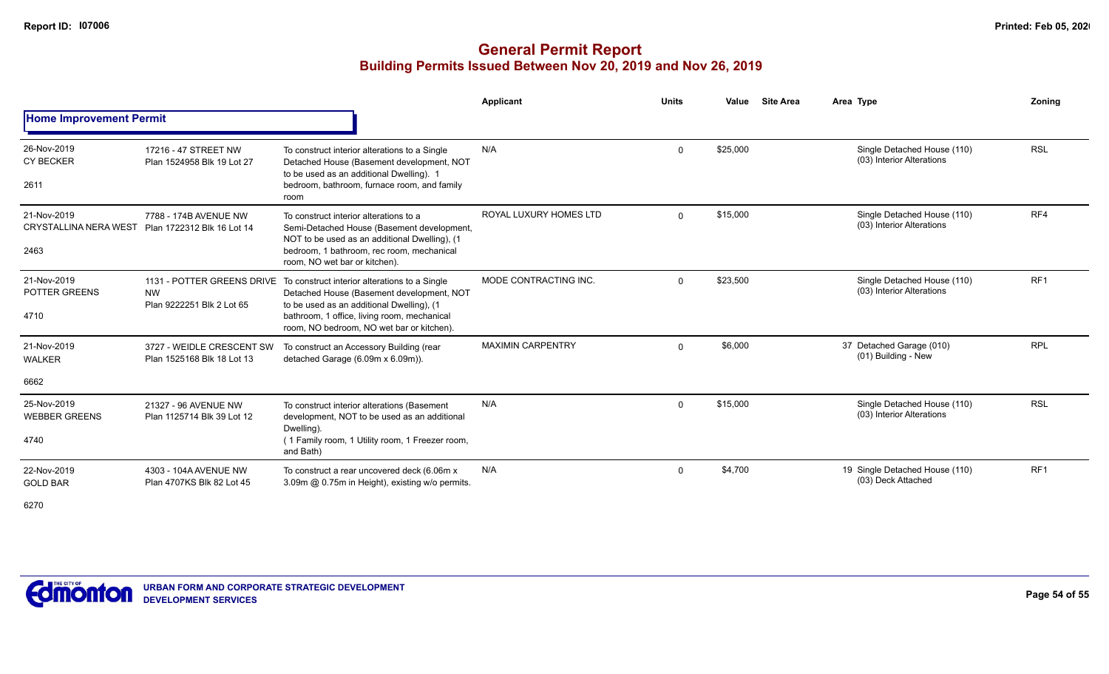|                                                     |                                                         |                                                                                                                                                                                                                                                                | <b>Applicant</b>         | <b>Units</b> | Value    | <b>Site Area</b> | Area Type                                                | Zoning          |
|-----------------------------------------------------|---------------------------------------------------------|----------------------------------------------------------------------------------------------------------------------------------------------------------------------------------------------------------------------------------------------------------------|--------------------------|--------------|----------|------------------|----------------------------------------------------------|-----------------|
| <b>Home Improvement Permit</b>                      |                                                         |                                                                                                                                                                                                                                                                |                          |              |          |                  |                                                          |                 |
| 26-Nov-2019<br><b>CY BECKER</b><br>2611             | 17216 - 47 STREET NW<br>Plan 1524958 Blk 19 Lot 27      | To construct interior alterations to a Single<br>Detached House (Basement development, NOT<br>to be used as an additional Dwelling). 1<br>bedroom, bathroom, furnace room, and family                                                                          | N/A                      | $\Omega$     | \$25,000 |                  | Single Detached House (110)<br>(03) Interior Alterations | <b>RSL</b>      |
| 21-Nov-2019<br><b>CRYSTALLINA NERA WEST</b><br>2463 | 7788 - 174B AVENUE NW<br>Plan 1722312 Blk 16 Lot 14     | room<br>To construct interior alterations to a<br>Semi-Detached House (Basement development,<br>NOT to be used as an additional Dwelling), (1<br>bedroom, 1 bathroom, rec room, mechanical<br>room, NO wet bar or kitchen).                                    | ROYAL LUXURY HOMES LTD   | $\Omega$     | \$15,000 |                  | Single Detached House (110)<br>(03) Interior Alterations | RF4             |
| 21-Nov-2019<br>POTTER GREENS<br>4710                | <b>NW</b><br>Plan 9222251 Blk 2 Lot 65                  | 1131 - POTTER GREENS DRIVE To construct interior alterations to a Single<br>Detached House (Basement development, NOT<br>to be used as an additional Dwelling), (1<br>bathroom, 1 office, living room, mechanical<br>room, NO bedroom, NO wet bar or kitchen). | MODE CONTRACTING INC.    | $\mathbf 0$  | \$23,500 |                  | Single Detached House (110)<br>(03) Interior Alterations | RF <sub>1</sub> |
| 21-Nov-2019<br><b>WALKER</b>                        | 3727 - WEIDLE CRESCENT SW<br>Plan 1525168 Blk 18 Lot 13 | To construct an Accessory Building (rear<br>detached Garage (6.09m x 6.09m)).                                                                                                                                                                                  | <b>MAXIMIN CARPENTRY</b> | $\Omega$     | \$6,000  |                  | 37 Detached Garage (010)<br>(01) Building - New          | <b>RPL</b>      |
| 6662                                                |                                                         |                                                                                                                                                                                                                                                                |                          |              |          |                  |                                                          |                 |
| 25-Nov-2019<br><b>WEBBER GREENS</b><br>4740         | 21327 - 96 AVENUE NW<br>Plan 1125714 Blk 39 Lot 12      | To construct interior alterations (Basement<br>development, NOT to be used as an additional<br>Dwelling).<br>(1 Family room, 1 Utility room, 1 Freezer room,<br>and Bath)                                                                                      | N/A                      | $\mathbf 0$  | \$15,000 |                  | Single Detached House (110)<br>(03) Interior Alterations | <b>RSL</b>      |
| 22-Nov-2019<br><b>GOLD BAR</b><br>6270              | 4303 - 104A AVENUE NW<br>Plan 4707KS Blk 82 Lot 45      | To construct a rear uncovered deck (6.06m x<br>3.09m @ 0.75m in Height), existing w/o permits.                                                                                                                                                                 | N/A                      | $\mathbf 0$  | \$4,700  |                  | 19 Single Detached House (110)<br>(03) Deck Attached     | RF <sub>1</sub> |